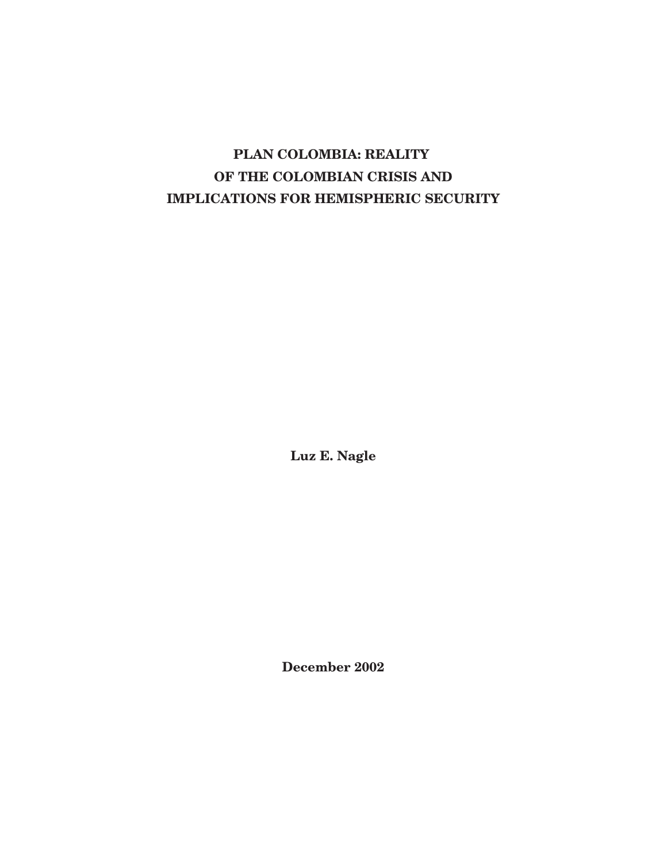# **PLAN COLOMBIA: REALITY OF THE COLOMBIAN CRISIS AND IMPLICATIONS FOR HEMISPHERIC SECURITY**

**Luz E. Nagle**

**December 2002**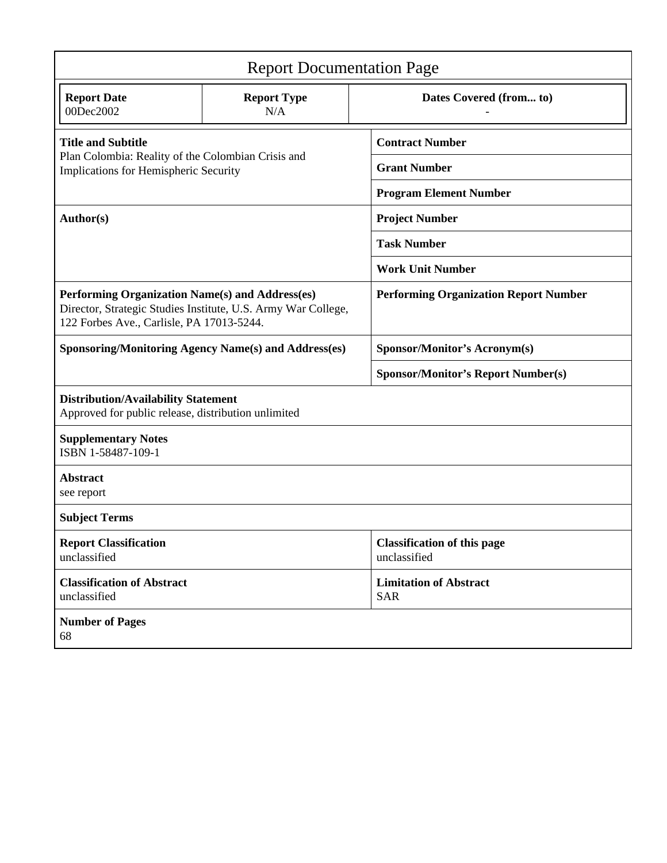| <b>Report Documentation Page</b>                                                                                                                              |                           |                                                    |
|---------------------------------------------------------------------------------------------------------------------------------------------------------------|---------------------------|----------------------------------------------------|
| <b>Report Date</b><br>00Dec2002                                                                                                                               | <b>Report Type</b><br>N/A | Dates Covered (from to)                            |
| <b>Title and Subtitle</b><br>Plan Colombia: Reality of the Colombian Crisis and<br>Implications for Hemispheric Security                                      |                           | <b>Contract Number</b>                             |
|                                                                                                                                                               |                           | <b>Grant Number</b>                                |
|                                                                                                                                                               |                           | <b>Program Element Number</b>                      |
| Author(s)                                                                                                                                                     |                           | <b>Project Number</b>                              |
|                                                                                                                                                               |                           | <b>Task Number</b>                                 |
|                                                                                                                                                               |                           | <b>Work Unit Number</b>                            |
| Performing Organization Name(s) and Address(es)<br>Director, Strategic Studies Institute, U.S. Army War College,<br>122 Forbes Ave., Carlisle, PA 17013-5244. |                           | <b>Performing Organization Report Number</b>       |
| <b>Sponsoring/Monitoring Agency Name(s) and Address(es)</b>                                                                                                   |                           | <b>Sponsor/Monitor's Acronym(s)</b>                |
|                                                                                                                                                               |                           | <b>Sponsor/Monitor's Report Number(s)</b>          |
| <b>Distribution/Availability Statement</b><br>Approved for public release, distribution unlimited                                                             |                           |                                                    |
| <b>Supplementary Notes</b><br>ISBN 1-58487-109-1                                                                                                              |                           |                                                    |
| <b>Abstract</b><br>see report                                                                                                                                 |                           |                                                    |
| <b>Subject Terms</b>                                                                                                                                          |                           |                                                    |
| <b>Report Classification</b><br>unclassified                                                                                                                  |                           | <b>Classification of this page</b><br>unclassified |
| <b>Classification of Abstract</b><br>unclassified                                                                                                             |                           | <b>Limitation of Abstract</b><br><b>SAR</b>        |
| <b>Number of Pages</b><br>68                                                                                                                                  |                           |                                                    |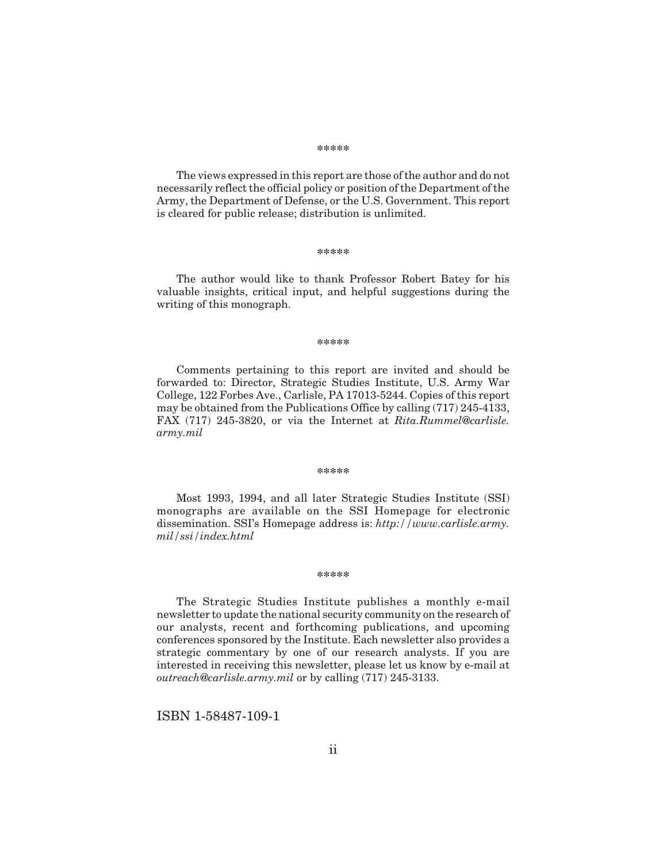#### **\*\*\*\*\***

The views expressed in this report are those of the author and do not necessarily reflect the official policy or position of the Department of the Army, the Department of Defense, or the U.S. Government. This report is cleared for public release; distribution is unlimited.

#### **\*\*\*\*\***

The author would like to thank Professor Robert Batey for his valuable insights, critical input, and helpful suggestions during the writing of this monograph.

#### **\*\*\*\*\***

Comments pertaining to this report are invited and should be forwarded to: Director, Strategic Studies Institute, U.S. Army War College, 122 Forbes Ave., Carlisle, PA 17013-5244. Copies of this report may be obtained from the Publications Office by calling (717) 245-4133, FAX (717) 245-3820, or via the Internet at *Rita.Rummel@carlisle. army.mil*

#### **\*\*\*\*\***

Most 1993, 1994, and all later Strategic Studies Institute (SSI) monographs are available on the SSI Homepage for electronic dissemination. SSI's Homepage address is: *http://www.carlisle.army. mil/ssi/index.html*

#### **\*\*\*\*\***

The Strategic Studies Institute publishes a monthly e-mail newsletter to update the national security community on the research of our analysts, recent and forthcoming publications, and upcoming conferences sponsored by the Institute. Each newsletter also provides a strategic commentary by one of our research analysts. If you are interested in receiving this newsletter, please let us know by e-mail at *outreach@carlisle.army.mil* or by calling (717) 245-3133.

ISBN 1-58487-109-1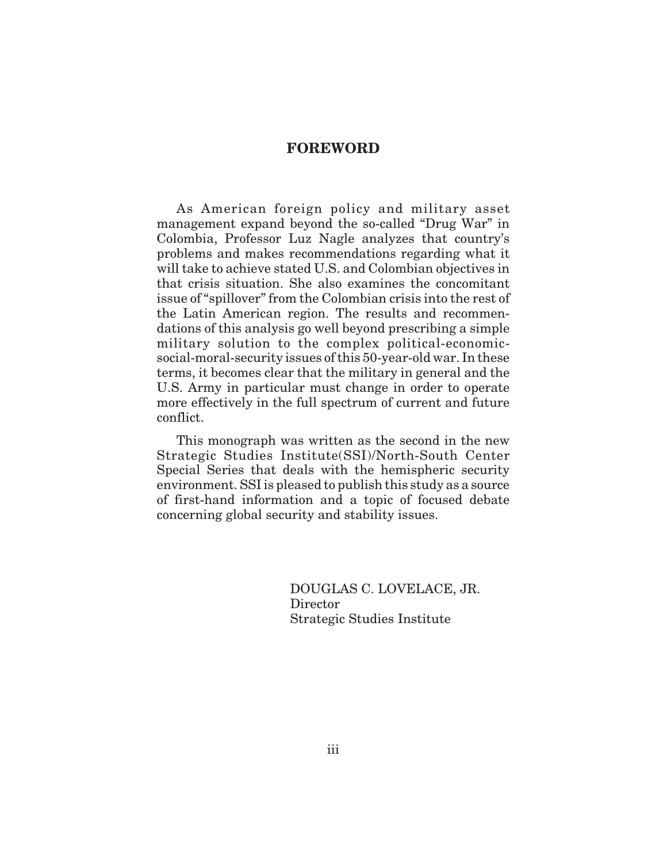# **FOREWORD**

As American foreign policy and military asset management expand beyond the so-called "Drug War" in Colombia, Professor Luz Nagle analyzes that country's problems and makes recommendations regarding what it will take to achieve stated U.S. and Colombian objectives in that crisis situation. She also examines the concomitant issue of "spillover" from the Colombian crisis into the rest of the Latin American region. The results and recommendations of this analysis go well beyond prescribing a simple military solution to the complex political-economicsocial-moral-security issues of this 50-year-old war. In these terms, it becomes clear that the military in general and the U.S. Army in particular must change in order to operate more effectively in the full spectrum of current and future conflict.

This monograph was written as the second in the new Strategic Studies Institute(SSI)/North-South Center Special Series that deals with the hemispheric security environment. SSI is pleased to publish this study as a source of first-hand information and a topic of focused debate concerning global security and stability issues.

> DOUGLAS C. LOVELACE, JR. Director Strategic Studies Institute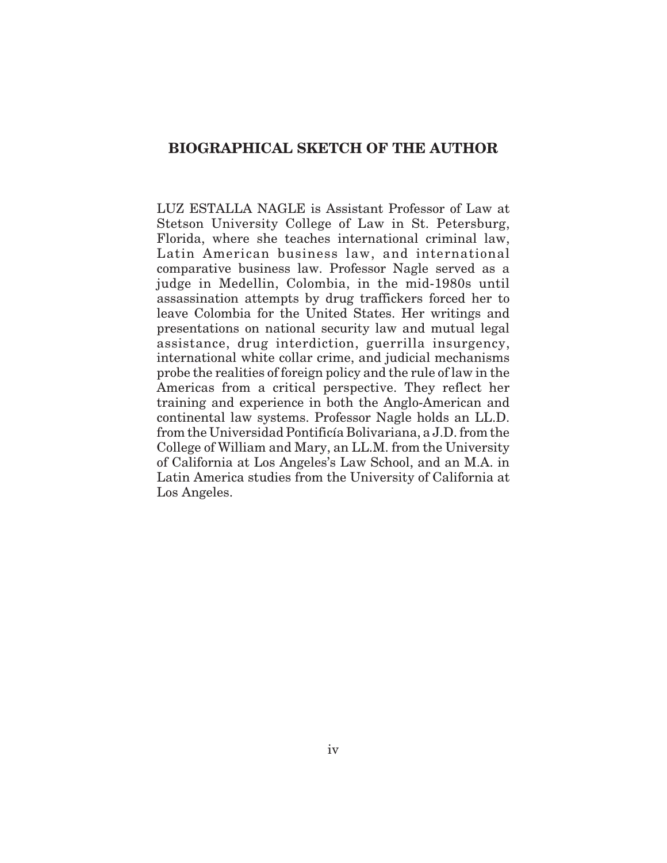# **BIOGRAPHICAL SKETCH OF THE AUTHOR**

LUZ ESTALLA NAGLE is Assistant Professor of Law at Stetson University College of Law in St. Petersburg, Florida, where she teaches international criminal law, Latin American business law, and international comparative business law. Professor Nagle served as a judge in Medellin, Colombia, in the mid-1980s until assassination attempts by drug traffickers forced her to leave Colombia for the United States. Her writings and presentations on national security law and mutual legal assistance, drug interdiction, guerrilla insurgency, international white collar crime, and judicial mechanisms probe the realities of foreign policy and the rule of law in the Americas from a critical perspective. They reflect her training and experience in both the Anglo-American and continental law systems. Professor Nagle holds an LL.D. from the Universidad Pontificía Bolivariana, a J.D. from the College of William and Mary, an LL.M. from the University of California at Los Angeles's Law School, and an M.A. in Latin America studies from the University of California at Los Angeles.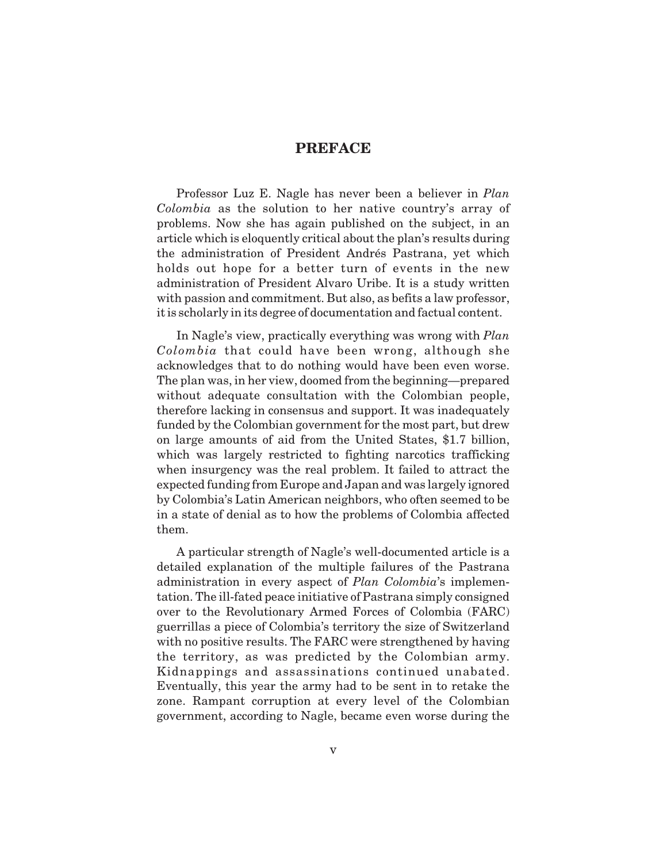# **PREFACE**

Professor Luz E. Nagle has never been a believer in *Plan Colombia* as the solution to her native country's array of problems. Now she has again published on the subject, in an article which is eloquently critical about the plan's results during the administration of President Andrés Pastrana, yet which holds out hope for a better turn of events in the new administration of President Alvaro Uribe. It is a study written with passion and commitment. But also, as befits a law professor, it is scholarly in its degree of documentation and factual content.

In Nagle's view, practically everything was wrong with *Plan Colombia* that could have been wrong, although she acknowledges that to do nothing would have been even worse. The plan was, in her view, doomed from the beginning—prepared without adequate consultation with the Colombian people, therefore lacking in consensus and support. It was inadequately funded by the Colombian government for the most part, but drew on large amounts of aid from the United States, \$1.7 billion, which was largely restricted to fighting narcotics trafficking when insurgency was the real problem. It failed to attract the expected funding from Europe and Japan and was largely ignored by Colombia's Latin American neighbors, who often seemed to be in a state of denial as to how the problems of Colombia affected them.

A particular strength of Nagle's well-documented article is a detailed explanation of the multiple failures of the Pastrana administration in every aspect of *Plan Colombia*'s implementation. The ill-fated peace initiative of Pastrana simply consigned over to the Revolutionary Armed Forces of Colombia (FARC) guerrillas a piece of Colombia's territory the size of Switzerland with no positive results. The FARC were strengthened by having the territory, as was predicted by the Colombian army. Kidnappings and assassinations continued unabated. Eventually, this year the army had to be sent in to retake the zone. Rampant corruption at every level of the Colombian government, according to Nagle, became even worse during the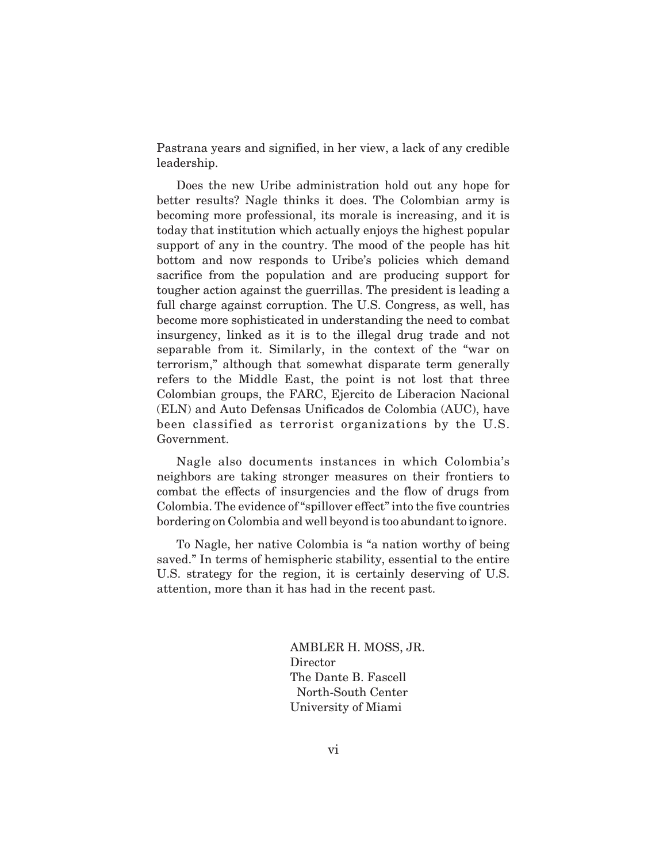Pastrana years and signified, in her view, a lack of any credible leadership.

Does the new Uribe administration hold out any hope for better results? Nagle thinks it does. The Colombian army is becoming more professional, its morale is increasing, and it is today that institution which actually enjoys the highest popular support of any in the country. The mood of the people has hit bottom and now responds to Uribe's policies which demand sacrifice from the population and are producing support for tougher action against the guerrillas. The president is leading a full charge against corruption. The U.S. Congress, as well, has become more sophisticated in understanding the need to combat insurgency, linked as it is to the illegal drug trade and not separable from it. Similarly, in the context of the "war on terrorism," although that somewhat disparate term generally refers to the Middle East, the point is not lost that three Colombian groups, the FARC, Ejercito de Liberacion Nacional (ELN) and Auto Defensas Unificados de Colombia (AUC), have been classified as terrorist organizations by the U.S. Government.

Nagle also documents instances in which Colombia's neighbors are taking stronger measures on their frontiers to combat the effects of insurgencies and the flow of drugs from Colombia. The evidence of "spillover effect" into the five countries bordering on Colombia and well beyond is too abundant to ignore.

To Nagle, her native Colombia is "a nation worthy of being saved." In terms of hemispheric stability, essential to the entire U.S. strategy for the region, it is certainly deserving of U.S. attention, more than it has had in the recent past.

> AMBLER H. MOSS, JR. Director The Dante B. Fascell North-South Center University of Miami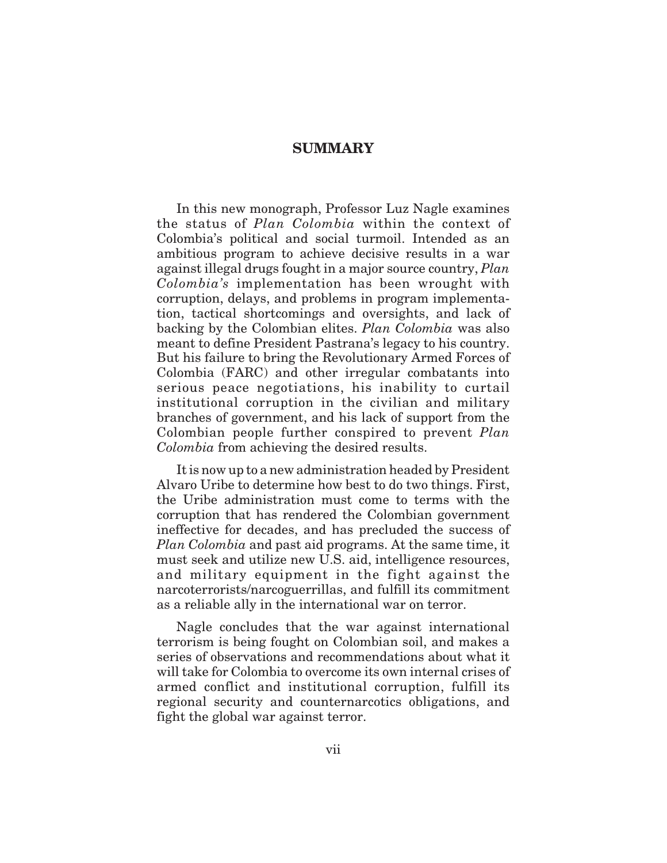# **SUMMARY**

In this new monograph, Professor Luz Nagle examines the status of *Plan Colombia* within the context of Colombia's political and social turmoil. Intended as an ambitious program to achieve decisive results in a war against illegal drugs fought in a major source country, *Plan Colombia's* implementation has been wrought with corruption, delays, and problems in program implementation, tactical shortcomings and oversights, and lack of backing by the Colombian elites. *Plan Colombia* was also meant to define President Pastrana's legacy to his country. But his failure to bring the Revolutionary Armed Forces of Colombia (FARC) and other irregular combatants into serious peace negotiations, his inability to curtail institutional corruption in the civilian and military branches of government, and his lack of support from the Colombian people further conspired to prevent *Plan Colombia* from achieving the desired results.

It is now up to a new administration headed by President Alvaro Uribe to determine how best to do two things. First, the Uribe administration must come to terms with the corruption that has rendered the Colombian government ineffective for decades, and has precluded the success of *Plan Colombia* and past aid programs. At the same time, it must seek and utilize new U.S. aid, intelligence resources, and military equipment in the fight against the narcoterrorists/narcoguerrillas, and fulfill its commitment as a reliable ally in the international war on terror.

Nagle concludes that the war against international terrorism is being fought on Colombian soil, and makes a series of observations and recommendations about what it will take for Colombia to overcome its own internal crises of armed conflict and institutional corruption, fulfill its regional security and counternarcotics obligations, and fight the global war against terror.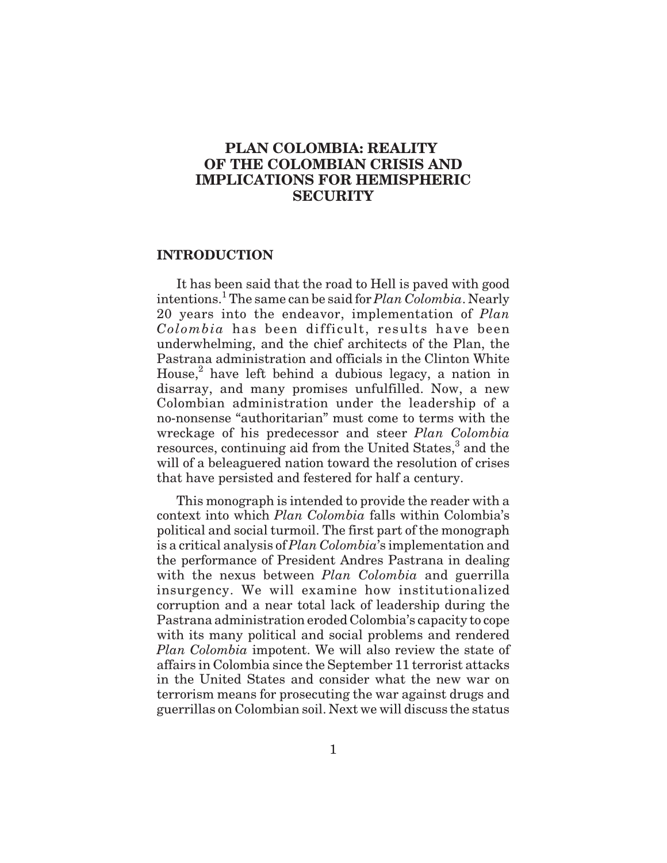# **PLAN COLOMBIA: REALITY OF THE COLOMBIAN CRISIS AND IMPLICATIONS FOR HEMISPHERIC SECURITY**

### **INTRODUCTION**

It has been said that the road to Hell is paved with good intentions.<sup>1</sup> The same can be said for *Plan Colombia*. Nearly 20 years into the endeavor, implementation of *Plan Colombia* has been difficult, results have been underwhelming, and the chief architects of the Plan, the Pastrana administration and officials in the Clinton White House, $^2$  have left behind a dubious legacy, a nation in disarray, and many promises unfulfilled. Now, a new Colombian administration under the leadership of a no-nonsense "authoritarian" must come to terms with the wreckage of his predecessor and steer *Plan Colombia* resources, continuing aid from the United States,<sup>3</sup> and the will of a beleaguered nation toward the resolution of crises that have persisted and festered for half a century.

This monograph is intended to provide the reader with a context into which *Plan Colombia* falls within Colombia's political and social turmoil. The first part of the monograph is a critical analysis of *Plan Colombia*'s implementation and the performance of President Andres Pastrana in dealing with the nexus between *Plan Colombia* and guerrilla insurgency. We will examine how institutionalized corruption and a near total lack of leadership during the Pastrana administration eroded Colombia's capacity to cope with its many political and social problems and rendered *Plan Colombia* impotent. We will also review the state of affairs in Colombia since the September 11 terrorist attacks in the United States and consider what the new war on terrorism means for prosecuting the war against drugs and guerrillas on Colombian soil. Next we will discuss the status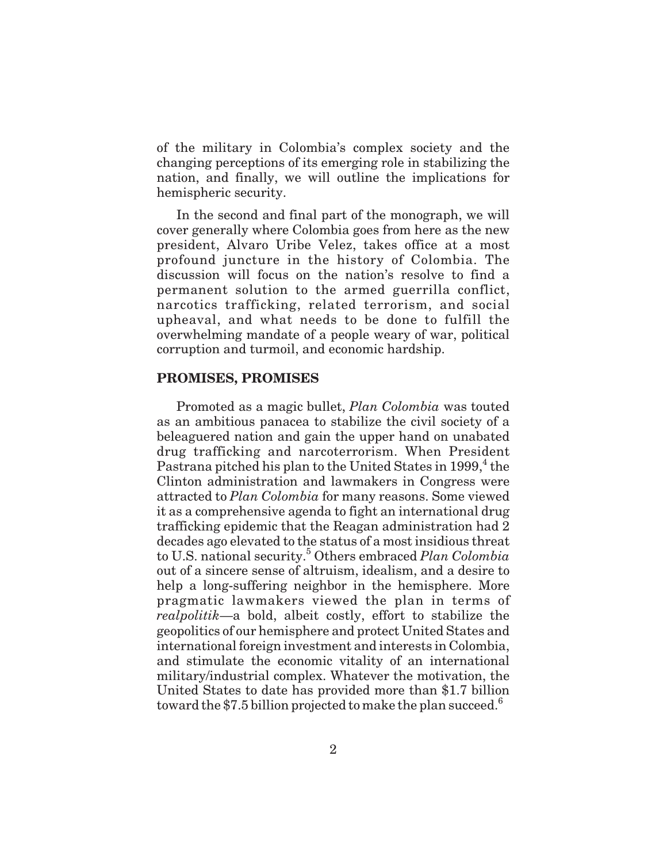of the military in Colombia's complex society and the changing perceptions of its emerging role in stabilizing the nation, and finally, we will outline the implications for hemispheric security.

In the second and final part of the monograph, we will cover generally where Colombia goes from here as the new president, Alvaro Uribe Velez, takes office at a most profound juncture in the history of Colombia. The discussion will focus on the nation's resolve to find a permanent solution to the armed guerrilla conflict, narcotics trafficking, related terrorism, and social upheaval, and what needs to be done to fulfill the overwhelming mandate of a people weary of war, political corruption and turmoil, and economic hardship.

### **PROMISES, PROMISES**

Promoted as a magic bullet, *Plan Colombia* was touted as an ambitious panacea to stabilize the civil society of a beleaguered nation and gain the upper hand on unabated drug trafficking and narcoterrorism. When President Pastrana pitched his plan to the United States in  $1999<sup>4</sup>$ , the Clinton administration and lawmakers in Congress were attracted to *Plan Colombia* for many reasons. Some viewed it as a comprehensive agenda to fight an international drug trafficking epidemic that the Reagan administration had 2 decades ago elevated to the status of a most insidious threat to U.S. national security.5 Others embraced *Plan Colombia* out of a sincere sense of altruism, idealism, and a desire to help a long-suffering neighbor in the hemisphere. More pragmatic lawmakers viewed the plan in terms of *realpolitik*—a bold, albeit costly, effort to stabilize the geopolitics of our hemisphere and protect United States and international foreign investment and interests in Colombia, and stimulate the economic vitality of an international military/industrial complex. Whatever the motivation, the United States to date has provided more than \$1.7 billion toward the \$7.5 billion projected to make the plan succeed.<sup>6</sup>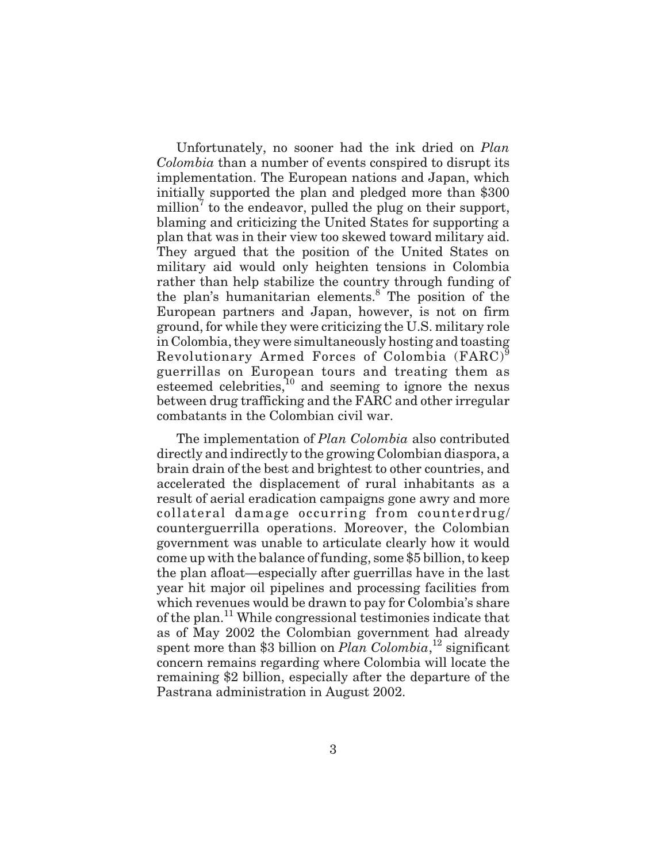Unfortunately, no sooner had the ink dried on *Plan Colombia* than a number of events conspired to disrupt its implementation. The European nations and Japan, which initially supported the plan and pledged more than \$300 million<sup> $\ell$ </sup> to the endeavor, pulled the plug on their support, blaming and criticizing the United States for supporting a plan that was in their view too skewed toward military aid. They argued that the position of the United States on military aid would only heighten tensions in Colombia rather than help stabilize the country through funding of the plan's humanitarian elements.8 The position of the European partners and Japan, however, is not on firm ground, for while they were criticizing the U.S. military role in Colombia, they were simultaneously hosting and toasting Revolutionary Armed Forces of Colombia (FARC)<sup>9</sup> guerrillas on European tours and treating them as esteemed celebrities, $10$  and seeming to ignore the nexus between drug trafficking and the FARC and other irregular combatants in the Colombian civil war.

The implementation of *Plan Colombia* also contributed directly and indirectly to the growing Colombian diaspora, a brain drain of the best and brightest to other countries, and accelerated the displacement of rural inhabitants as a result of aerial eradication campaigns gone awry and more collateral damage occurring from counterdrug/ counterguerrilla operations. Moreover, the Colombian government was unable to articulate clearly how it would come up with the balance of funding, some \$5 billion, to keep the plan afloat—especially after guerrillas have in the last year hit major oil pipelines and processing facilities from which revenues would be drawn to pay for Colombia's share of the plan.<sup>11</sup> While congressional testimonies indicate that as of May 2002 the Colombian government had already spent more than \$3 billion on *Plan Colombia*,<sup>12</sup> significant concern remains regarding where Colombia will locate the remaining \$2 billion, especially after the departure of the Pastrana administration in August 2002.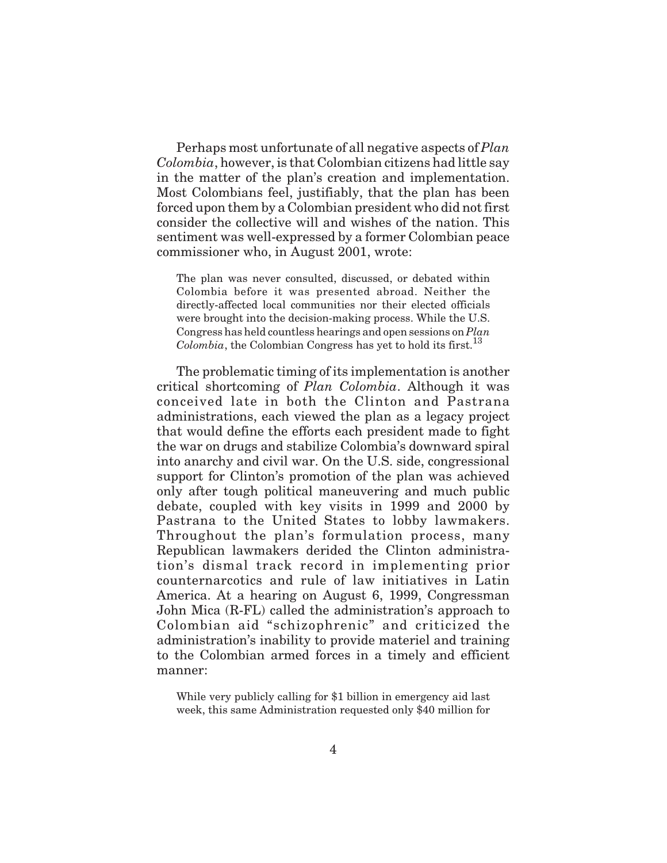Perhaps most unfortunate of all negative aspects of *Plan Colombia*, however, is that Colombian citizens had little say in the matter of the plan's creation and implementation. Most Colombians feel, justifiably, that the plan has been forced upon them by a Colombian president who did not first consider the collective will and wishes of the nation. This sentiment was well-expressed by a former Colombian peace commissioner who, in August 2001, wrote:

The plan was never consulted, discussed, or debated within Colombia before it was presented abroad. Neither the directly-affected local communities nor their elected officials were brought into the decision-making process. While the U.S. Congress has held countless hearings and open sessions on *Plan Colombia*, the Colombian Congress has yet to hold its first.<sup>13</sup>

The problematic timing of its implementation is another critical shortcoming of *Plan Colombia*. Although it was conceived late in both the Clinton and Pastrana administrations, each viewed the plan as a legacy project that would define the efforts each president made to fight the war on drugs and stabilize Colombia's downward spiral into anarchy and civil war. On the U.S. side, congressional support for Clinton's promotion of the plan was achieved only after tough political maneuvering and much public debate, coupled with key visits in 1999 and 2000 by Pastrana to the United States to lobby lawmakers. Throughout the plan's formulation process, many Republican lawmakers derided the Clinton administration's dismal track record in implementing prior counternarcotics and rule of law initiatives in Latin America. At a hearing on August 6, 1999, Congressman John Mica (R-FL) called the administration's approach to Colombian aid "schizophrenic" and criticized the administration's inability to provide materiel and training to the Colombian armed forces in a timely and efficient manner:

While very publicly calling for \$1 billion in emergency aid last week, this same Administration requested only \$40 million for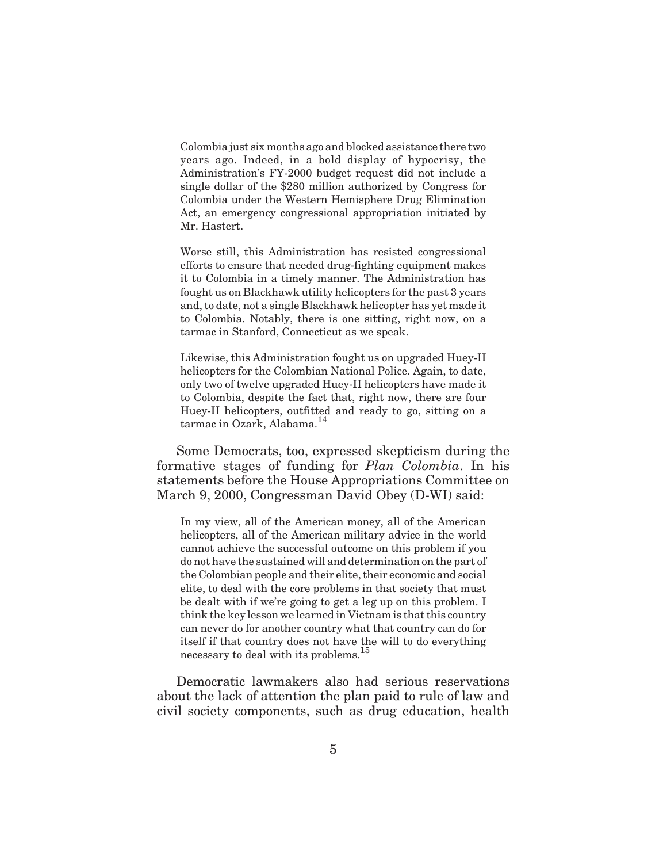Colombia just six months ago and blocked assistance there two years ago. Indeed, in a bold display of hypocrisy, the Administration's FY-2000 budget request did not include a single dollar of the \$280 million authorized by Congress for Colombia under the Western Hemisphere Drug Elimination Act, an emergency congressional appropriation initiated by Mr. Hastert.

Worse still, this Administration has resisted congressional efforts to ensure that needed drug-fighting equipment makes it to Colombia in a timely manner. The Administration has fought us on Blackhawk utility helicopters for the past 3 years and, to date, not a single Blackhawk helicopter has yet made it to Colombia. Notably, there is one sitting, right now, on a tarmac in Stanford, Connecticut as we speak.

Likewise, this Administration fought us on upgraded Huey-II helicopters for the Colombian National Police. Again, to date, only two of twelve upgraded Huey-II helicopters have made it to Colombia, despite the fact that, right now, there are four Huey-II helicopters, outfitted and ready to go, sitting on a tarmac in Ozark, Alabama.<sup>14</sup>

Some Democrats, too, expressed skepticism during the formative stages of funding for *Plan Colombia*. In his statements before the House Appropriations Committee on March 9, 2000, Congressman David Obey (D-WI) said:

In my view, all of the American money, all of the American helicopters, all of the American military advice in the world cannot achieve the successful outcome on this problem if you do not have the sustained will and determination on the part of the Colombian people and their elite, their economic and social elite, to deal with the core problems in that society that must be dealt with if we're going to get a leg up on this problem. I think the key lesson we learned in Vietnam is that this country can never do for another country what that country can do for itself if that country does not have the will to do everything necessary to deal with its problems.<sup>15</sup>

Democratic lawmakers also had serious reservations about the lack of attention the plan paid to rule of law and civil society components, such as drug education, health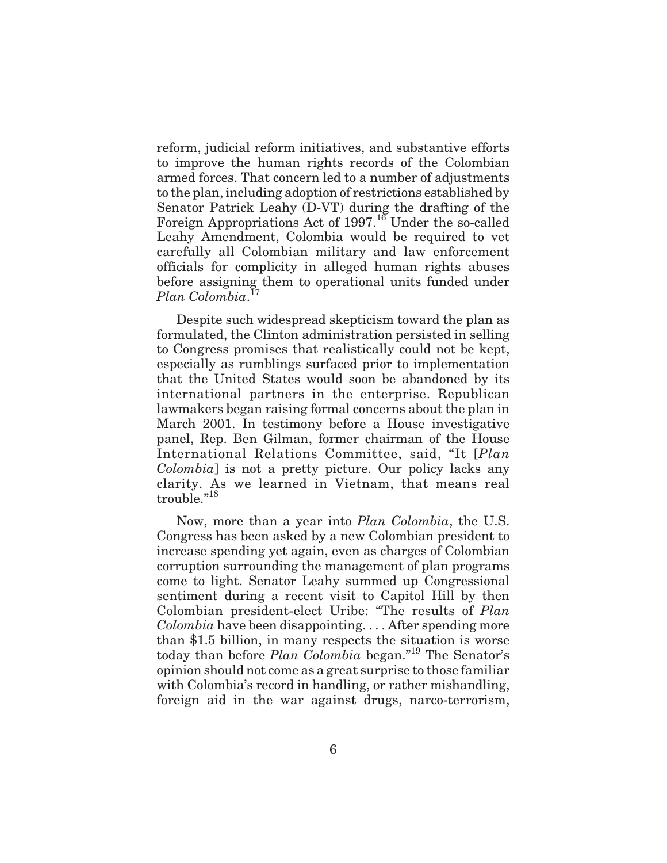reform, judicial reform initiatives, and substantive efforts to improve the human rights records of the Colombian armed forces. That concern led to a number of adjustments to the plan, including adoption of restrictions established by Senator Patrick Leahy (D-VT) during the drafting of the Foreign Appropriations Act of 1997.<sup>16</sup> Under the so-called Leahy Amendment, Colombia would be required to vet carefully all Colombian military and law enforcement officials for complicity in alleged human rights abuses before assigning them to operational units funded under *Plan Colombia*. 17

Despite such widespread skepticism toward the plan as formulated, the Clinton administration persisted in selling to Congress promises that realistically could not be kept, especially as rumblings surfaced prior to implementation that the United States would soon be abandoned by its international partners in the enterprise. Republican lawmakers began raising formal concerns about the plan in March 2001. In testimony before a House investigative panel, Rep. Ben Gilman, former chairman of the House International Relations Committee, said, "It [*Plan Colombia*] is not a pretty picture. Our policy lacks any clarity. As we learned in Vietnam, that means real trouble."<sup>18</sup>

Now, more than a year into *Plan Colombia*, the U.S. Congress has been asked by a new Colombian president to increase spending yet again, even as charges of Colombian corruption surrounding the management of plan programs come to light. Senator Leahy summed up Congressional sentiment during a recent visit to Capitol Hill by then Colombian president-elect Uribe: "The results of *Plan Colombia* have been disappointing. . . . After spending more than \$1.5 billion, in many respects the situation is worse today than before *Plan Colombia* began."<sup>19</sup> The Senator's opinion should not come as a great surprise to those familiar with Colombia's record in handling, or rather mishandling, foreign aid in the war against drugs, narco-terrorism,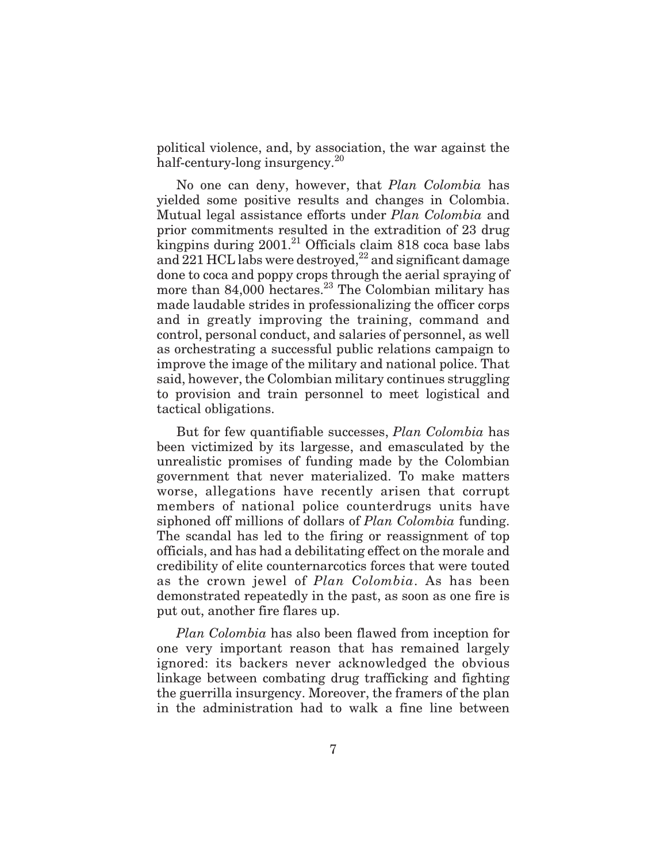political violence, and, by association, the war against the half-century-long insurgency.<sup>20</sup>

No one can deny, however, that *Plan Colombia* has yielded some positive results and changes in Colombia. Mutual legal assistance efforts under *Plan Colombia* and prior commitments resulted in the extradition of 23 drug kingpins during  $2001<sup>21</sup>$  Officials claim 818 coca base labs and  $221$  HCL labs were destroyed,<sup>22</sup> and significant damage done to coca and poppy crops through the aerial spraying of more than  $84,000$  hectares.<sup>23</sup> The Colombian military has made laudable strides in professionalizing the officer corps and in greatly improving the training, command and control, personal conduct, and salaries of personnel, as well as orchestrating a successful public relations campaign to improve the image of the military and national police. That said, however, the Colombian military continues struggling to provision and train personnel to meet logistical and tactical obligations.

But for few quantifiable successes, *Plan Colombia* has been victimized by its largesse, and emasculated by the unrealistic promises of funding made by the Colombian government that never materialized. To make matters worse, allegations have recently arisen that corrupt members of national police counterdrugs units have siphoned off millions of dollars of *Plan Colombia* funding. The scandal has led to the firing or reassignment of top officials, and has had a debilitating effect on the morale and credibility of elite counternarcotics forces that were touted as the crown jewel of *Plan Colombia*. As has been demonstrated repeatedly in the past, as soon as one fire is put out, another fire flares up.

*Plan Colombia* has also been flawed from inception for one very important reason that has remained largely ignored: its backers never acknowledged the obvious linkage between combating drug trafficking and fighting the guerrilla insurgency. Moreover, the framers of the plan in the administration had to walk a fine line between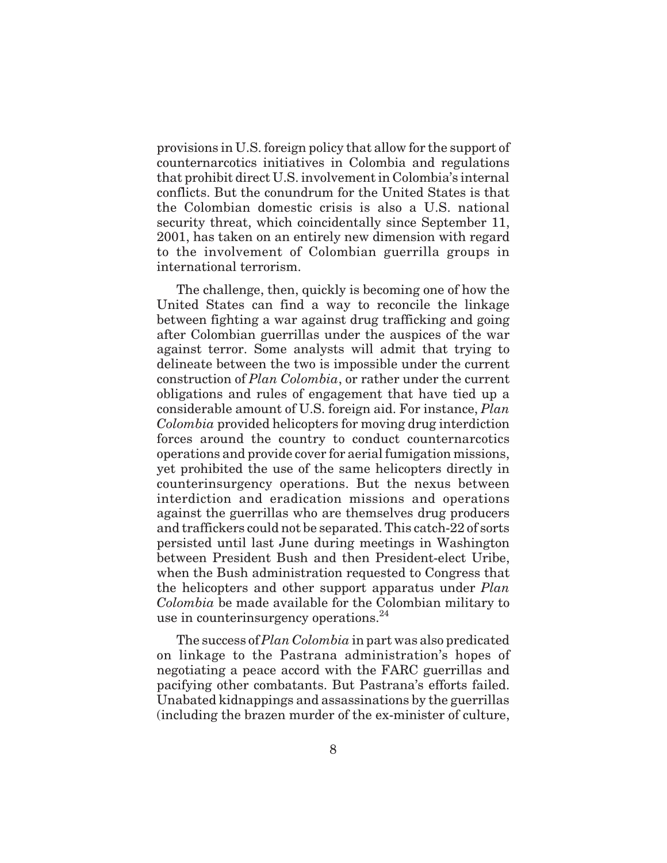provisions in U.S. foreign policy that allow for the support of counternarcotics initiatives in Colombia and regulations that prohibit direct U.S. involvement in Colombia's internal conflicts. But the conundrum for the United States is that the Colombian domestic crisis is also a U.S. national security threat, which coincidentally since September 11, 2001, has taken on an entirely new dimension with regard to the involvement of Colombian guerrilla groups in international terrorism.

The challenge, then, quickly is becoming one of how the United States can find a way to reconcile the linkage between fighting a war against drug trafficking and going after Colombian guerrillas under the auspices of the war against terror. Some analysts will admit that trying to delineate between the two is impossible under the current construction of *Plan Colombia*, or rather under the current obligations and rules of engagement that have tied up a considerable amount of U.S. foreign aid. For instance, *Plan Colombia* provided helicopters for moving drug interdiction forces around the country to conduct counternarcotics operations and provide cover for aerial fumigation missions, yet prohibited the use of the same helicopters directly in counterinsurgency operations. But the nexus between interdiction and eradication missions and operations against the guerrillas who are themselves drug producers and traffickers could not be separated. This catch-22 of sorts persisted until last June during meetings in Washington between President Bush and then President-elect Uribe, when the Bush administration requested to Congress that the helicopters and other support apparatus under *Plan Colombia* be made available for the Colombian military to use in counterinsurgency operations.<sup>24</sup>

The success of *Plan Colombia* in part was also predicated on linkage to the Pastrana administration's hopes of negotiating a peace accord with the FARC guerrillas and pacifying other combatants. But Pastrana's efforts failed. Unabated kidnappings and assassinations by the guerrillas (including the brazen murder of the ex-minister of culture,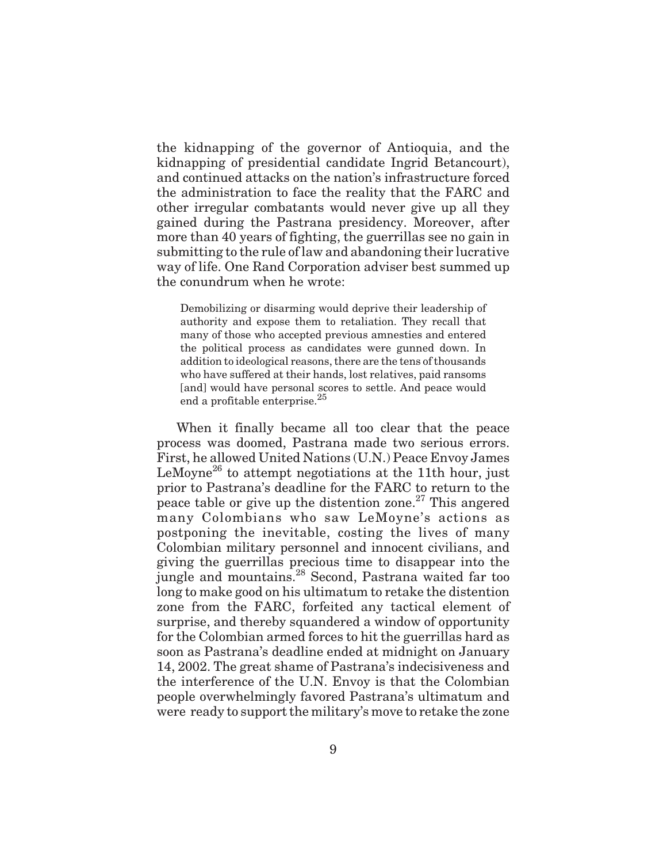the kidnapping of the governor of Antioquia, and the kidnapping of presidential candidate Ingrid Betancourt), and continued attacks on the nation's infrastructure forced the administration to face the reality that the FARC and other irregular combatants would never give up all they gained during the Pastrana presidency. Moreover, after more than 40 years of fighting, the guerrillas see no gain in submitting to the rule of law and abandoning their lucrative way of life. One Rand Corporation adviser best summed up the conundrum when he wrote:

Demobilizing or disarming would deprive their leadership of authority and expose them to retaliation. They recall that many of those who accepted previous amnesties and entered the political process as candidates were gunned down. In addition to ideological reasons, there are the tens of thousands who have suffered at their hands, lost relatives, paid ransoms [and] would have personal scores to settle. And peace would end a profitable enterprise. $^{25}$ 

When it finally became all too clear that the peace process was doomed, Pastrana made two serious errors. First, he allowed United Nations (U.N.) Peace Envoy James LeMoyne<sup>26</sup> to attempt negotiations at the 11th hour, just prior to Pastrana's deadline for the FARC to return to the peace table or give up the distention zone.<sup>27</sup> This angered many Colombians who saw LeMoyne's actions as postponing the inevitable, costing the lives of many Colombian military personnel and innocent civilians, and giving the guerrillas precious time to disappear into the jungle and mountains.<sup>28</sup> Second, Pastrana waited far too long to make good on his ultimatum to retake the distention zone from the FARC, forfeited any tactical element of surprise, and thereby squandered a window of opportunity for the Colombian armed forces to hit the guerrillas hard as soon as Pastrana's deadline ended at midnight on January 14, 2002. The great shame of Pastrana's indecisiveness and the interference of the U.N. Envoy is that the Colombian people overwhelmingly favored Pastrana's ultimatum and were ready to support the military's move to retake the zone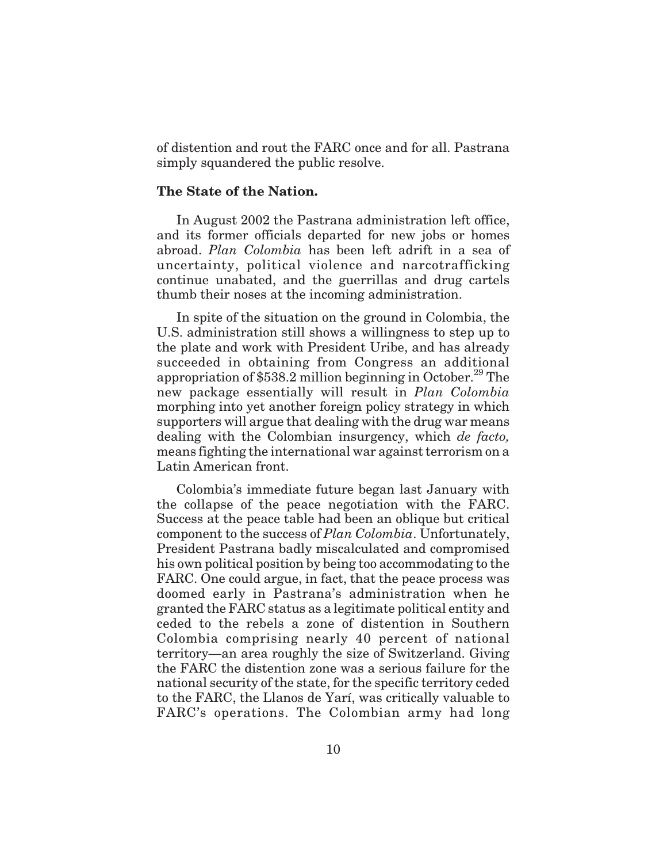of distention and rout the FARC once and for all. Pastrana simply squandered the public resolve.

# **The State of the Nation.**

In August 2002 the Pastrana administration left office, and its former officials departed for new jobs or homes abroad. *Plan Colombia* has been left adrift in a sea of uncertainty, political violence and narcotrafficking continue unabated, and the guerrillas and drug cartels thumb their noses at the incoming administration.

In spite of the situation on the ground in Colombia, the U.S. administration still shows a willingness to step up to the plate and work with President Uribe, and has already succeeded in obtaining from Congress an additional appropriation of  $$538.2$  million beginning in October.<sup>29</sup> The new package essentially will result in *Plan Colombia* morphing into yet another foreign policy strategy in which supporters will argue that dealing with the drug war means dealing with the Colombian insurgency, which *de facto,* means fighting the international war against terrorism on a Latin American front.

Colombia's immediate future began last January with the collapse of the peace negotiation with the FARC. Success at the peace table had been an oblique but critical component to the success of *Plan Colombia*. Unfortunately, President Pastrana badly miscalculated and compromised his own political position by being too accommodating to the FARC. One could argue, in fact, that the peace process was doomed early in Pastrana's administration when he granted the FARC status as a legitimate political entity and ceded to the rebels a zone of distention in Southern Colombia comprising nearly 40 percent of national territory—an area roughly the size of Switzerland. Giving the FARC the distention zone was a serious failure for the national security of the state, for the specific territory ceded to the FARC, the Llanos de Yarí, was critically valuable to FARC's operations. The Colombian army had long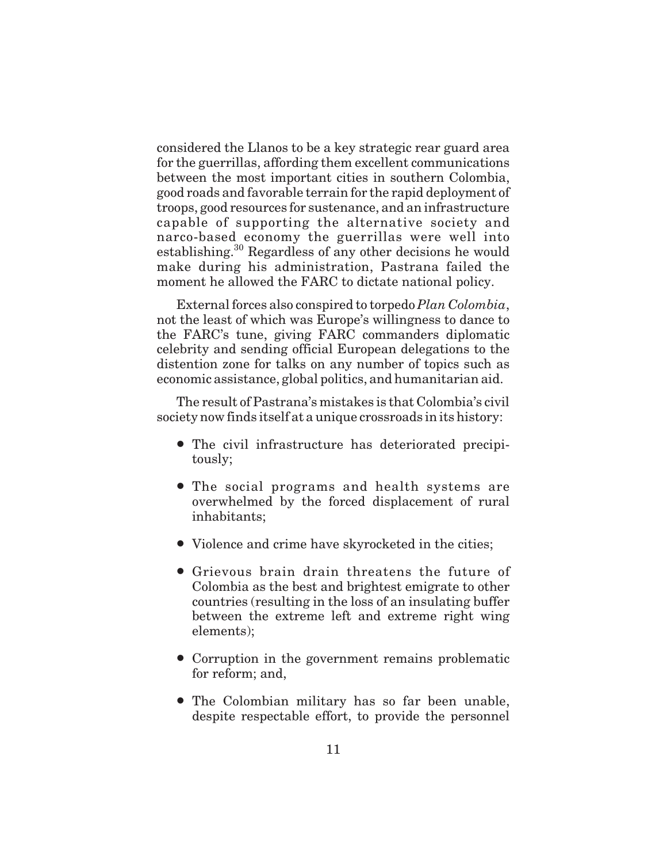considered the Llanos to be a key strategic rear guard area for the guerrillas, affording them excellent communications between the most important cities in southern Colombia, good roads and favorable terrain for the rapid deployment of troops, good resources for sustenance, and an infrastructure capable of supporting the alternative society and narco-based economy the guerrillas were well into establishing.<sup>30</sup> Regardless of any other decisions he would make during his administration, Pastrana failed the moment he allowed the FARC to dictate national policy.

External forces also conspired to torpedo *Plan Colombia*, not the least of which was Europe's willingness to dance to the FARC's tune, giving FARC commanders diplomatic celebrity and sending official European delegations to the distention zone for talks on any number of topics such as economic assistance, global politics, and humanitarian aid.

The result of Pastrana's mistakes is that Colombia's civil society now finds itself at a unique crossroads in its history:

- The civil infrastructure has deteriorated precipitously;
- The social programs and health systems are overwhelmed by the forced displacement of rural inhabitants;
- Violence and crime have skyrocketed in the cities;
- Grievous brain drain threatens the future of Colombia as the best and brightest emigrate to other countries (resulting in the loss of an insulating buffer between the extreme left and extreme right wing elements);
- Corruption in the government remains problematic for reform; and,
- The Colombian military has so far been unable, despite respectable effort, to provide the personnel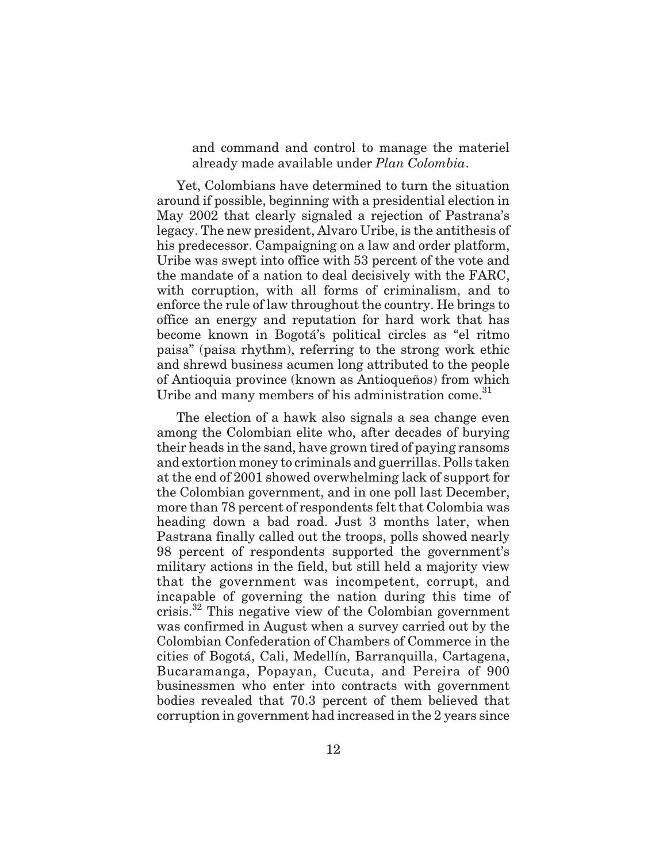and command and control to manage the materiel already made available under *Plan Colombia*.

Yet, Colombians have determined to turn the situation around if possible, beginning with a presidential election in May 2002 that clearly signaled a rejection of Pastrana's legacy. The new president, Alvaro Uribe, is the antithesis of his predecessor. Campaigning on a law and order platform, Uribe was swept into office with 53 percent of the vote and the mandate of a nation to deal decisively with the FARC, with corruption, with all forms of criminalism, and to enforce the rule of law throughout the country. He brings to office an energy and reputation for hard work that has become known in Bogotá's political circles as "el ritmo paisa" (paisa rhythm), referring to the strong work ethic and shrewd business acumen long attributed to the people of Antioquia province (known as Antioqueños) from which Uribe and many members of his administration come.<sup>31</sup>

The election of a hawk also signals a sea change even among the Colombian elite who, after decades of burying their heads in the sand, have grown tired of paying ransoms and extortion money to criminals and guerrillas. Polls taken at the end of 2001 showed overwhelming lack of support for the Colombian government, and in one poll last December, more than 78 percent of respondents felt that Colombia was heading down a bad road. Just 3 months later, when Pastrana finally called out the troops, polls showed nearly 98 percent of respondents supported the government's military actions in the field, but still held a majority view that the government was incompetent, corrupt, and incapable of governing the nation during this time of crisis.<sup>32</sup> This negative view of the Colombian government was confirmed in August when a survey carried out by the Colombian Confederation of Chambers of Commerce in the cities of Bogotá, Cali, Medellín, Barranquilla, Cartagena, Bucaramanga, Popayan, Cucuta, and Pereira of 900 businessmen who enter into contracts with government bodies revealed that 70.3 percent of them believed that corruption in government had increased in the 2 years since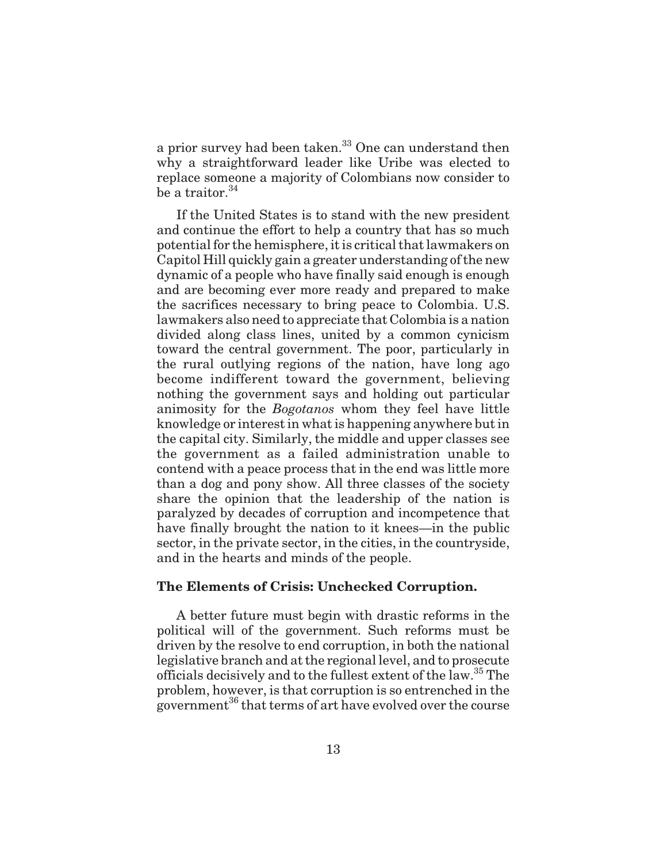a prior survey had been taken.<sup>33</sup> One can understand then why a straightforward leader like Uribe was elected to replace someone a majority of Colombians now consider to be a traitor. $34$ 

If the United States is to stand with the new president and continue the effort to help a country that has so much potential for the hemisphere, it is critical that lawmakers on Capitol Hill quickly gain a greater understanding of the new dynamic of a people who have finally said enough is enough and are becoming ever more ready and prepared to make the sacrifices necessary to bring peace to Colombia. U.S. lawmakers also need to appreciate that Colombia is a nation divided along class lines, united by a common cynicism toward the central government. The poor, particularly in the rural outlying regions of the nation, have long ago become indifferent toward the government, believing nothing the government says and holding out particular animosity for the *Bogotanos* whom they feel have little knowledge or interest in what is happening anywhere but in the capital city. Similarly, the middle and upper classes see the government as a failed administration unable to contend with a peace process that in the end was little more than a dog and pony show. All three classes of the society share the opinion that the leadership of the nation is paralyzed by decades of corruption and incompetence that have finally brought the nation to it knees—in the public sector, in the private sector, in the cities, in the countryside, and in the hearts and minds of the people.

# **The Elements of Crisis: Unchecked Corruption.**

A better future must begin with drastic reforms in the political will of the government. Such reforms must be driven by the resolve to end corruption, in both the national legislative branch and at the regional level, and to prosecute officials decisively and to the fullest extent of the law.<sup>35</sup> The problem, however, is that corruption is so entrenched in the government<sup>36</sup> that terms of art have evolved over the course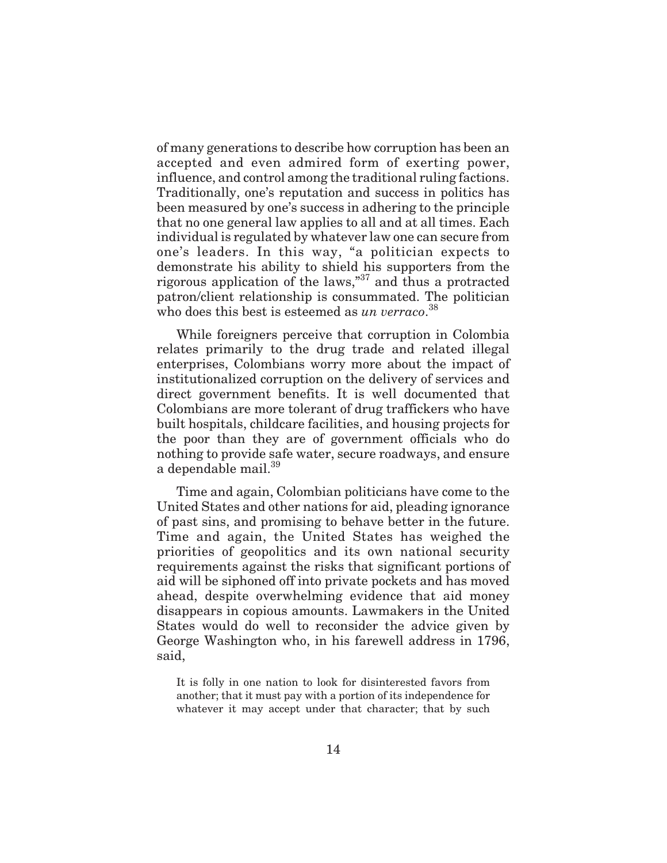of many generations to describe how corruption has been an accepted and even admired form of exerting power, influence, and control among the traditional ruling factions. Traditionally, one's reputation and success in politics has been measured by one's success in adhering to the principle that no one general law applies to all and at all times. Each individual is regulated by whatever law one can secure from one's leaders. In this way, "a politician expects to demonstrate his ability to shield his supporters from the rigorous application of the laws,"37 and thus a protracted patron/client relationship is consummated. The politician who does this best is esteemed as *un verraco*.<sup>38</sup>

While foreigners perceive that corruption in Colombia relates primarily to the drug trade and related illegal enterprises, Colombians worry more about the impact of institutionalized corruption on the delivery of services and direct government benefits. It is well documented that Colombians are more tolerant of drug traffickers who have built hospitals, childcare facilities, and housing projects for the poor than they are of government officials who do nothing to provide safe water, secure roadways, and ensure a dependable mail.<sup>39</sup>

Time and again, Colombian politicians have come to the United States and other nations for aid, pleading ignorance of past sins, and promising to behave better in the future. Time and again, the United States has weighed the priorities of geopolitics and its own national security requirements against the risks that significant portions of aid will be siphoned off into private pockets and has moved ahead, despite overwhelming evidence that aid money disappears in copious amounts. Lawmakers in the United States would do well to reconsider the advice given by George Washington who, in his farewell address in 1796, said,

It is folly in one nation to look for disinterested favors from another; that it must pay with a portion of its independence for whatever it may accept under that character; that by such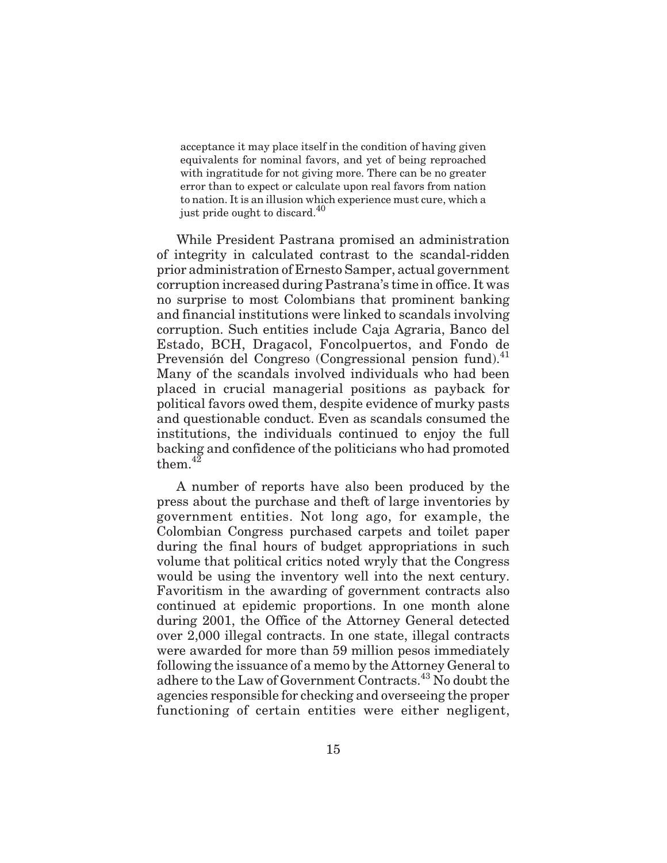acceptance it may place itself in the condition of having given equivalents for nominal favors, and yet of being reproached with ingratitude for not giving more. There can be no greater error than to expect or calculate upon real favors from nation to nation. It is an illusion which experience must cure, which a just pride ought to discard.<sup>40</sup>

While President Pastrana promised an administration of integrity in calculated contrast to the scandal-ridden prior administration of Ernesto Samper, actual government corruption increased during Pastrana's time in office. It was no surprise to most Colombians that prominent banking and financial institutions were linked to scandals involving corruption. Such entities include Caja Agraria, Banco del Estado, BCH, Dragacol, Foncolpuertos, and Fondo de Prevensión del Congreso (Congressional pension fund).<sup>41</sup> Many of the scandals involved individuals who had been placed in crucial managerial positions as payback for political favors owed them, despite evidence of murky pasts and questionable conduct. Even as scandals consumed the institutions, the individuals continued to enjoy the full backing and confidence of the politicians who had promoted them  $4\overline{2}$ 

A number of reports have also been produced by the press about the purchase and theft of large inventories by government entities. Not long ago, for example, the Colombian Congress purchased carpets and toilet paper during the final hours of budget appropriations in such volume that political critics noted wryly that the Congress would be using the inventory well into the next century. Favoritism in the awarding of government contracts also continued at epidemic proportions. In one month alone during 2001, the Office of the Attorney General detected over 2,000 illegal contracts. In one state, illegal contracts were awarded for more than 59 million pesos immediately following the issuance of a memo by the Attorney General to adhere to the Law of Government Contracts.<sup>43</sup> No doubt the agencies responsible for checking and overseeing the proper functioning of certain entities were either negligent,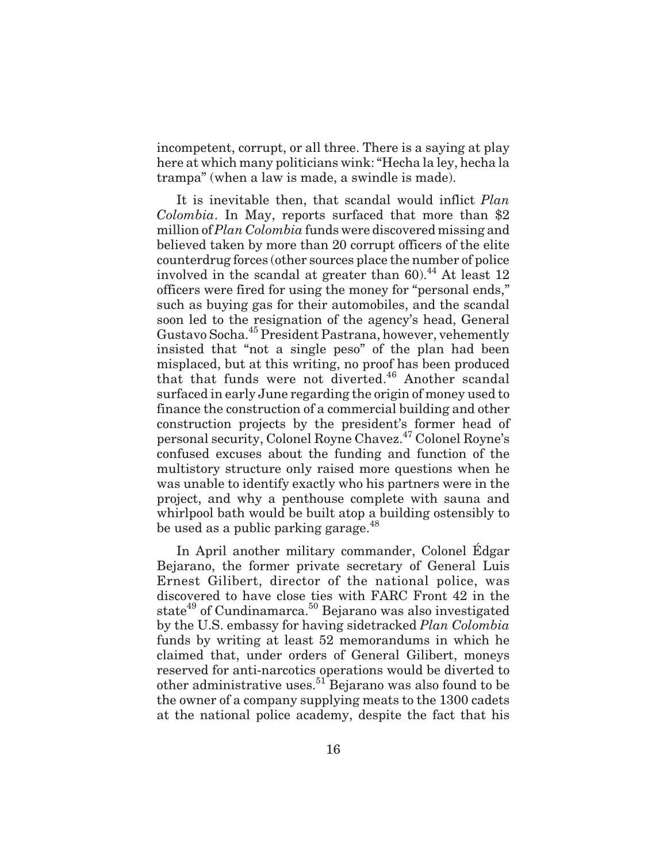incompetent, corrupt, or all three. There is a saying at play here at which many politicians wink: "Hecha la ley, hecha la trampa" (when a law is made, a swindle is made).

It is inevitable then, that scandal would inflict *Plan Colombia*. In May, reports surfaced that more than \$2 million of*Plan Colombia* funds were discovered missing and believed taken by more than 20 corrupt officers of the elite counterdrug forces (other sources place the number of police involved in the scandal at greater than  $60$ <sup>44</sup> At least 12 officers were fired for using the money for "personal ends," such as buying gas for their automobiles, and the scandal soon led to the resignation of the agency's head, General Gustavo Socha.45 President Pastrana, however, vehemently insisted that "not a single peso" of the plan had been misplaced, but at this writing, no proof has been produced that that funds were not diverted.<sup>46</sup> Another scandal surfaced in early June regarding the origin of money used to finance the construction of a commercial building and other construction projects by the president's former head of personal security, Colonel Royne Chavez.47 Colonel Royne's confused excuses about the funding and function of the multistory structure only raised more questions when he was unable to identify exactly who his partners were in the project, and why a penthouse complete with sauna and whirlpool bath would be built atop a building ostensibly to be used as a public parking garage. $^{48}$ 

In April another military commander, Colonel Édgar Bejarano, the former private secretary of General Luis Ernest Gilibert, director of the national police, was discovered to have close ties with FARC Front 42 in the state<sup>49</sup> of Cundinamarca.<sup>50</sup> Bejarano was also investigated by the U.S. embassy for having sidetracked *Plan Colombia* funds by writing at least 52 memorandums in which he claimed that, under orders of General Gilibert, moneys reserved for anti-narcotics operations would be diverted to other administrative uses.<sup>51</sup> Bejarano was also found to be the owner of a company supplying meats to the 1300 cadets at the national police academy, despite the fact that his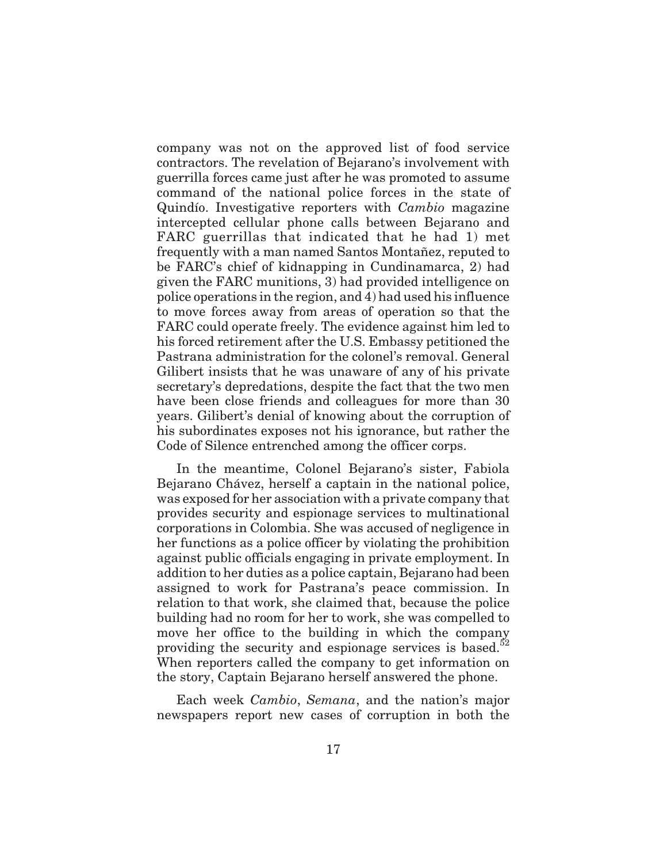company was not on the approved list of food service contractors. The revelation of Bejarano's involvement with guerrilla forces came just after he was promoted to assume command of the national police forces in the state of Quindío. Investigative reporters with *Cambio* magazine intercepted cellular phone calls between Bejarano and FARC guerrillas that indicated that he had 1) met frequently with a man named Santos Montañez, reputed to be FARC's chief of kidnapping in Cundinamarca, 2) had given the FARC munitions, 3) had provided intelligence on police operations in the region, and 4) had used his influence to move forces away from areas of operation so that the FARC could operate freely. The evidence against him led to his forced retirement after the U.S. Embassy petitioned the Pastrana administration for the colonel's removal. General Gilibert insists that he was unaware of any of his private secretary's depredations, despite the fact that the two men have been close friends and colleagues for more than 30 years. Gilibert's denial of knowing about the corruption of his subordinates exposes not his ignorance, but rather the Code of Silence entrenched among the officer corps.

In the meantime, Colonel Bejarano's sister, Fabiola Bejarano Chávez, herself a captain in the national police, was exposed for her association with a private company that provides security and espionage services to multinational corporations in Colombia. She was accused of negligence in her functions as a police officer by violating the prohibition against public officials engaging in private employment. In addition to her duties as a police captain, Bejarano had been assigned to work for Pastrana's peace commission. In relation to that work, she claimed that, because the police building had no room for her to work, she was compelled to move her office to the building in which the company providing the security and espionage services is based. $52$ When reporters called the company to get information on the story, Captain Bejarano herself answered the phone.

Each week *Cambio*, *Semana*, and the nation's major newspapers report new cases of corruption in both the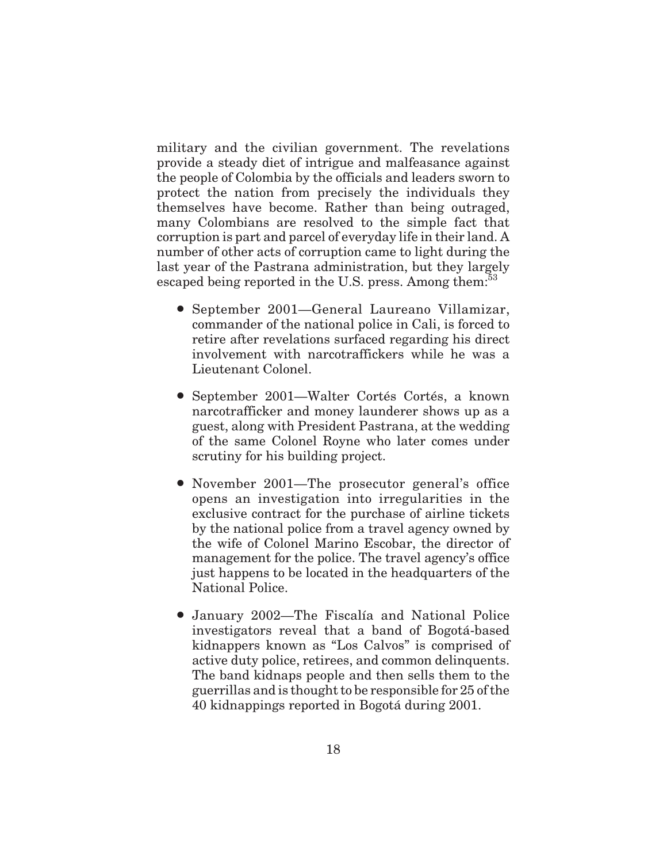military and the civilian government. The revelations provide a steady diet of intrigue and malfeasance against the people of Colombia by the officials and leaders sworn to protect the nation from precisely the individuals they themselves have become. Rather than being outraged, many Colombians are resolved to the simple fact that corruption is part and parcel of everyday life in their land. A number of other acts of corruption came to light during the last year of the Pastrana administration, but they largely escaped being reported in the U.S. press. Among them:<sup>53</sup>

- September 2001—General Laureano Villamizar, commander of the national police in Cali, is forced to retire after revelations surfaced regarding his direct involvement with narcotraffickers while he was a Lieutenant Colonel.
- September 2001—Walter Cortés Cortés, a known narcotrafficker and money launderer shows up as a guest, along with President Pastrana, at the wedding of the same Colonel Royne who later comes under scrutiny for his building project.
- November 2001—The prosecutor general's office opens an investigation into irregularities in the exclusive contract for the purchase of airline tickets by the national police from a travel agency owned by the wife of Colonel Marino Escobar, the director of management for the police. The travel agency's office just happens to be located in the headquarters of the National Police.
- January 2002—The Fiscalía and National Police investigators reveal that a band of Bogotá-based kidnappers known as "Los Calvos" is comprised of active duty police, retirees, and common delinquents. The band kidnaps people and then sells them to the guerrillas and is thought to be responsible for 25 of the 40 kidnappings reported in Bogotá during 2001.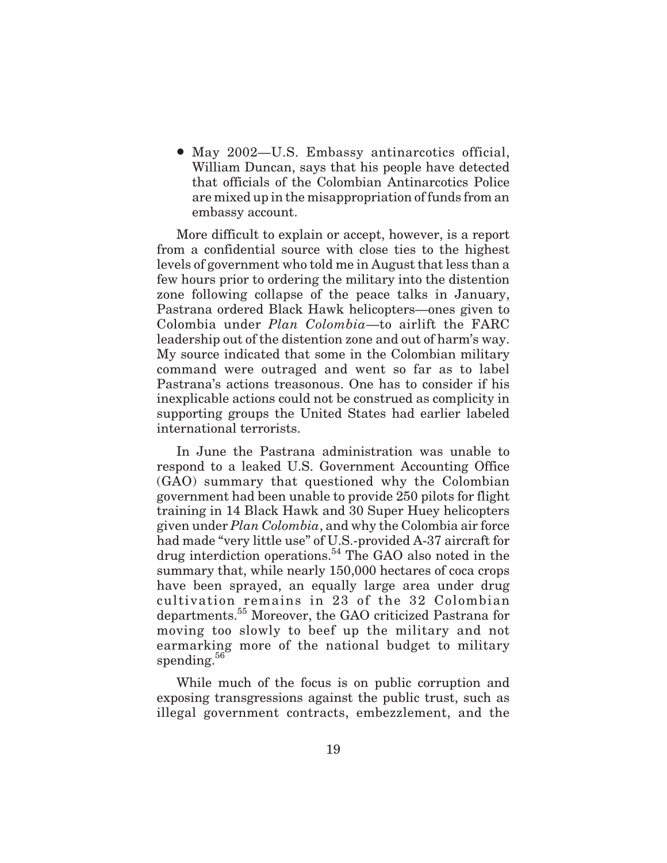• May 2002—U.S. Embassy antinarcotics official, William Duncan, says that his people have detected that officials of the Colombian Antinarcotics Police are mixed up in the misappropriation of funds from an embassy account.

More difficult to explain or accept, however, is a report from a confidential source with close ties to the highest levels of government who told me in August that less than a few hours prior to ordering the military into the distention zone following collapse of the peace talks in January, Pastrana ordered Black Hawk helicopters—ones given to Colombia under *Plan Colombia*—to airlift the FARC leadership out of the distention zone and out of harm's way. My source indicated that some in the Colombian military command were outraged and went so far as to label Pastrana's actions treasonous. One has to consider if his inexplicable actions could not be construed as complicity in supporting groups the United States had earlier labeled international terrorists.

In June the Pastrana administration was unable to respond to a leaked U.S. Government Accounting Office (GAO) summary that questioned why the Colombian government had been unable to provide 250 pilots for flight training in 14 Black Hawk and 30 Super Huey helicopters given under *Plan Colombia*, and why the Colombia air force had made "very little use" of U.S.-provided A-37 aircraft for drug interdiction operations.54 The GAO also noted in the summary that, while nearly 150,000 hectares of coca crops have been sprayed, an equally large area under drug cultivation remains in 23 of the 32 Colombian departments.<sup>55</sup> Moreover, the GAO criticized Pastrana for moving too slowly to beef up the military and not earmarking more of the national budget to military spending.<sup>56</sup>

While much of the focus is on public corruption and exposing transgressions against the public trust, such as illegal government contracts, embezzlement, and the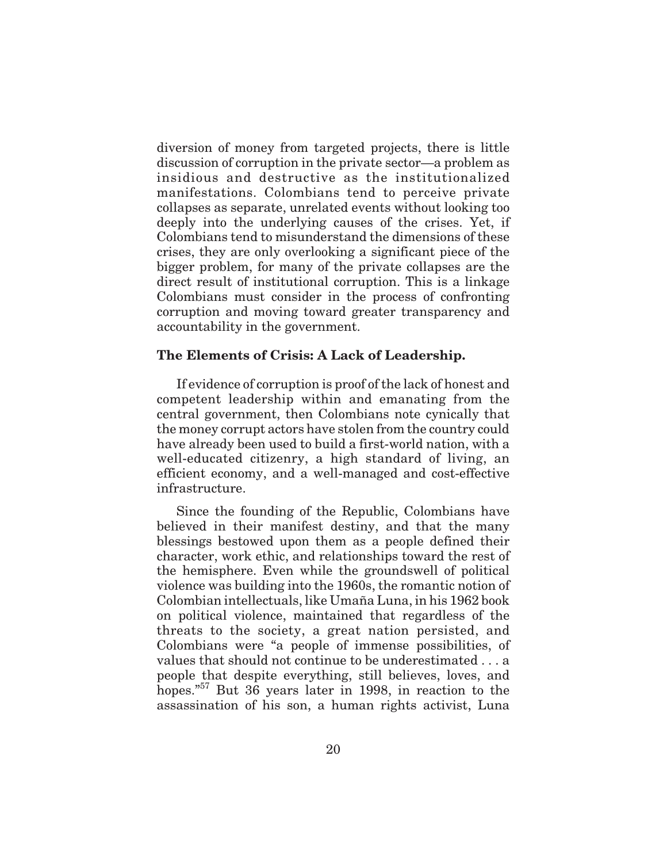diversion of money from targeted projects, there is little discussion of corruption in the private sector—a problem as insidious and destructive as the institutionalized manifestations. Colombians tend to perceive private collapses as separate, unrelated events without looking too deeply into the underlying causes of the crises. Yet, if Colombians tend to misunderstand the dimensions of these crises, they are only overlooking a significant piece of the bigger problem, for many of the private collapses are the direct result of institutional corruption. This is a linkage Colombians must consider in the process of confronting corruption and moving toward greater transparency and accountability in the government.

# **The Elements of Crisis: A Lack of Leadership.**

If evidence of corruption is proof of the lack of honest and competent leadership within and emanating from the central government, then Colombians note cynically that the money corrupt actors have stolen from the country could have already been used to build a first-world nation, with a well-educated citizenry, a high standard of living, an efficient economy, and a well-managed and cost-effective infrastructure.

Since the founding of the Republic, Colombians have believed in their manifest destiny, and that the many blessings bestowed upon them as a people defined their character, work ethic, and relationships toward the rest of the hemisphere. Even while the groundswell of political violence was building into the 1960s, the romantic notion of Colombian intellectuals, like Umaña Luna, in his 1962 book on political violence, maintained that regardless of the threats to the society, a great nation persisted, and Colombians were "a people of immense possibilities, of values that should not continue to be underestimated ...a people that despite everything, still believes, loves, and hopes."<sup>57</sup> But 36 years later in 1998, in reaction to the assassination of his son, a human rights activist, Luna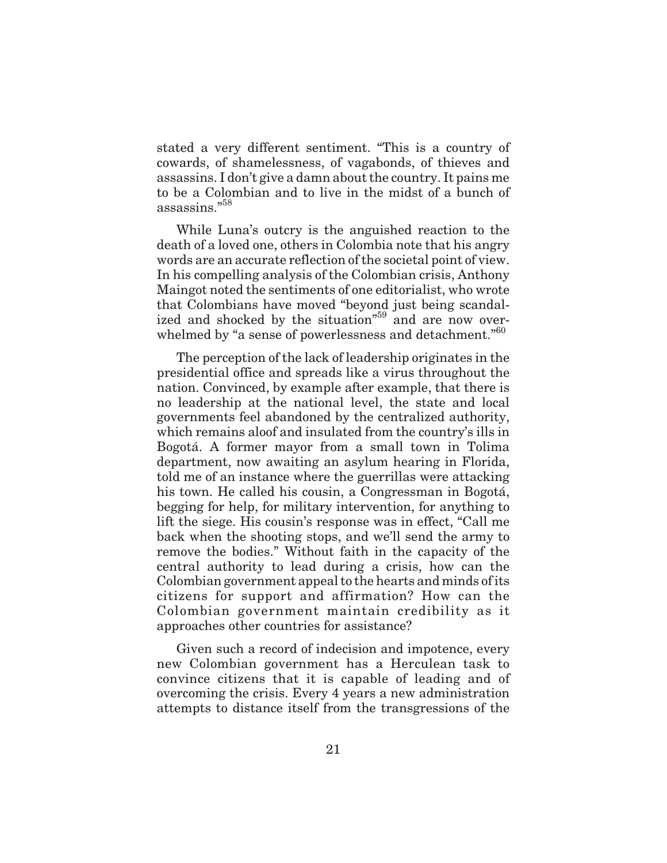stated a very different sentiment. "This is a country of cowards, of shamelessness, of vagabonds, of thieves and assassins. I don't give a damn about the country. It pains me to be a Colombian and to live in the midst of a bunch of assassins."<sup>58</sup>

While Luna's outcry is the anguished reaction to the death of a loved one, others in Colombia note that his angry words are an accurate reflection of the societal point of view. In his compelling analysis of the Colombian crisis, Anthony Maingot noted the sentiments of one editorialist, who wrote that Colombians have moved "beyond just being scandalized and shocked by the situation<sup>"59</sup> and are now overwhelmed by "a sense of powerlessness and detachment."<sup>60</sup>

The perception of the lack of leadership originates in the presidential office and spreads like a virus throughout the nation. Convinced, by example after example, that there is no leadership at the national level, the state and local governments feel abandoned by the centralized authority, which remains aloof and insulated from the country's ills in Bogotá. A former mayor from a small town in Tolima department, now awaiting an asylum hearing in Florida, told me of an instance where the guerrillas were attacking his town. He called his cousin, a Congressman in Bogotá, begging for help, for military intervention, for anything to lift the siege. His cousin's response was in effect, "Call me back when the shooting stops, and we'll send the army to remove the bodies." Without faith in the capacity of the central authority to lead during a crisis, how can the Colombian government appeal to the hearts and minds of its citizens for support and affirmation? How can the Colombian government maintain credibility as it approaches other countries for assistance?

Given such a record of indecision and impotence, every new Colombian government has a Herculean task to convince citizens that it is capable of leading and of overcoming the crisis. Every 4 years a new administration attempts to distance itself from the transgressions of the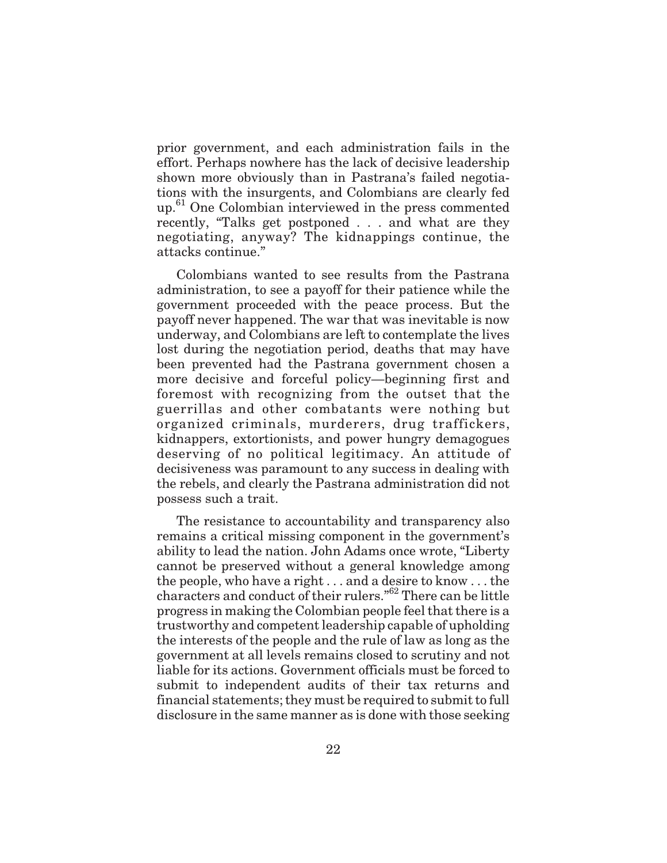prior government, and each administration fails in the effort. Perhaps nowhere has the lack of decisive leadership shown more obviously than in Pastrana's failed negotiations with the insurgents, and Colombians are clearly fed up.<sup>61</sup> One Colombian interviewed in the press commented recently, "Talks get postponed . . . and what are they negotiating, anyway? The kidnappings continue, the attacks continue."

Colombians wanted to see results from the Pastrana administration, to see a payoff for their patience while the government proceeded with the peace process. But the payoff never happened. The war that was inevitable is now underway, and Colombians are left to contemplate the lives lost during the negotiation period, deaths that may have been prevented had the Pastrana government chosen a more decisive and forceful policy—beginning first and foremost with recognizing from the outset that the guerrillas and other combatants were nothing but organized criminals, murderers, drug traffickers, kidnappers, extortionists, and power hungry demagogues deserving of no political legitimacy. An attitude of decisiveness was paramount to any success in dealing with the rebels, and clearly the Pastrana administration did not possess such a trait.

The resistance to accountability and transparency also remains a critical missing component in the government's ability to lead the nation. John Adams once wrote, "Liberty cannot be preserved without a general knowledge among the people, who have a right . . . and a desire to know . . . the characters and conduct of their rulers."62 There can be little progress in making the Colombian people feel that there is a trustworthy and competent leadership capable of upholding the interests of the people and the rule of law as long as the government at all levels remains closed to scrutiny and not liable for its actions. Government officials must be forced to submit to independent audits of their tax returns and financial statements; they must be required to submit to full disclosure in the same manner as is done with those seeking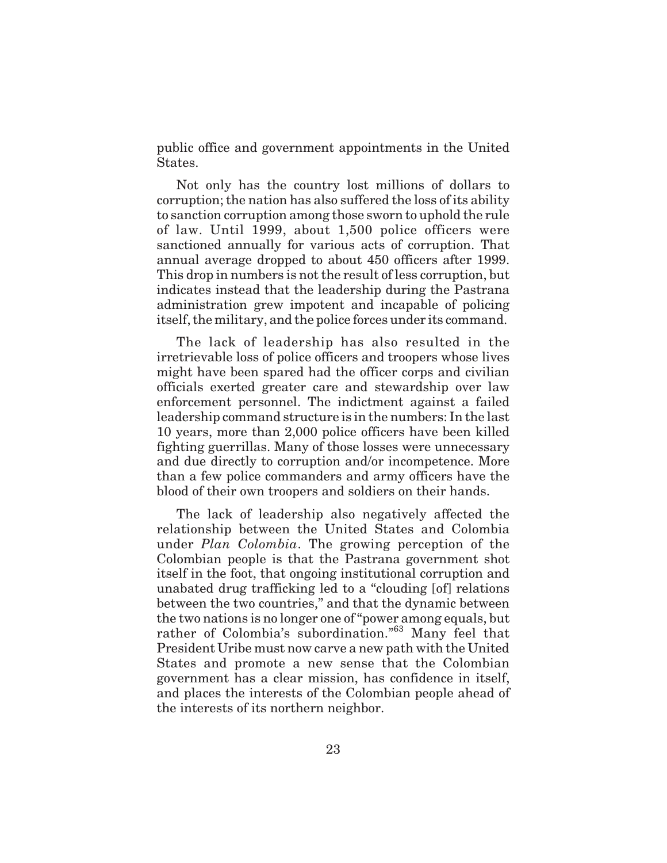public office and government appointments in the United States.

Not only has the country lost millions of dollars to corruption; the nation has also suffered the loss of its ability to sanction corruption among those sworn to uphold the rule of law. Until 1999, about 1,500 police officers were sanctioned annually for various acts of corruption. That annual average dropped to about 450 officers after 1999. This drop in numbers is not the result of less corruption, but indicates instead that the leadership during the Pastrana administration grew impotent and incapable of policing itself, the military, and the police forces under its command.

The lack of leadership has also resulted in the irretrievable loss of police officers and troopers whose lives might have been spared had the officer corps and civilian officials exerted greater care and stewardship over law enforcement personnel. The indictment against a failed leadership command structure is in the numbers: In the last 10 years, more than 2,000 police officers have been killed fighting guerrillas. Many of those losses were unnecessary and due directly to corruption and/or incompetence. More than a few police commanders and army officers have the blood of their own troopers and soldiers on their hands.

The lack of leadership also negatively affected the relationship between the United States and Colombia under *Plan Colombia*. The growing perception of the Colombian people is that the Pastrana government shot itself in the foot, that ongoing institutional corruption and unabated drug trafficking led to a "clouding [of] relations between the two countries," and that the dynamic between the two nations is no longer one of "power among equals, but rather of Colombia's subordination."<sup>63</sup> Many feel that President Uribe must now carve a new path with the United States and promote a new sense that the Colombian government has a clear mission, has confidence in itself, and places the interests of the Colombian people ahead of the interests of its northern neighbor.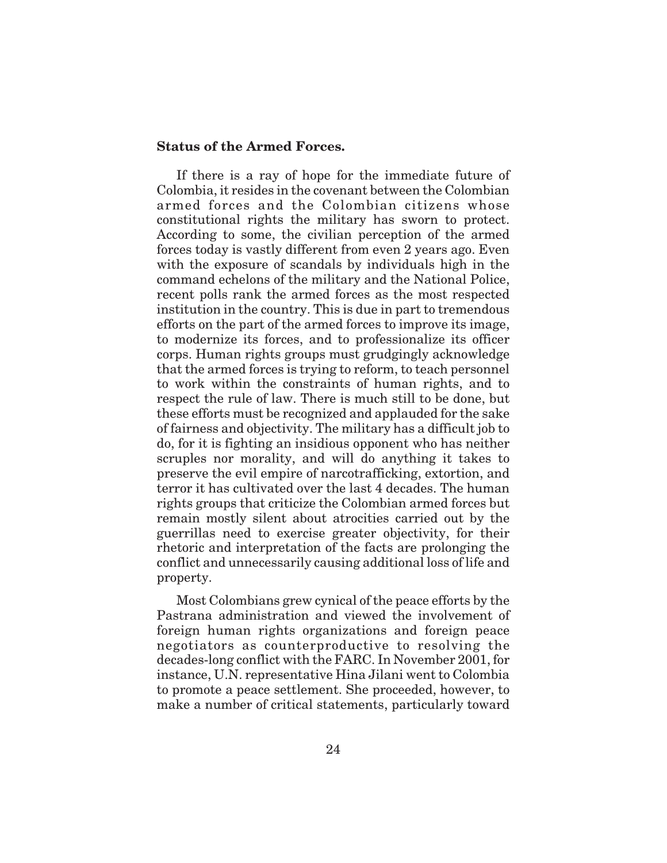# **Status of the Armed Forces.**

If there is a ray of hope for the immediate future of Colombia, it resides in the covenant between the Colombian armed forces and the Colombian citizens whose constitutional rights the military has sworn to protect. According to some, the civilian perception of the armed forces today is vastly different from even 2 years ago. Even with the exposure of scandals by individuals high in the command echelons of the military and the National Police, recent polls rank the armed forces as the most respected institution in the country. This is due in part to tremendous efforts on the part of the armed forces to improve its image, to modernize its forces, and to professionalize its officer corps. Human rights groups must grudgingly acknowledge that the armed forces is trying to reform, to teach personnel to work within the constraints of human rights, and to respect the rule of law. There is much still to be done, but these efforts must be recognized and applauded for the sake of fairness and objectivity. The military has a difficult job to do, for it is fighting an insidious opponent who has neither scruples nor morality, and will do anything it takes to preserve the evil empire of narcotrafficking, extortion, and terror it has cultivated over the last 4 decades. The human rights groups that criticize the Colombian armed forces but remain mostly silent about atrocities carried out by the guerrillas need to exercise greater objectivity, for their rhetoric and interpretation of the facts are prolonging the conflict and unnecessarily causing additional loss of life and property.

Most Colombians grew cynical of the peace efforts by the Pastrana administration and viewed the involvement of foreign human rights organizations and foreign peace negotiators as counterproductive to resolving the decades-long conflict with the FARC. In November 2001, for instance, U.N. representative Hina Jilani went to Colombia to promote a peace settlement. She proceeded, however, to make a number of critical statements, particularly toward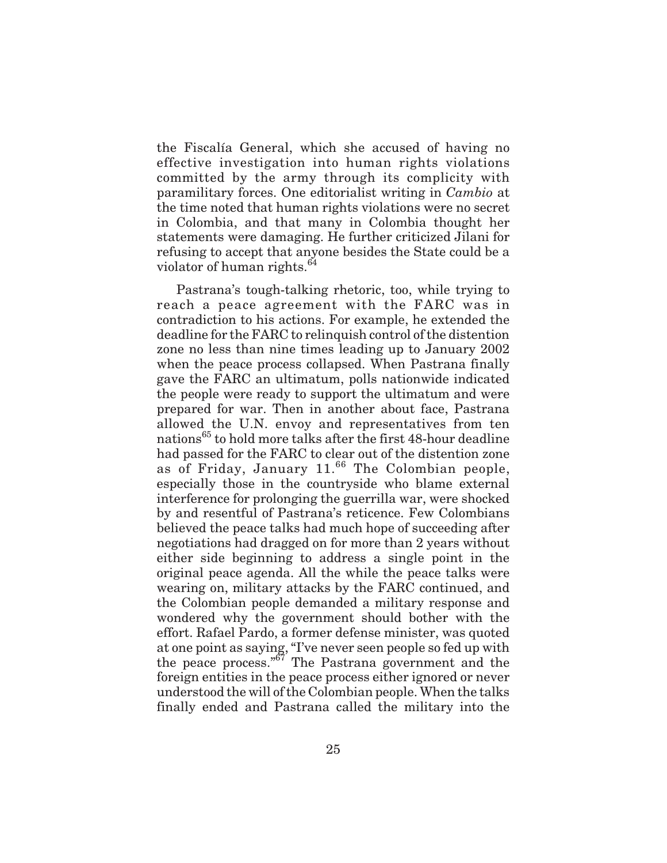the Fiscalía General, which she accused of having no effective investigation into human rights violations committed by the army through its complicity with paramilitary forces. One editorialist writing in *Cambio* at the time noted that human rights violations were no secret in Colombia, and that many in Colombia thought her statements were damaging. He further criticized Jilani for refusing to accept that anyone besides the State could be a violator of human rights.<sup>64</sup>

Pastrana's tough-talking rhetoric, too, while trying to reach a peace agreement with the FARC was in contradiction to his actions. For example, he extended the deadline for the FARC to relinquish control of the distention zone no less than nine times leading up to January 2002 when the peace process collapsed. When Pastrana finally gave the FARC an ultimatum, polls nationwide indicated the people were ready to support the ultimatum and were prepared for war. Then in another about face, Pastrana allowed the U.N. envoy and representatives from ten nations<sup>65</sup> to hold more talks after the first 48-hour deadline had passed for the FARC to clear out of the distention zone as of Friday, January  $11^{66}$  The Colombian people, especially those in the countryside who blame external interference for prolonging the guerrilla war, were shocked by and resentful of Pastrana's reticence. Few Colombians believed the peace talks had much hope of succeeding after negotiations had dragged on for more than 2 years without either side beginning to address a single point in the original peace agenda. All the while the peace talks were wearing on, military attacks by the FARC continued, and the Colombian people demanded a military response and wondered why the government should bother with the effort. Rafael Pardo, a former defense minister, was quoted at one point as saying, "I've never seen people so fed up with the peace process."<sup>67</sup> The Pastrana government and the foreign entities in the peace process either ignored or never understood the will of the Colombian people. When the talks finally ended and Pastrana called the military into the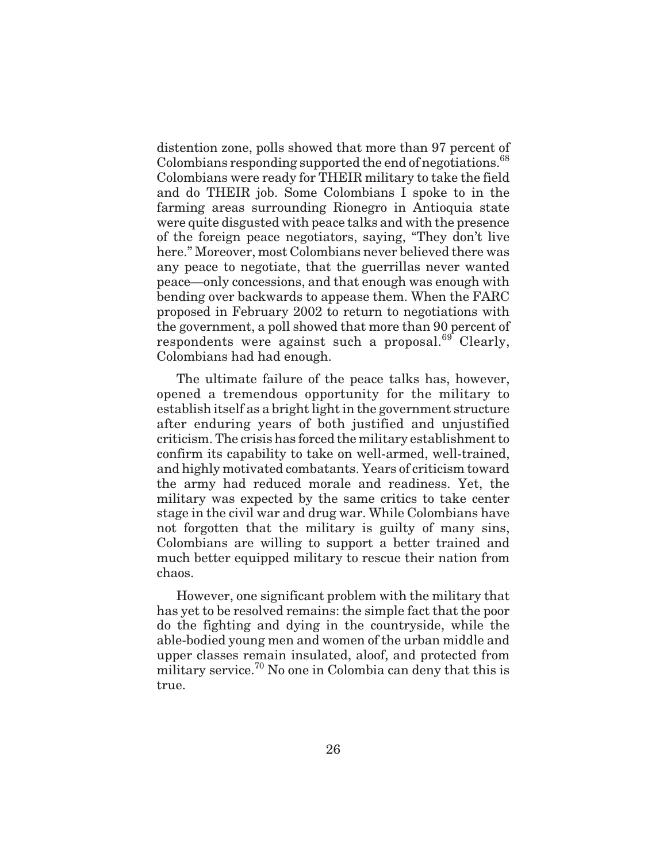distention zone, polls showed that more than 97 percent of Colombians responding supported the end of negotiations.<sup>68</sup> Colombians were ready for THEIR military to take the field and do THEIR job. Some Colombians I spoke to in the farming areas surrounding Rionegro in Antioquia state were quite disgusted with peace talks and with the presence of the foreign peace negotiators, saying, "They don't live here." Moreover, most Colombians never believed there was any peace to negotiate, that the guerrillas never wanted peace—only concessions, and that enough was enough with bending over backwards to appease them. When the FARC proposed in February 2002 to return to negotiations with the government, a poll showed that more than 90 percent of respondents were against such a proposal. $69$  Clearly. Colombians had had enough.

The ultimate failure of the peace talks has, however, opened a tremendous opportunity for the military to establish itself as a bright light in the government structure after enduring years of both justified and unjustified criticism. The crisis has forced the military establishment to confirm its capability to take on well-armed, well-trained, and highly motivated combatants. Years of criticism toward the army had reduced morale and readiness. Yet, the military was expected by the same critics to take center stage in the civil war and drug war. While Colombians have not forgotten that the military is guilty of many sins, Colombians are willing to support a better trained and much better equipped military to rescue their nation from chaos.

However, one significant problem with the military that has yet to be resolved remains: the simple fact that the poor do the fighting and dying in the countryside, while the able-bodied young men and women of the urban middle and upper classes remain insulated, aloof, and protected from military service.<sup>70</sup> No one in Colombia can deny that this is true.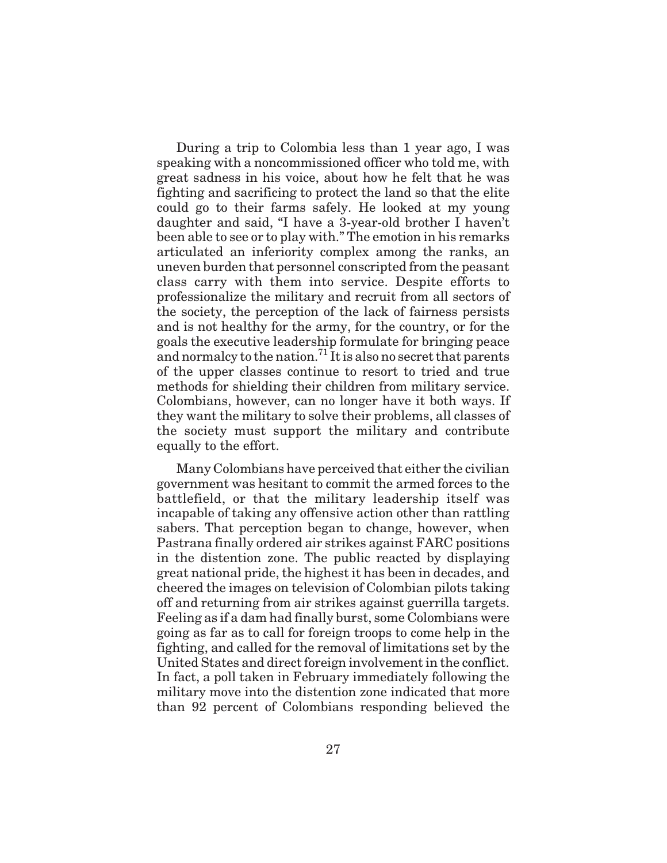During a trip to Colombia less than 1 year ago, I was speaking with a noncommissioned officer who told me, with great sadness in his voice, about how he felt that he was fighting and sacrificing to protect the land so that the elite could go to their farms safely. He looked at my young daughter and said, "I have a 3-year-old brother I haven't been able to see or to play with." The emotion in his remarks articulated an inferiority complex among the ranks, an uneven burden that personnel conscripted from the peasant class carry with them into service. Despite efforts to professionalize the military and recruit from all sectors of the society, the perception of the lack of fairness persists and is not healthy for the army, for the country, or for the goals the executive leadership formulate for bringing peace and normalcy to the nation.<sup>71</sup> It is also no secret that parents of the upper classes continue to resort to tried and true methods for shielding their children from military service. Colombians, however, can no longer have it both ways. If they want the military to solve their problems, all classes of the society must support the military and contribute equally to the effort.

Many Colombians have perceived that either the civilian government was hesitant to commit the armed forces to the battlefield, or that the military leadership itself was incapable of taking any offensive action other than rattling sabers. That perception began to change, however, when Pastrana finally ordered air strikes against FARC positions in the distention zone. The public reacted by displaying great national pride, the highest it has been in decades, and cheered the images on television of Colombian pilots taking off and returning from air strikes against guerrilla targets. Feeling as if a dam had finally burst, some Colombians were going as far as to call for foreign troops to come help in the fighting, and called for the removal of limitations set by the United States and direct foreign involvement in the conflict. In fact, a poll taken in February immediately following the military move into the distention zone indicated that more than 92 percent of Colombians responding believed the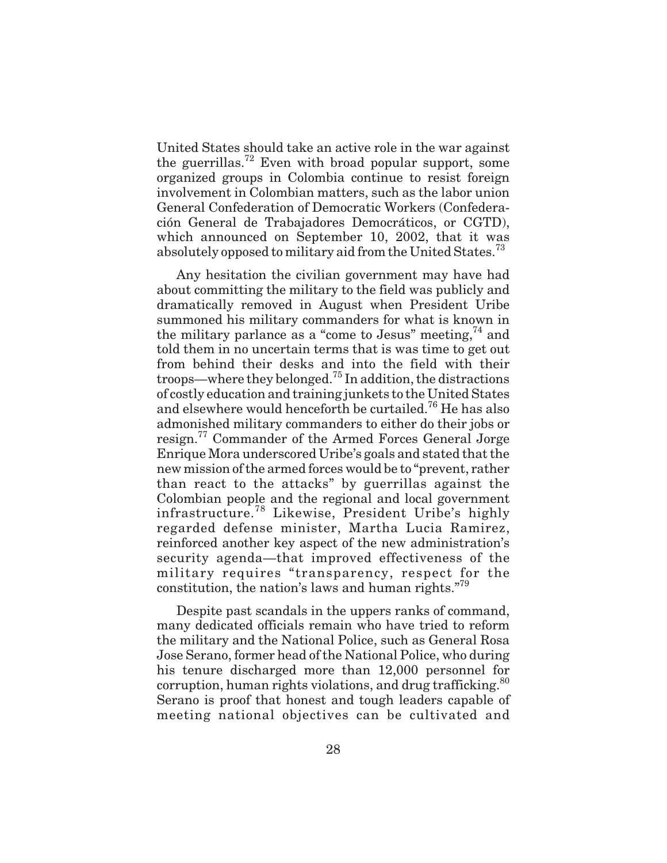United States should take an active role in the war against the guerrillas.<sup>72</sup> Even with broad popular support, some organized groups in Colombia continue to resist foreign involvement in Colombian matters, such as the labor union General Confederation of Democratic Workers (Confederación General de Trabajadores Democráticos, or CGTD), which announced on September 10, 2002, that it was absolutely opposed to military aid from the United States.<sup>73</sup>

Any hesitation the civilian government may have had about committing the military to the field was publicly and dramatically removed in August when President Uribe summoned his military commanders for what is known in the military parlance as a "come to Jesus" meeting,  $74$  and told them in no uncertain terms that is was time to get out from behind their desks and into the field with their troops—where they belonged.<sup>75</sup> In addition, the distractions of costly education and training junkets to the United States and elsewhere would henceforth be curtailed.<sup>76</sup> He has also admonished military commanders to either do their jobs or resign.<sup>77</sup> Commander of the Armed Forces General Jorge Enrique Mora underscored Uribe's goals and stated that the new mission of the armed forces would be to "prevent, rather than react to the attacks" by guerrillas against the Colombian people and the regional and local government infrastructure.<sup>78</sup> Likewise, President Uribe's highly regarded defense minister, Martha Lucia Ramirez, reinforced another key aspect of the new administration's security agenda—that improved effectiveness of the military requires "transparency, respect for the constitution, the nation's laws and human rights. $\mathbb{R}^{79}$ 

Despite past scandals in the uppers ranks of command, many dedicated officials remain who have tried to reform the military and the National Police, such as General Rosa Jose Serano, former head of the National Police, who during his tenure discharged more than 12,000 personnel for corruption, human rights violations, and drug trafficking. $80$ Serano is proof that honest and tough leaders capable of meeting national objectives can be cultivated and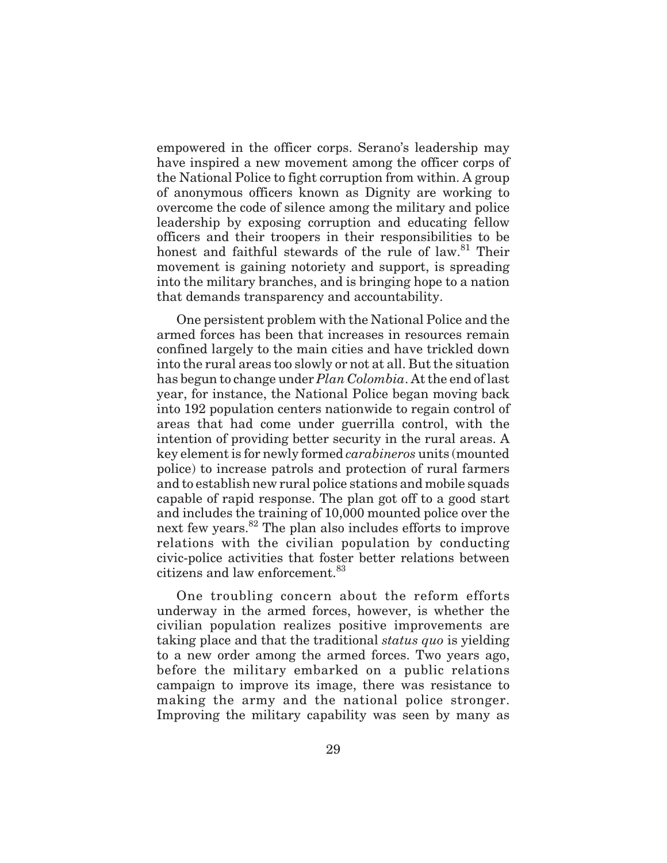empowered in the officer corps. Serano's leadership may have inspired a new movement among the officer corps of the National Police to fight corruption from within. A group of anonymous officers known as Dignity are working to overcome the code of silence among the military and police leadership by exposing corruption and educating fellow officers and their troopers in their responsibilities to be honest and faithful stewards of the rule of law.<sup>81</sup> Their movement is gaining notoriety and support, is spreading into the military branches, and is bringing hope to a nation that demands transparency and accountability.

One persistent problem with the National Police and the armed forces has been that increases in resources remain confined largely to the main cities and have trickled down into the rural areas too slowly or not at all. But the situation has begun to change under *Plan Colombia*. At the end of last year, for instance, the National Police began moving back into 192 population centers nationwide to regain control of areas that had come under guerrilla control, with the intention of providing better security in the rural areas. A key element is for newly formed *carabineros* units (mounted police) to increase patrols and protection of rural farmers and to establish new rural police stations and mobile squads capable of rapid response. The plan got off to a good start and includes the training of 10,000 mounted police over the next few years.<sup>82</sup> The plan also includes efforts to improve relations with the civilian population by conducting civic-police activities that foster better relations between citizens and law enforcement.<sup>83</sup>

One troubling concern about the reform efforts underway in the armed forces, however, is whether the civilian population realizes positive improvements are taking place and that the traditional *status quo* is yielding to a new order among the armed forces. Two years ago, before the military embarked on a public relations campaign to improve its image, there was resistance to making the army and the national police stronger. Improving the military capability was seen by many as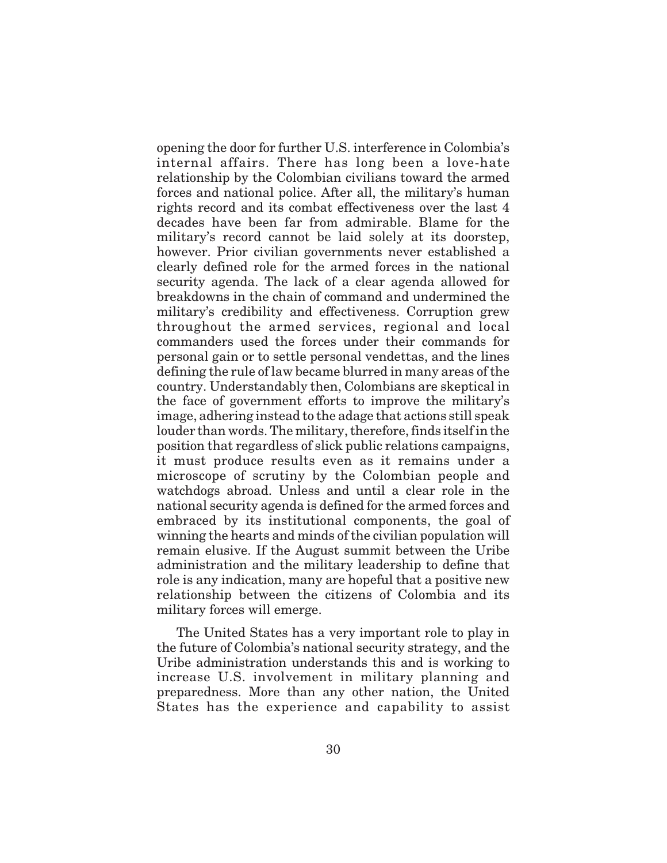opening the door for further U.S. interference in Colombia's internal affairs. There has long been a love-hate relationship by the Colombian civilians toward the armed forces and national police. After all, the military's human rights record and its combat effectiveness over the last 4 decades have been far from admirable. Blame for the military's record cannot be laid solely at its doorstep, however. Prior civilian governments never established a clearly defined role for the armed forces in the national security agenda. The lack of a clear agenda allowed for breakdowns in the chain of command and undermined the military's credibility and effectiveness. Corruption grew throughout the armed services, regional and local commanders used the forces under their commands for personal gain or to settle personal vendettas, and the lines defining the rule of law became blurred in many areas of the country. Understandably then, Colombians are skeptical in the face of government efforts to improve the military's image, adhering instead to the adage that actions still speak louder than words. The military, therefore, finds itself in the position that regardless of slick public relations campaigns, it must produce results even as it remains under a microscope of scrutiny by the Colombian people and watchdogs abroad. Unless and until a clear role in the national security agenda is defined for the armed forces and embraced by its institutional components, the goal of winning the hearts and minds of the civilian population will remain elusive. If the August summit between the Uribe administration and the military leadership to define that role is any indication, many are hopeful that a positive new relationship between the citizens of Colombia and its military forces will emerge.

The United States has a very important role to play in the future of Colombia's national security strategy, and the Uribe administration understands this and is working to increase U.S. involvement in military planning and preparedness. More than any other nation, the United States has the experience and capability to assist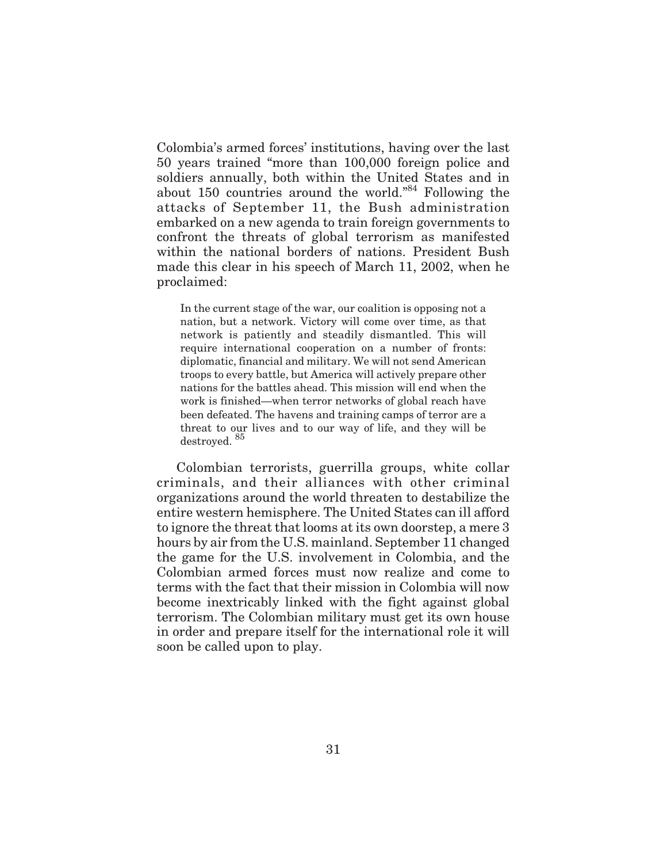Colombia's armed forces' institutions, having over the last 50 years trained "more than 100,000 foreign police and soldiers annually, both within the United States and in about 150 countries around the world."84 Following the attacks of September 11, the Bush administration embarked on a new agenda to train foreign governments to confront the threats of global terrorism as manifested within the national borders of nations. President Bush made this clear in his speech of March 11, 2002, when he proclaimed:

In the current stage of the war, our coalition is opposing not a nation, but a network. Victory will come over time, as that network is patiently and steadily dismantled. This will require international cooperation on a number of fronts: diplomatic, financial and military. We will not send American troops to every battle, but America will actively prepare other nations for the battles ahead. This mission will end when the work is finished—when terror networks of global reach have been defeated. The havens and training camps of terror are a threat to our lives and to our way of life, and they will be destroyed. <sup>85</sup>

Colombian terrorists, guerrilla groups, white collar criminals, and their alliances with other criminal organizations around the world threaten to destabilize the entire western hemisphere. The United States can ill afford to ignore the threat that looms at its own doorstep, a mere 3 hours by air from the U.S. mainland. September 11 changed the game for the U.S. involvement in Colombia, and the Colombian armed forces must now realize and come to terms with the fact that their mission in Colombia will now become inextricably linked with the fight against global terrorism. The Colombian military must get its own house in order and prepare itself for the international role it will soon be called upon to play.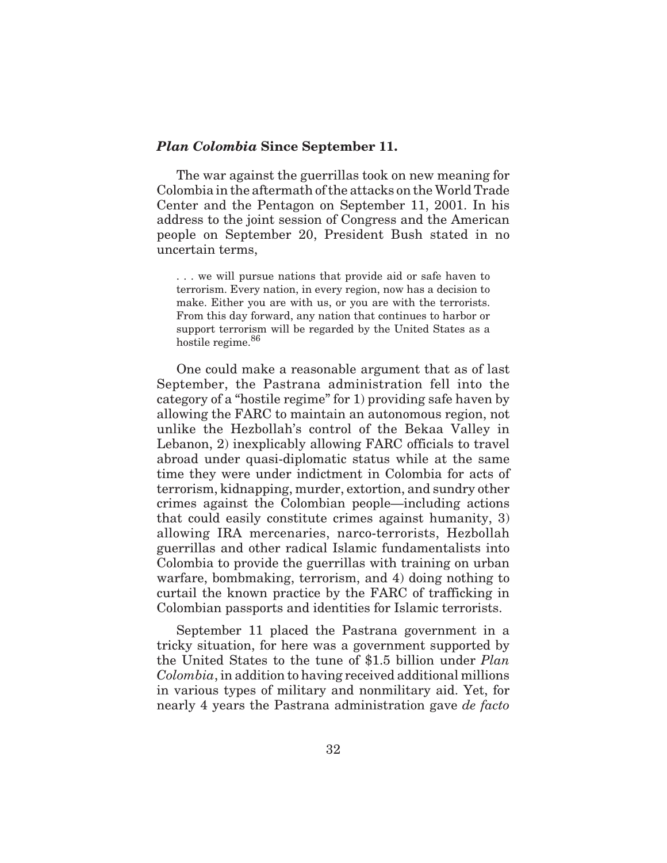#### *Plan Colombia* **Since September 11.**

The war against the guerrillas took on new meaning for Colombia in the aftermath of the attacks on the World Trade Center and the Pentagon on September 11, 2001. In his address to the joint session of Congress and the American people on September 20, President Bush stated in no uncertain terms,

. . . we will pursue nations that provide aid or safe haven to terrorism. Every nation, in every region, now has a decision to make. Either you are with us, or you are with the terrorists. From this day forward, any nation that continues to harbor or support terrorism will be regarded by the United States as a hostile regime.<sup>86</sup>

One could make a reasonable argument that as of last September, the Pastrana administration fell into the category of a "hostile regime" for 1) providing safe haven by allowing the FARC to maintain an autonomous region, not unlike the Hezbollah's control of the Bekaa Valley in Lebanon, 2) inexplicably allowing FARC officials to travel abroad under quasi-diplomatic status while at the same time they were under indictment in Colombia for acts of terrorism, kidnapping, murder, extortion, and sundry other crimes against the Colombian people—including actions that could easily constitute crimes against humanity, 3) allowing IRA mercenaries, narco-terrorists, Hezbollah guerrillas and other radical Islamic fundamentalists into Colombia to provide the guerrillas with training on urban warfare, bombmaking, terrorism, and 4) doing nothing to curtail the known practice by the FARC of trafficking in Colombian passports and identities for Islamic terrorists.

September 11 placed the Pastrana government in a tricky situation, for here was a government supported by the United States to the tune of \$1.5 billion under *Plan Colombia*, in addition to having received additional millions in various types of military and nonmilitary aid. Yet, for nearly 4 years the Pastrana administration gave *de facto*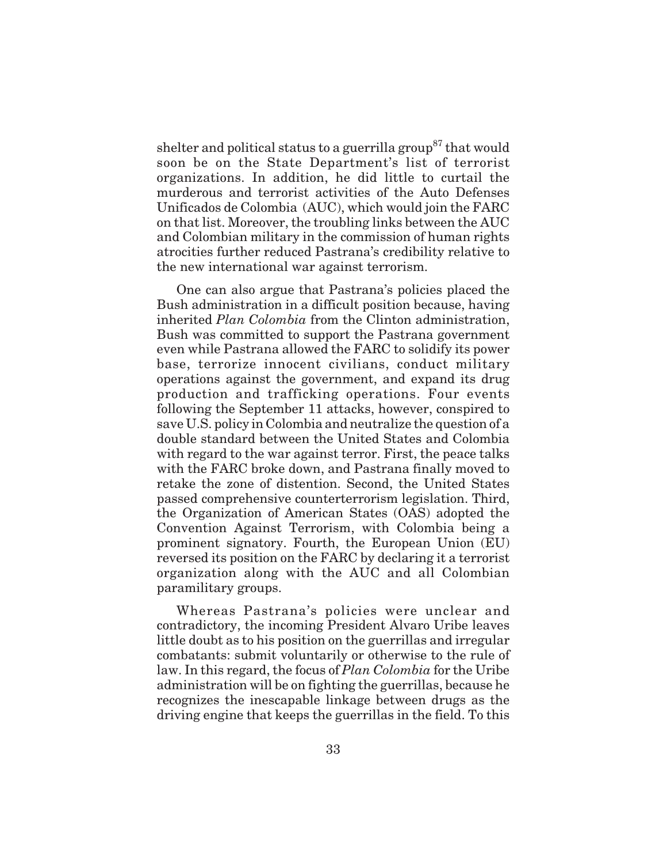shelter and political status to a guerrilla group<sup>87</sup> that would soon be on the State Department's list of terrorist organizations. In addition, he did little to curtail the murderous and terrorist activities of the Auto Defenses Unificados de Colombia (AUC), which would join the FARC on that list. Moreover, the troubling links between the AUC and Colombian military in the commission of human rights atrocities further reduced Pastrana's credibility relative to the new international war against terrorism.

One can also argue that Pastrana's policies placed the Bush administration in a difficult position because, having inherited *Plan Colombia* from the Clinton administration, Bush was committed to support the Pastrana government even while Pastrana allowed the FARC to solidify its power base, terrorize innocent civilians, conduct military operations against the government, and expand its drug production and trafficking operations. Four events following the September 11 attacks, however, conspired to save U.S. policy in Colombia and neutralize the question of a double standard between the United States and Colombia with regard to the war against terror. First, the peace talks with the FARC broke down, and Pastrana finally moved to retake the zone of distention. Second, the United States passed comprehensive counterterrorism legislation. Third, the Organization of American States (OAS) adopted the Convention Against Terrorism, with Colombia being a prominent signatory. Fourth, the European Union (EU) reversed its position on the FARC by declaring it a terrorist organization along with the AUC and all Colombian paramilitary groups.

Whereas Pastrana's policies were unclear and contradictory, the incoming President Alvaro Uribe leaves little doubt as to his position on the guerrillas and irregular combatants: submit voluntarily or otherwise to the rule of law. In this regard, the focus of *Plan Colombia* for the Uribe administration will be on fighting the guerrillas, because he recognizes the inescapable linkage between drugs as the driving engine that keeps the guerrillas in the field. To this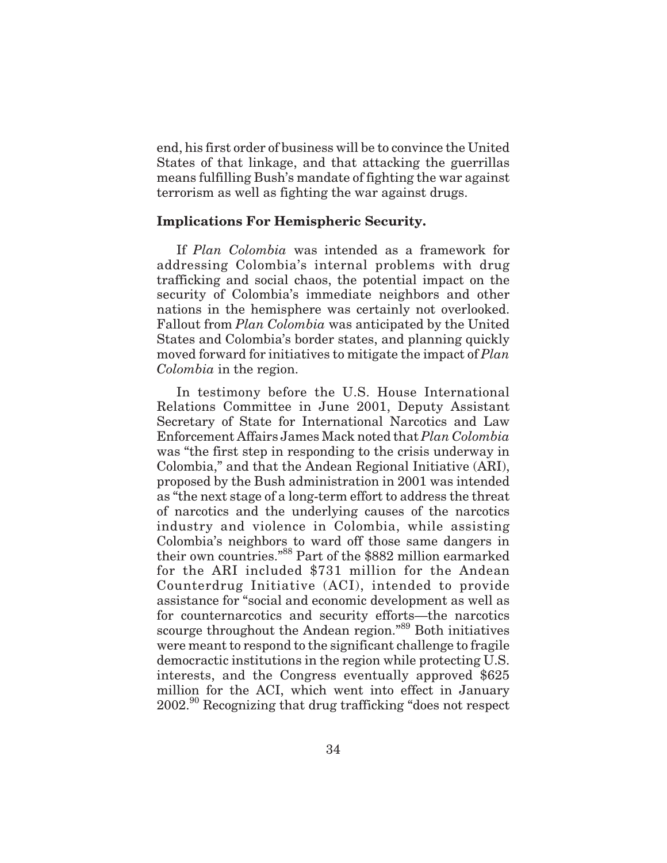end, his first order of business will be to convince the United States of that linkage, and that attacking the guerrillas means fulfilling Bush's mandate of fighting the war against terrorism as well as fighting the war against drugs.

# **Implications For Hemispheric Security.**

If *Plan Colombia* was intended as a framework for addressing Colombia's internal problems with drug trafficking and social chaos, the potential impact on the security of Colombia's immediate neighbors and other nations in the hemisphere was certainly not overlooked. Fallout from *Plan Colombia* was anticipated by the United States and Colombia's border states, and planning quickly moved forward for initiatives to mitigate the impact of *Plan Colombia* in the region.

In testimony before the U.S. House International Relations Committee in June 2001, Deputy Assistant Secretary of State for International Narcotics and Law Enforcement Affairs James Mack noted that *Plan Colombia* was "the first step in responding to the crisis underway in Colombia," and that the Andean Regional Initiative (ARI), proposed by the Bush administration in 2001 was intended as "the next stage of a long-term effort to address the threat of narcotics and the underlying causes of the narcotics industry and violence in Colombia, while assisting Colombia's neighbors to ward off those same dangers in their own countries."88 Part of the \$882 million earmarked for the ARI included \$731 million for the Andean Counterdrug Initiative (ACI), intended to provide assistance for "social and economic development as well as for counternarcotics and security efforts—the narcotics scourge throughout the Andean region."89 Both initiatives were meant to respond to the significant challenge to fragile democractic institutions in the region while protecting U.S. interests, and the Congress eventually approved \$625 million for the ACI, which went into effect in January 2002.<sup>90</sup> Recognizing that drug trafficking "does not respect"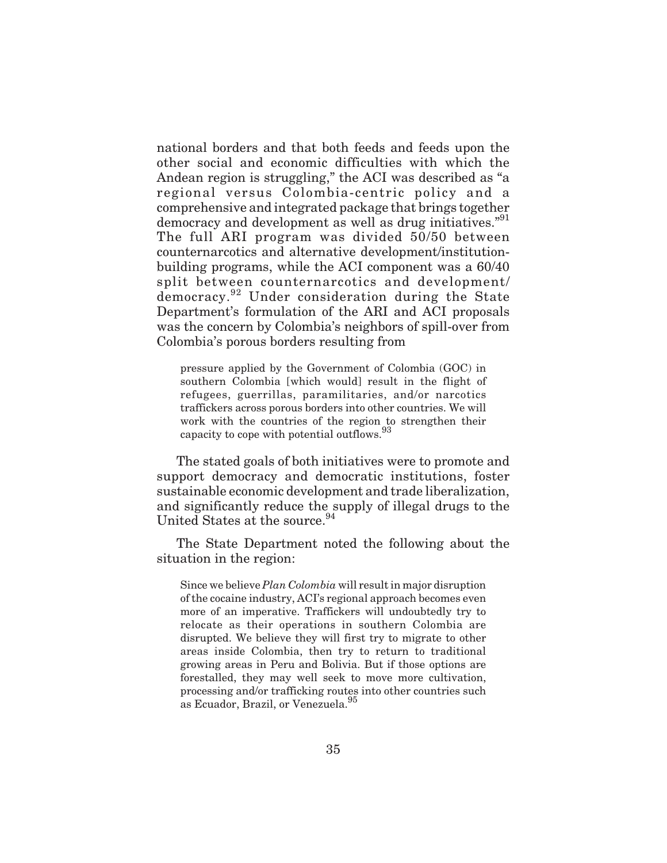national borders and that both feeds and feeds upon the other social and economic difficulties with which the Andean region is struggling," the ACI was described as "a regional versus Colombia-centric policy and a comprehensive and integrated package that brings together democracy and development as well as drug initiatives."<sup>91</sup> The full ARI program was divided 50/50 between counternarcotics and alternative development/institutionbuilding programs, while the ACI component was a 60/40 split between counternarcotics and development/ democracy.<sup>92</sup> Under consideration during the State Department's formulation of the ARI and ACI proposals was the concern by Colombia's neighbors of spill-over from Colombia's porous borders resulting from

pressure applied by the Government of Colombia (GOC) in southern Colombia [which would] result in the flight of refugees, guerrillas, paramilitaries, and/or narcotics traffickers across porous borders into other countries. We will work with the countries of the region to strengthen their capacity to cope with potential outflows.<sup>93</sup>

The stated goals of both initiatives were to promote and support democracy and democratic institutions, foster sustainable economic development and trade liberalization, and significantly reduce the supply of illegal drugs to the United States at the source.<sup>94</sup>

The State Department noted the following about the situation in the region:

Since we believe *Plan Colombia* will result in major disruption of the cocaine industry, ACI's regional approach becomes even more of an imperative. Traffickers will undoubtedly try to relocate as their operations in southern Colombia are disrupted. We believe they will first try to migrate to other areas inside Colombia, then try to return to traditional growing areas in Peru and Bolivia. But if those options are forestalled, they may well seek to move more cultivation, processing and/or trafficking routes into other countries such as Ecuador, Brazil, or Venezuela.<sup>95</sup>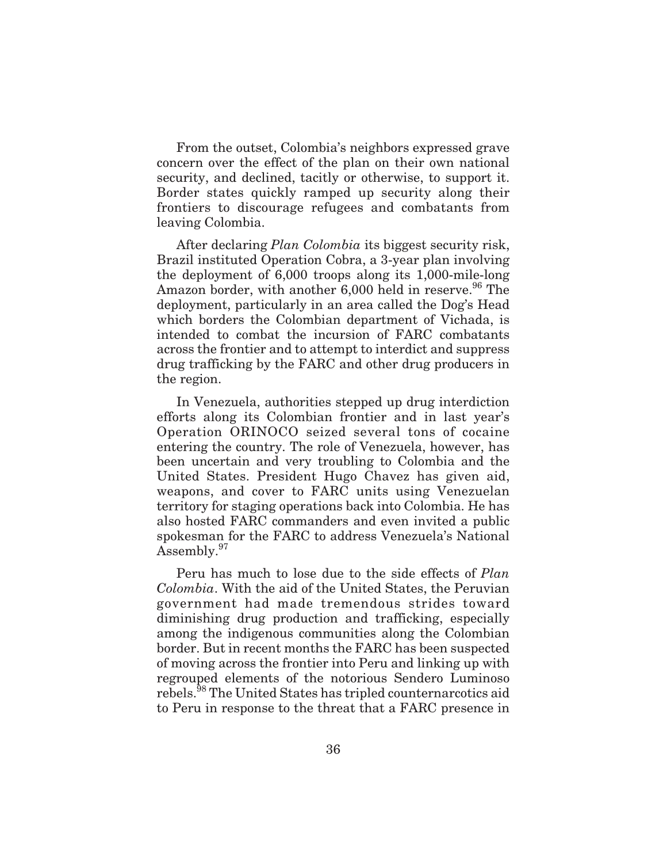From the outset, Colombia's neighbors expressed grave concern over the effect of the plan on their own national security, and declined, tacitly or otherwise, to support it. Border states quickly ramped up security along their frontiers to discourage refugees and combatants from leaving Colombia.

After declaring *Plan Colombia* its biggest security risk, Brazil instituted Operation Cobra, a 3-year plan involving the deployment of 6,000 troops along its 1,000-mile-long Amazon border, with another  $6,000$  held in reserve.<sup>96</sup> The deployment, particularly in an area called the Dog's Head which borders the Colombian department of Vichada, is intended to combat the incursion of FARC combatants across the frontier and to attempt to interdict and suppress drug trafficking by the FARC and other drug producers in the region.

In Venezuela, authorities stepped up drug interdiction efforts along its Colombian frontier and in last year's Operation ORINOCO seized several tons of cocaine entering the country. The role of Venezuela, however, has been uncertain and very troubling to Colombia and the United States. President Hugo Chavez has given aid, weapons, and cover to FARC units using Venezuelan territory for staging operations back into Colombia. He has also hosted FARC commanders and even invited a public spokesman for the FARC to address Venezuela's National Assembly.<sup>97</sup>

Peru has much to lose due to the side effects of *Plan Colombia*. With the aid of the United States, the Peruvian government had made tremendous strides toward diminishing drug production and trafficking, especially among the indigenous communities along the Colombian border. But in recent months the FARC has been suspected of moving across the frontier into Peru and linking up with regrouped elements of the notorious Sendero Luminoso rebels.<sup>98</sup> The United States has tripled counternarcotics aid to Peru in response to the threat that a FARC presence in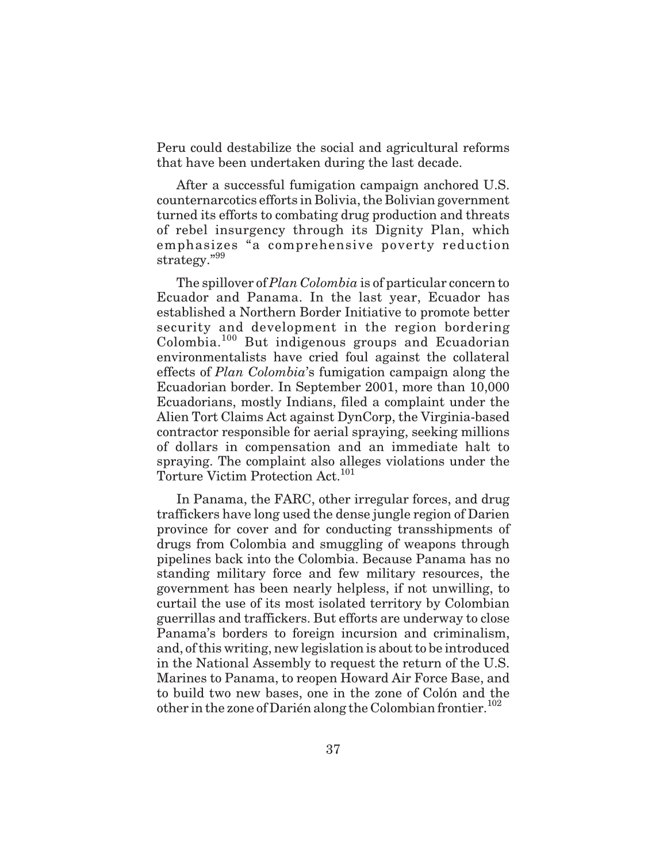Peru could destabilize the social and agricultural reforms that have been undertaken during the last decade.

After a successful fumigation campaign anchored U.S. counternarcotics efforts in Bolivia, the Bolivian government turned its efforts to combating drug production and threats of rebel insurgency through its Dignity Plan, which emphasizes "a comprehensive poverty reduction strategy."<sup>99</sup>

The spillover of *Plan Colombia* is of particular concern to Ecuador and Panama. In the last year, Ecuador has established a Northern Border Initiative to promote better security and development in the region bordering Colombia.<sup>100</sup> But indigenous groups and Ecuadorian environmentalists have cried foul against the collateral effects of *Plan Colombia*'s fumigation campaign along the Ecuadorian border. In September 2001, more than 10,000 Ecuadorians, mostly Indians, filed a complaint under the Alien Tort Claims Act against DynCorp, the Virginia-based contractor responsible for aerial spraying, seeking millions of dollars in compensation and an immediate halt to spraying. The complaint also alleges violations under the Torture Victim Protection Act.<sup>101</sup>

In Panama, the FARC, other irregular forces, and drug traffickers have long used the dense jungle region of Darien province for cover and for conducting transshipments of drugs from Colombia and smuggling of weapons through pipelines back into the Colombia. Because Panama has no standing military force and few military resources, the government has been nearly helpless, if not unwilling, to curtail the use of its most isolated territory by Colombian guerrillas and traffickers. But efforts are underway to close Panama's borders to foreign incursion and criminalism, and, of this writing, new legislation is about to be introduced in the National Assembly to request the return of the U.S. Marines to Panama, to reopen Howard Air Force Base, and to build two new bases, one in the zone of Colón and the other in the zone of Darién along the Colombian frontier.<sup>102</sup>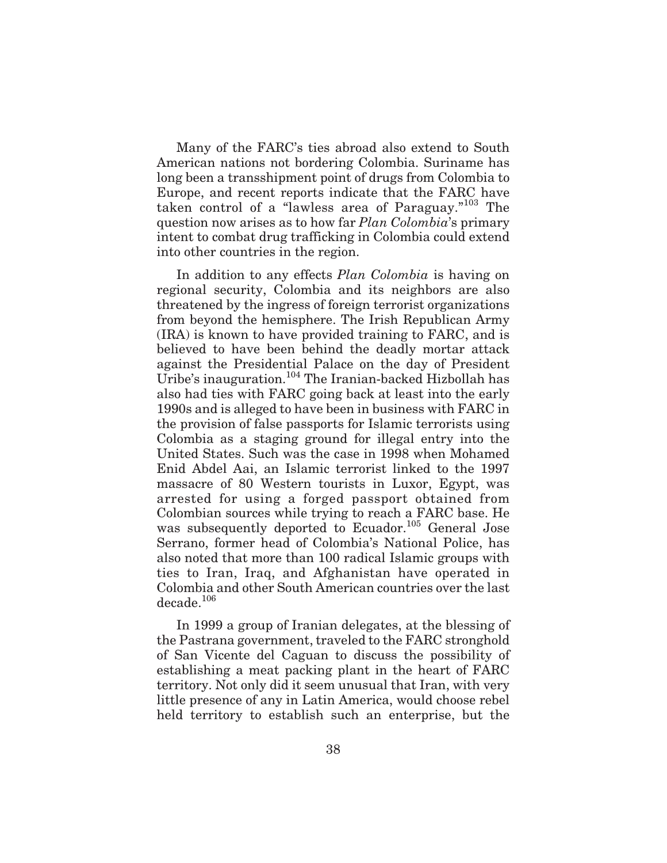Many of the FARC's ties abroad also extend to South American nations not bordering Colombia. Suriname has long been a transshipment point of drugs from Colombia to Europe, and recent reports indicate that the FARC have taken control of a "lawless area of Paraguay."<sup>103</sup> The question now arises as to how far *Plan Colombia*'s primary intent to combat drug trafficking in Colombia could extend into other countries in the region.

In addition to any effects *Plan Colombia* is having on regional security, Colombia and its neighbors are also threatened by the ingress of foreign terrorist organizations from beyond the hemisphere. The Irish Republican Army (IRA) is known to have provided training to FARC, and is believed to have been behind the deadly mortar attack against the Presidential Palace on the day of President Uribe's inauguration.<sup>104</sup> The Iranian-backed Hizbollah has also had ties with FARC going back at least into the early 1990s and is alleged to have been in business with FARC in the provision of false passports for Islamic terrorists using Colombia as a staging ground for illegal entry into the United States. Such was the case in 1998 when Mohamed Enid Abdel Aai, an Islamic terrorist linked to the 1997 massacre of 80 Western tourists in Luxor, Egypt, was arrested for using a forged passport obtained from Colombian sources while trying to reach a FARC base. He was subsequently deported to Ecuador.<sup>105</sup> General Jose Serrano, former head of Colombia's National Police, has also noted that more than 100 radical Islamic groups with ties to Iran, Iraq, and Afghanistan have operated in Colombia and other South American countries over the last decade.<sup>106</sup>

In 1999 a group of Iranian delegates, at the blessing of the Pastrana government, traveled to the FARC stronghold of San Vicente del Caguan to discuss the possibility of establishing a meat packing plant in the heart of FARC territory. Not only did it seem unusual that Iran, with very little presence of any in Latin America, would choose rebel held territory to establish such an enterprise, but the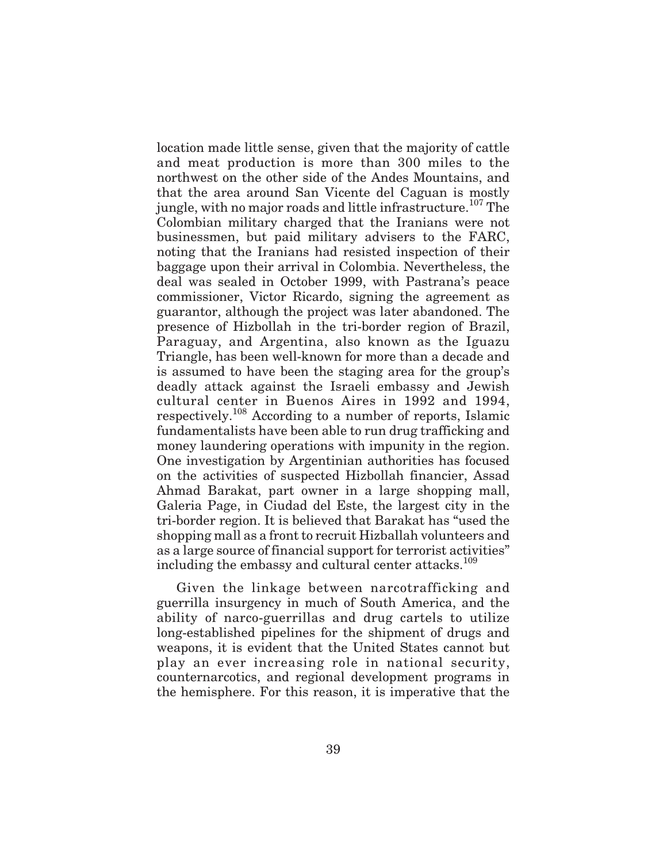location made little sense, given that the majority of cattle and meat production is more than 300 miles to the northwest on the other side of the Andes Mountains, and that the area around San Vicente del Caguan is mostly jungle, with no major roads and little infrastructure.<sup>107</sup> The Colombian military charged that the Iranians were not businessmen, but paid military advisers to the FARC, noting that the Iranians had resisted inspection of their baggage upon their arrival in Colombia. Nevertheless, the deal was sealed in October 1999, with Pastrana's peace commissioner, Victor Ricardo, signing the agreement as guarantor, although the project was later abandoned. The presence of Hizbollah in the tri-border region of Brazil, Paraguay, and Argentina, also known as the Iguazu Triangle, has been well-known for more than a decade and is assumed to have been the staging area for the group's deadly attack against the Israeli embassy and Jewish cultural center in Buenos Aires in 1992 and 1994, respectively.<sup>108</sup> According to a number of reports, Islamic fundamentalists have been able to run drug trafficking and money laundering operations with impunity in the region. One investigation by Argentinian authorities has focused on the activities of suspected Hizbollah financier, Assad Ahmad Barakat, part owner in a large shopping mall, Galeria Page, in Ciudad del Este, the largest city in the tri-border region. It is believed that Barakat has "used the shopping mall as a front to recruit Hizballah volunteers and as a large source of financial support for terrorist activities" including the embassy and cultural center attacks.<sup>109</sup>

Given the linkage between narcotrafficking and guerrilla insurgency in much of South America, and the ability of narco-guerrillas and drug cartels to utilize long-established pipelines for the shipment of drugs and weapons, it is evident that the United States cannot but play an ever increasing role in national security, counternarcotics, and regional development programs in the hemisphere. For this reason, it is imperative that the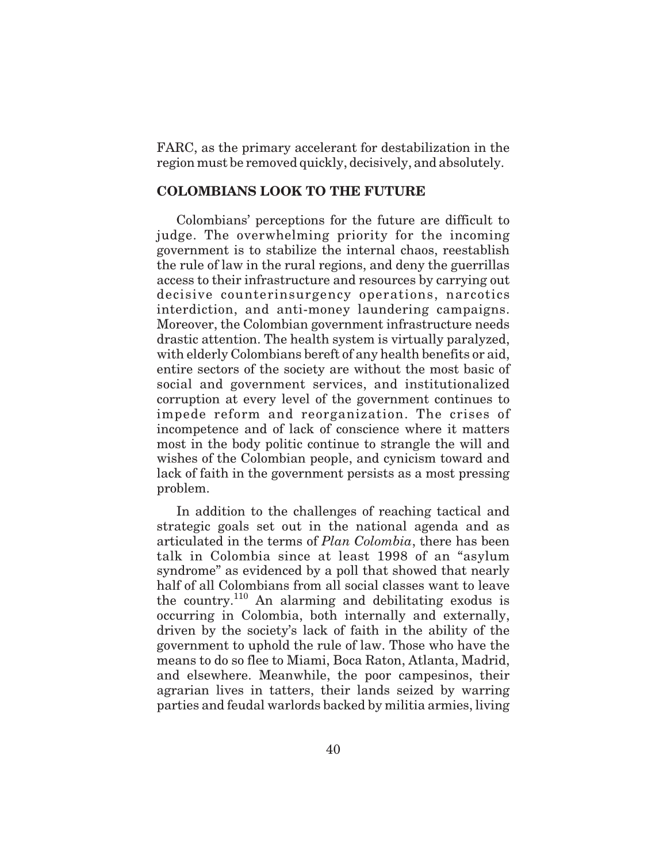FARC, as the primary accelerant for destabilization in the region must be removed quickly, decisively, and absolutely.

# **COLOMBIANS LOOK TO THE FUTURE**

Colombians' perceptions for the future are difficult to judge. The overwhelming priority for the incoming government is to stabilize the internal chaos, reestablish the rule of law in the rural regions, and deny the guerrillas access to their infrastructure and resources by carrying out decisive counterinsurgency operations, narcotics interdiction, and anti-money laundering campaigns. Moreover, the Colombian government infrastructure needs drastic attention. The health system is virtually paralyzed, with elderly Colombians bereft of any health benefits or aid, entire sectors of the society are without the most basic of social and government services, and institutionalized corruption at every level of the government continues to impede reform and reorganization. The crises of incompetence and of lack of conscience where it matters most in the body politic continue to strangle the will and wishes of the Colombian people, and cynicism toward and lack of faith in the government persists as a most pressing problem.

In addition to the challenges of reaching tactical and strategic goals set out in the national agenda and as articulated in the terms of *Plan Colombia*, there has been talk in Colombia since at least 1998 of an "asylum syndrome" as evidenced by a poll that showed that nearly half of all Colombians from all social classes want to leave the country.<sup>110</sup> An alarming and debilitating exodus is occurring in Colombia, both internally and externally, driven by the society's lack of faith in the ability of the government to uphold the rule of law. Those who have the means to do so flee to Miami, Boca Raton, Atlanta, Madrid, and elsewhere. Meanwhile, the poor campesinos, their agrarian lives in tatters, their lands seized by warring parties and feudal warlords backed by militia armies, living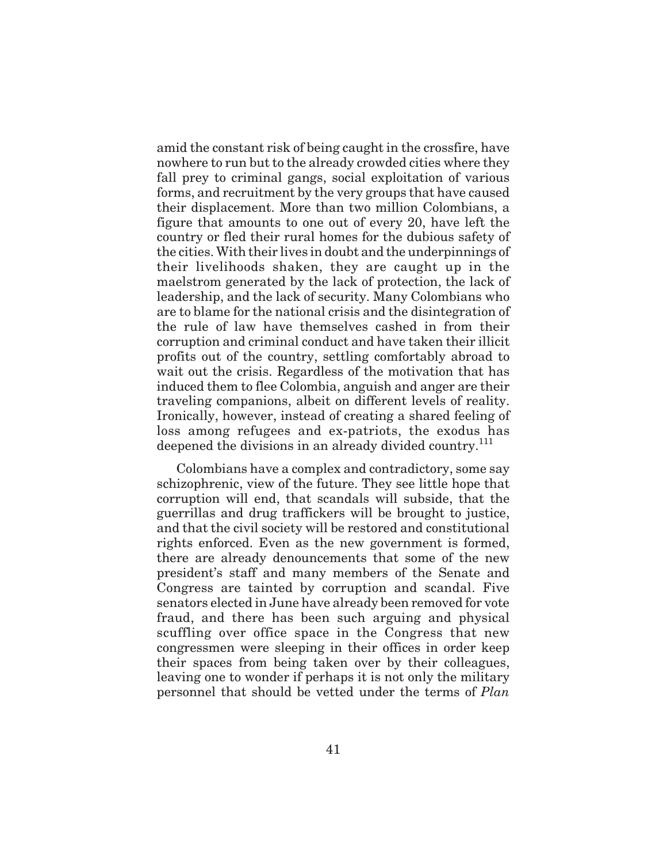amid the constant risk of being caught in the crossfire, have nowhere to run but to the already crowded cities where they fall prey to criminal gangs, social exploitation of various forms, and recruitment by the very groups that have caused their displacement. More than two million Colombians, a figure that amounts to one out of every 20, have left the country or fled their rural homes for the dubious safety of the cities. With their lives in doubt and the underpinnings of their livelihoods shaken, they are caught up in the maelstrom generated by the lack of protection, the lack of leadership, and the lack of security. Many Colombians who are to blame for the national crisis and the disintegration of the rule of law have themselves cashed in from their corruption and criminal conduct and have taken their illicit profits out of the country, settling comfortably abroad to wait out the crisis. Regardless of the motivation that has induced them to flee Colombia, anguish and anger are their traveling companions, albeit on different levels of reality. Ironically, however, instead of creating a shared feeling of loss among refugees and ex-patriots, the exodus has deepened the divisions in an already divided country.<sup>111</sup>

Colombians have a complex and contradictory, some say schizophrenic, view of the future. They see little hope that corruption will end, that scandals will subside, that the guerrillas and drug traffickers will be brought to justice, and that the civil society will be restored and constitutional rights enforced. Even as the new government is formed, there are already denouncements that some of the new president's staff and many members of the Senate and Congress are tainted by corruption and scandal. Five senators elected in June have already been removed for vote fraud, and there has been such arguing and physical scuffling over office space in the Congress that new congressmen were sleeping in their offices in order keep their spaces from being taken over by their colleagues, leaving one to wonder if perhaps it is not only the military personnel that should be vetted under the terms of *Plan*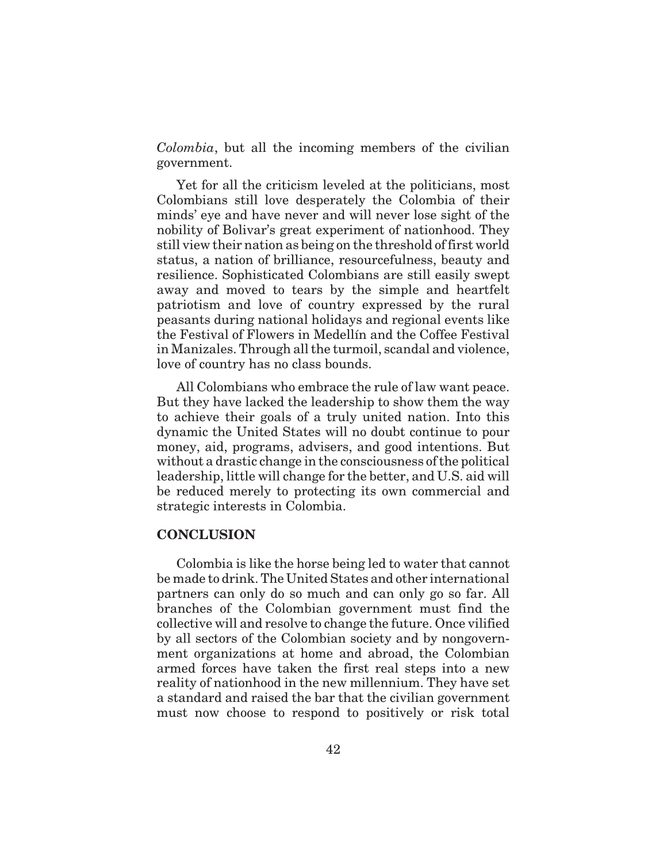*Colombia*, but all the incoming members of the civilian government.

Yet for all the criticism leveled at the politicians, most Colombians still love desperately the Colombia of their minds' eye and have never and will never lose sight of the nobility of Bolivar's great experiment of nationhood. They still view their nation as being on the threshold of first world status, a nation of brilliance, resourcefulness, beauty and resilience. Sophisticated Colombians are still easily swept away and moved to tears by the simple and heartfelt patriotism and love of country expressed by the rural peasants during national holidays and regional events like the Festival of Flowers in Medellín and the Coffee Festival in Manizales. Through all the turmoil, scandal and violence, love of country has no class bounds.

All Colombians who embrace the rule of law want peace. But they have lacked the leadership to show them the way to achieve their goals of a truly united nation. Into this dynamic the United States will no doubt continue to pour money, aid, programs, advisers, and good intentions. But without a drastic change in the consciousness of the political leadership, little will change for the better, and U.S. aid will be reduced merely to protecting its own commercial and strategic interests in Colombia.

### **CONCLUSION**

Colombia is like the horse being led to water that cannot be made to drink. The United States and other international partners can only do so much and can only go so far. All branches of the Colombian government must find the collective will and resolve to change the future. Once vilified by all sectors of the Colombian society and by nongovernment organizations at home and abroad, the Colombian armed forces have taken the first real steps into a new reality of nationhood in the new millennium. They have set a standard and raised the bar that the civilian government must now choose to respond to positively or risk total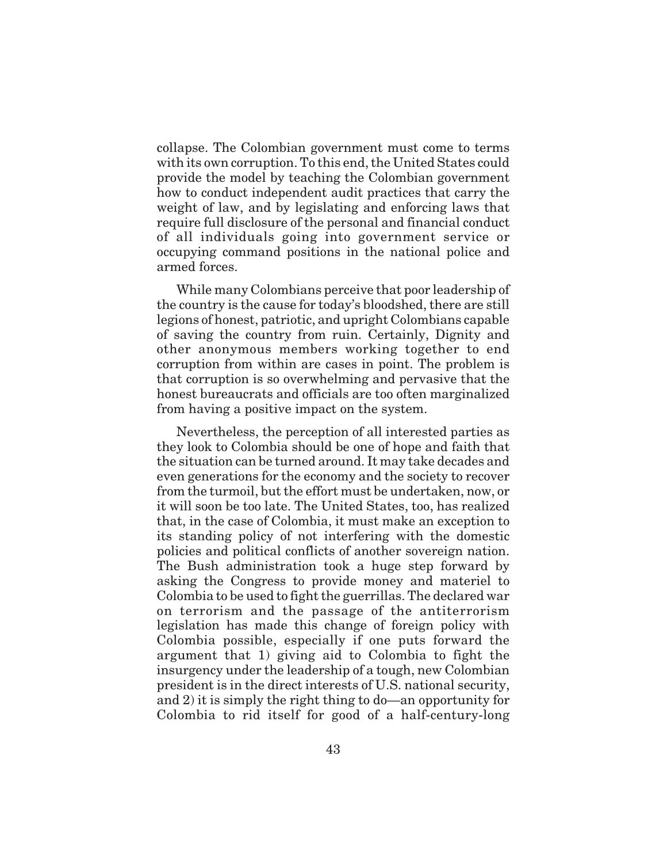collapse. The Colombian government must come to terms with its own corruption. To this end, the United States could provide the model by teaching the Colombian government how to conduct independent audit practices that carry the weight of law, and by legislating and enforcing laws that require full disclosure of the personal and financial conduct of all individuals going into government service or occupying command positions in the national police and armed forces.

While many Colombians perceive that poor leadership of the country is the cause for today's bloodshed, there are still legions of honest, patriotic, and upright Colombians capable of saving the country from ruin. Certainly, Dignity and other anonymous members working together to end corruption from within are cases in point. The problem is that corruption is so overwhelming and pervasive that the honest bureaucrats and officials are too often marginalized from having a positive impact on the system.

Nevertheless, the perception of all interested parties as they look to Colombia should be one of hope and faith that the situation can be turned around. It may take decades and even generations for the economy and the society to recover from the turmoil, but the effort must be undertaken, now, or it will soon be too late. The United States, too, has realized that, in the case of Colombia, it must make an exception to its standing policy of not interfering with the domestic policies and political conflicts of another sovereign nation. The Bush administration took a huge step forward by asking the Congress to provide money and materiel to Colombia to be used to fight the guerrillas. The declared war on terrorism and the passage of the antiterrorism legislation has made this change of foreign policy with Colombia possible, especially if one puts forward the argument that 1) giving aid to Colombia to fight the insurgency under the leadership of a tough, new Colombian president is in the direct interests of U.S. national security, and 2) it is simply the right thing to do—an opportunity for Colombia to rid itself for good of a half-century-long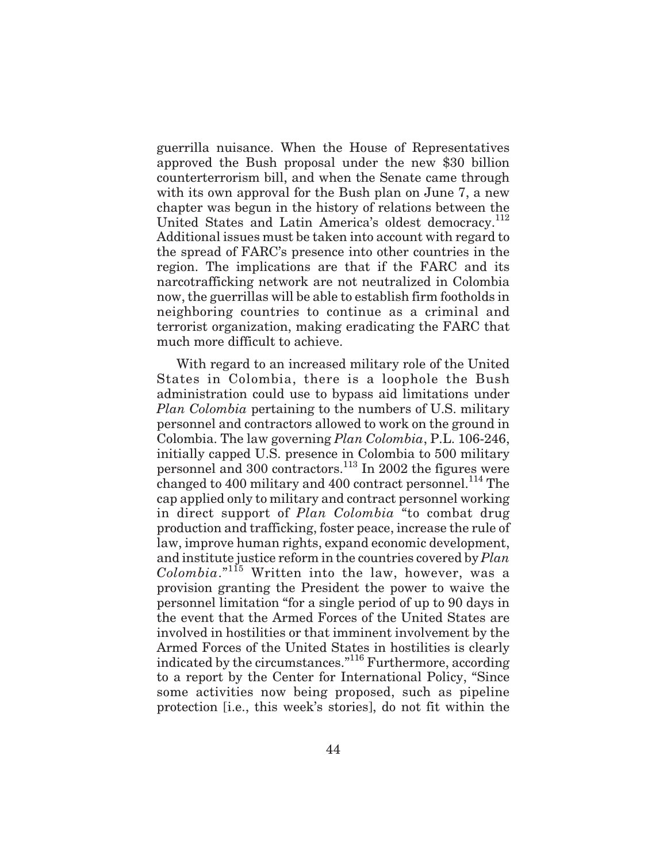guerrilla nuisance. When the House of Representatives approved the Bush proposal under the new \$30 billion counterterrorism bill, and when the Senate came through with its own approval for the Bush plan on June 7, a new chapter was begun in the history of relations between the United States and Latin America's oldest democracy.<sup>112</sup> Additional issues must be taken into account with regard to the spread of FARC's presence into other countries in the region. The implications are that if the FARC and its narcotrafficking network are not neutralized in Colombia now, the guerrillas will be able to establish firm footholds in neighboring countries to continue as a criminal and terrorist organization, making eradicating the FARC that much more difficult to achieve.

With regard to an increased military role of the United States in Colombia, there is a loophole the Bush administration could use to bypass aid limitations under *Plan Colombia* pertaining to the numbers of U.S. military personnel and contractors allowed to work on the ground in Colombia. The law governing *Plan Colombia*, P.L. 106-246, initially capped U.S. presence in Colombia to 500 military personnel and 300 contractors.113 In 2002 the figures were changed to 400 military and 400 contract personnel.<sup>114</sup> The cap applied only to military and contract personnel working in direct support of *Plan Colombia* "to combat drug production and trafficking, foster peace, increase the rule of law, improve human rights, expand economic development, and institute justice reform in the countries covered by *Plan Colombia*."<sup>115</sup> Written into the law, however, was a provision granting the President the power to waive the personnel limitation "for a single period of up to 90 days in the event that the Armed Forces of the United States are involved in hostilities or that imminent involvement by the Armed Forces of the United States in hostilities is clearly indicated by the circumstances."116 Furthermore, according to a report by the Center for International Policy, "Since some activities now being proposed, such as pipeline protection [i.e., this week's stories], do not fit within the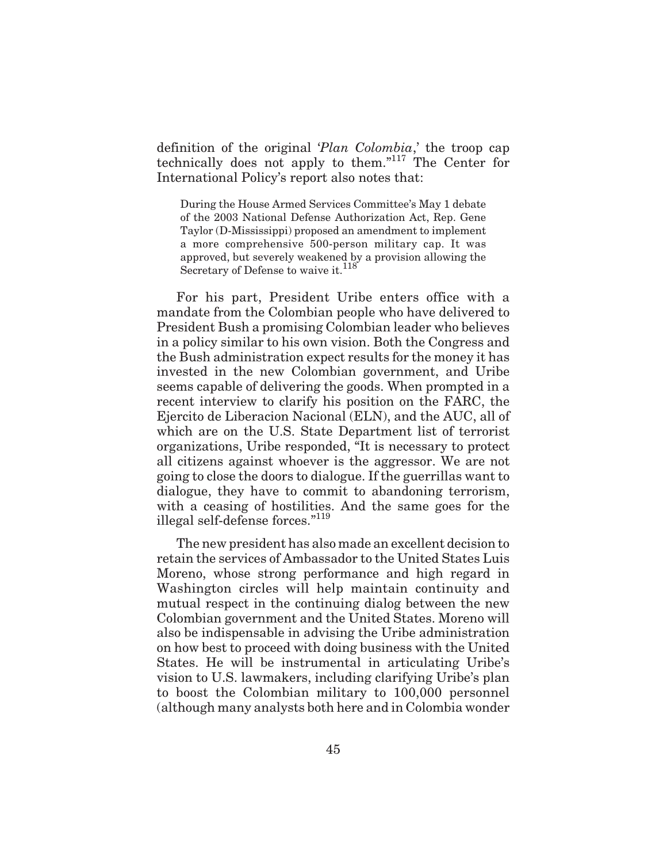definition of the original '*Plan Colombia*,' the troop cap technically does not apply to them."<sup>117</sup> The Center for International Policy's report also notes that:

During the House Armed Services Committee's May 1 debate of the 2003 National Defense Authorization Act, Rep. Gene Taylor (D-Mississippi) proposed an amendment to implement a more comprehensive 500-person military cap. It was approved, but severely weakened by a provision allowing the Secretary of Defense to waive it.<sup>118</sup>

For his part, President Uribe enters office with a mandate from the Colombian people who have delivered to President Bush a promising Colombian leader who believes in a policy similar to his own vision. Both the Congress and the Bush administration expect results for the money it has invested in the new Colombian government, and Uribe seems capable of delivering the goods. When prompted in a recent interview to clarify his position on the FARC, the Ejercito de Liberacion Nacional (ELN), and the AUC, all of which are on the U.S. State Department list of terrorist organizations, Uribe responded, "It is necessary to protect all citizens against whoever is the aggressor. We are not going to close the doors to dialogue. If the guerrillas want to dialogue, they have to commit to abandoning terrorism, with a ceasing of hostilities. And the same goes for the illegal self-defense forces."<sup>119</sup>

The new president has also made an excellent decision to retain the services of Ambassador to the United States Luis Moreno, whose strong performance and high regard in Washington circles will help maintain continuity and mutual respect in the continuing dialog between the new Colombian government and the United States. Moreno will also be indispensable in advising the Uribe administration on how best to proceed with doing business with the United States. He will be instrumental in articulating Uribe's vision to U.S. lawmakers, including clarifying Uribe's plan to boost the Colombian military to 100,000 personnel (although many analysts both here and in Colombia wonder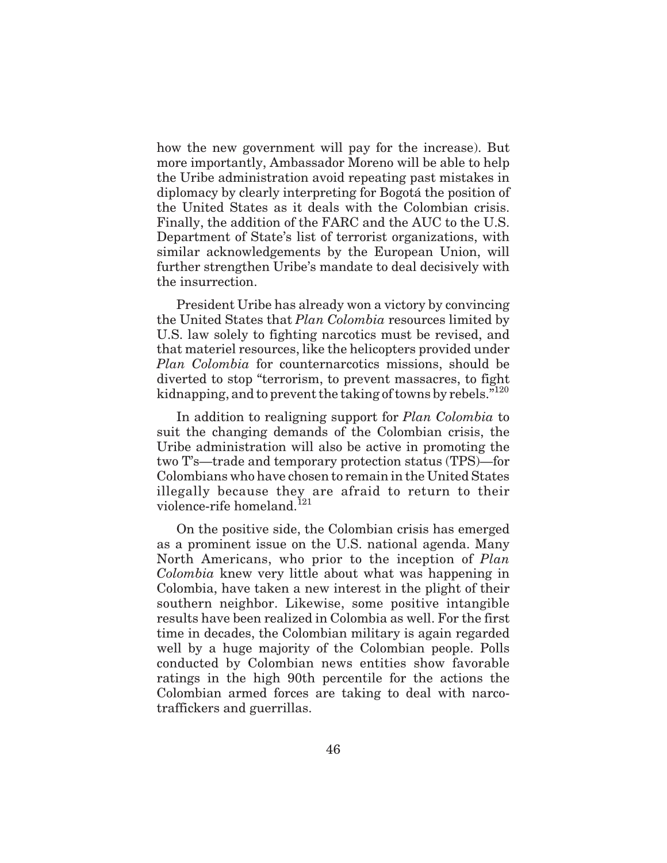how the new government will pay for the increase). But more importantly, Ambassador Moreno will be able to help the Uribe administration avoid repeating past mistakes in diplomacy by clearly interpreting for Bogotá the position of the United States as it deals with the Colombian crisis. Finally, the addition of the FARC and the AUC to the U.S. Department of State's list of terrorist organizations, with similar acknowledgements by the European Union, will further strengthen Uribe's mandate to deal decisively with the insurrection.

President Uribe has already won a victory by convincing the United States that *Plan Colombia* resources limited by U.S. law solely to fighting narcotics must be revised, and that materiel resources, like the helicopters provided under *Plan Colombia* for counternarcotics missions, should be diverted to stop "terrorism, to prevent massacres, to fight kidnapping, and to prevent the taking of towns by rebels."<sup>120</sup>

In addition to realigning support for *Plan Colombia* to suit the changing demands of the Colombian crisis, the Uribe administration will also be active in promoting the two T's—trade and temporary protection status (TPS)—for Colombians who have chosen to remain in the United States illegally because they are afraid to return to their violence-rife homeland.<sup>121</sup>

On the positive side, the Colombian crisis has emerged as a prominent issue on the U.S. national agenda. Many North Americans, who prior to the inception of *Plan Colombia* knew very little about what was happening in Colombia, have taken a new interest in the plight of their southern neighbor. Likewise, some positive intangible results have been realized in Colombia as well. For the first time in decades, the Colombian military is again regarded well by a huge majority of the Colombian people. Polls conducted by Colombian news entities show favorable ratings in the high 90th percentile for the actions the Colombian armed forces are taking to deal with narcotraffickers and guerrillas.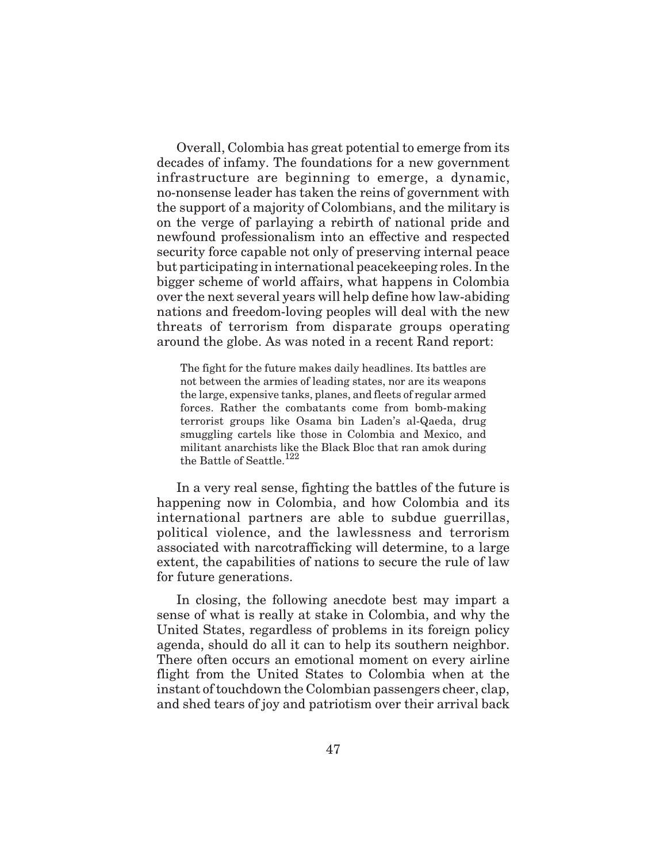Overall, Colombia has great potential to emerge from its decades of infamy. The foundations for a new government infrastructure are beginning to emerge, a dynamic, no-nonsense leader has taken the reins of government with the support of a majority of Colombians, and the military is on the verge of parlaying a rebirth of national pride and newfound professionalism into an effective and respected security force capable not only of preserving internal peace but participating in international peacekeeping roles. In the bigger scheme of world affairs, what happens in Colombia over the next several years will help define how law-abiding nations and freedom-loving peoples will deal with the new threats of terrorism from disparate groups operating around the globe. As was noted in a recent Rand report:

The fight for the future makes daily headlines. Its battles are not between the armies of leading states, nor are its weapons the large, expensive tanks, planes, and fleets of regular armed forces. Rather the combatants come from bomb-making terrorist groups like Osama bin Laden's al-Qaeda, drug smuggling cartels like those in Colombia and Mexico, and militant anarchists like the Black Bloc that ran amok during the Battle of Seattle.<sup>122</sup>

In a very real sense, fighting the battles of the future is happening now in Colombia, and how Colombia and its international partners are able to subdue guerrillas, political violence, and the lawlessness and terrorism associated with narcotrafficking will determine, to a large extent, the capabilities of nations to secure the rule of law for future generations.

In closing, the following anecdote best may impart a sense of what is really at stake in Colombia, and why the United States, regardless of problems in its foreign policy agenda, should do all it can to help its southern neighbor. There often occurs an emotional moment on every airline flight from the United States to Colombia when at the instant of touchdown the Colombian passengers cheer, clap, and shed tears of joy and patriotism over their arrival back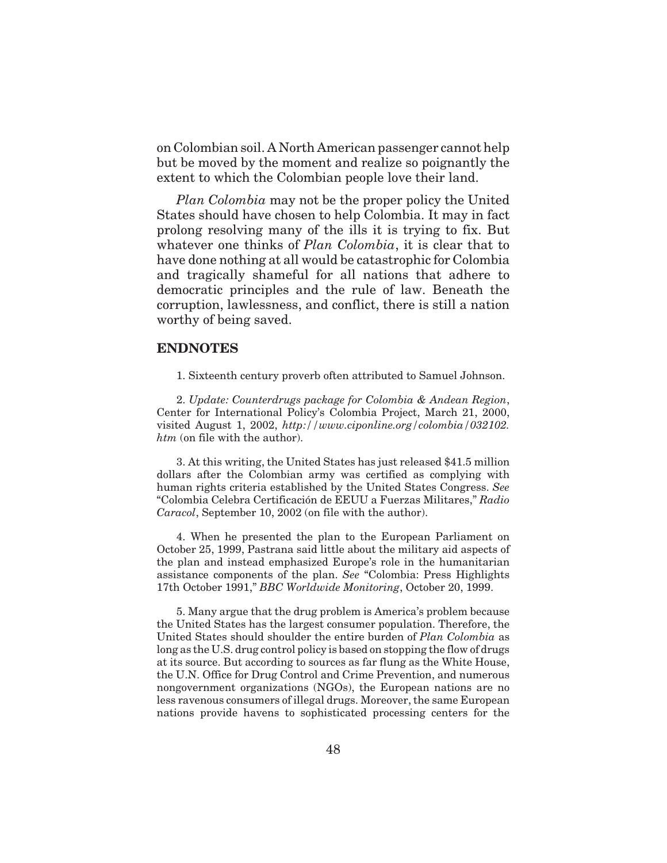on Colombian soil. A North American passenger cannot help but be moved by the moment and realize so poignantly the extent to which the Colombian people love their land.

*Plan Colombia* may not be the proper policy the United States should have chosen to help Colombia. It may in fact prolong resolving many of the ills it is trying to fix. But whatever one thinks of *Plan Colombia*, it is clear that to have done nothing at all would be catastrophic for Colombia and tragically shameful for all nations that adhere to democratic principles and the rule of law. Beneath the corruption, lawlessness, and conflict, there is still a nation worthy of being saved.

### **ENDNOTES**

1. Sixteenth century proverb often attributed to Samuel Johnson.

2. *Update: Counterdrugs package for Colombia & Andean Region*, Center for International Policy's Colombia Project, March 21, 2000, visited August 1, 2002, *http://www.ciponline.org/colombia/032102. htm* (on file with the author).

3. At this writing, the United States has just released \$41.5 million dollars after the Colombian army was certified as complying with human rights criteria established by the United States Congress. *See* "Colombia Celebra Certificación de EEUU a Fuerzas Militares," *Radio Caracol*, September 10, 2002 (on file with the author).

4. When he presented the plan to the European Parliament on October 25, 1999, Pastrana said little about the military aid aspects of the plan and instead emphasized Europe's role in the humanitarian assistance components of the plan. *See* "Colombia: Press Highlights 17th October 1991," *BBC Worldwide Monitoring*, October 20, 1999.

5. Many argue that the drug problem is America's problem because the United States has the largest consumer population. Therefore, the United States should shoulder the entire burden of *Plan Colombia* as long as the U.S. drug control policy is based on stopping the flow of drugs at its source. But according to sources as far flung as the White House, the U.N. Office for Drug Control and Crime Prevention, and numerous nongovernment organizations (NGOs), the European nations are no less ravenous consumers of illegal drugs. Moreover, the same European nations provide havens to sophisticated processing centers for the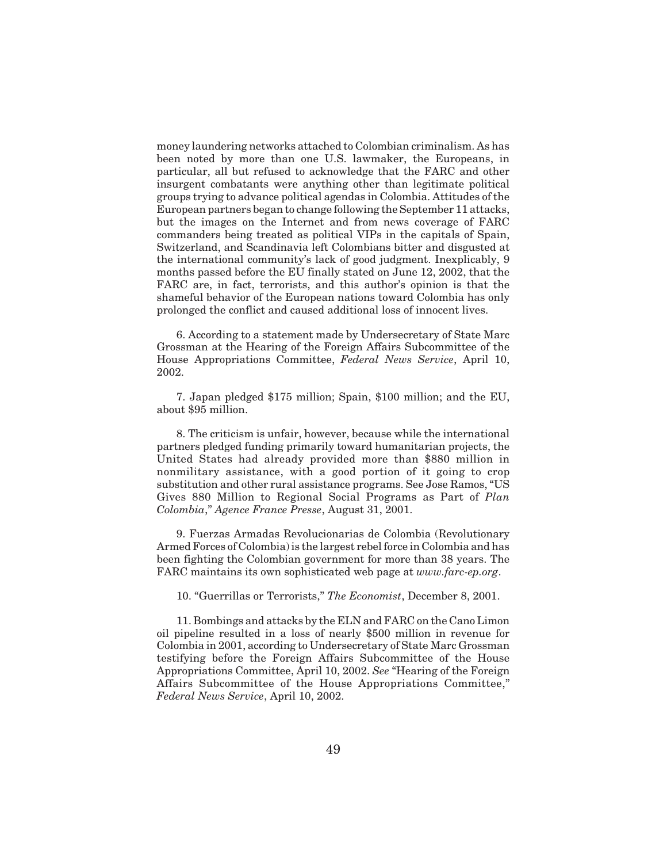money laundering networks attached to Colombian criminalism. As has been noted by more than one U.S. lawmaker, the Europeans, in particular, all but refused to acknowledge that the FARC and other insurgent combatants were anything other than legitimate political groups trying to advance political agendas in Colombia. Attitudes of the European partners began to change following the September 11 attacks, but the images on the Internet and from news coverage of FARC commanders being treated as political VIPs in the capitals of Spain, Switzerland, and Scandinavia left Colombians bitter and disgusted at the international community's lack of good judgment. Inexplicably, 9 months passed before the EU finally stated on June 12, 2002, that the FARC are, in fact, terrorists, and this author's opinion is that the shameful behavior of the European nations toward Colombia has only prolonged the conflict and caused additional loss of innocent lives.

6. According to a statement made by Undersecretary of State Marc Grossman at the Hearing of the Foreign Affairs Subcommittee of the House Appropriations Committee, *Federal News Service*, April 10, 2002.

7. Japan pledged \$175 million; Spain, \$100 million; and the EU, about \$95 million.

8. The criticism is unfair, however, because while the international partners pledged funding primarily toward humanitarian projects, the United States had already provided more than \$880 million in nonmilitary assistance, with a good portion of it going to crop substitution and other rural assistance programs. See Jose Ramos, "US Gives 880 Million to Regional Social Programs as Part of *Plan Colombia*," *Agence France Presse*, August 31, 2001.

9. Fuerzas Armadas Revolucionarias de Colombia (Revolutionary Armed Forces of Colombia) is the largest rebel force in Colombia and has been fighting the Colombian government for more than 38 years. The FARC maintains its own sophisticated web page at *www.farc-ep.org*.

10. "Guerrillas or Terrorists," *The Economist*, December 8, 2001.

11. Bombings and attacks by the ELN and FARC on the Cano Limon oil pipeline resulted in a loss of nearly \$500 million in revenue for Colombia in 2001, according to Undersecretary of State Marc Grossman testifying before the Foreign Affairs Subcommittee of the House Appropriations Committee, April 10, 2002. *See* "Hearing of the Foreign Affairs Subcommittee of the House Appropriations Committee," *Federal News Service*, April 10, 2002.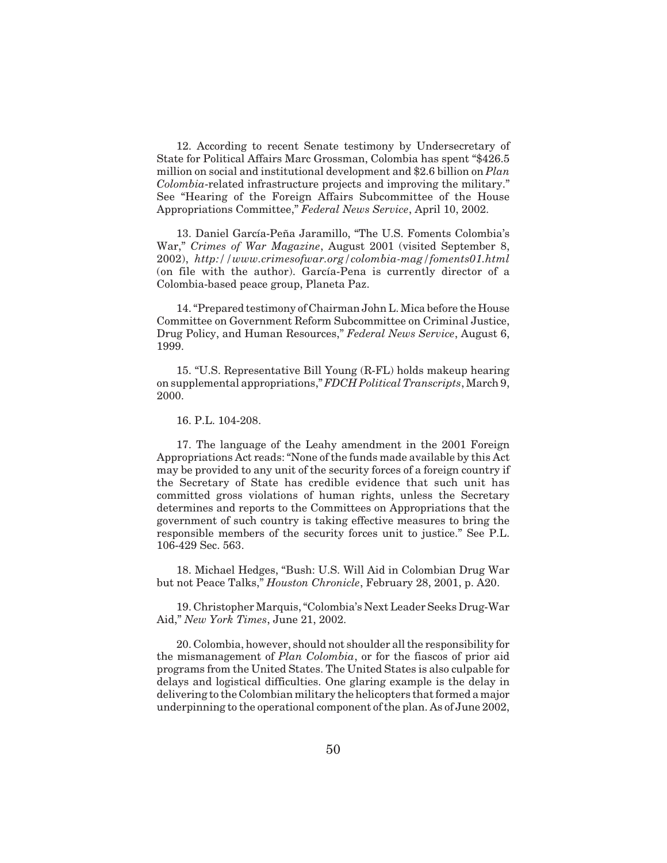12. According to recent Senate testimony by Undersecretary of State for Political Affairs Marc Grossman, Colombia has spent "\$426.5 million on social and institutional development and \$2.6 billion on *Plan Colombia*-related infrastructure projects and improving the military." See "Hearing of the Foreign Affairs Subcommittee of the House Appropriations Committee," *Federal News Service*, April 10, 2002.

13. Daniel García-Peña Jaramillo, "The U.S. Foments Colombia's War," *Crimes of War Magazine*, August 2001 (visited September 8, 2002), *http://www.crimesofwar.org/colombia-mag/foments01.html* (on file with the author). García-Pena is currently director of a Colombia-based peace group, Planeta Paz.

14. "Prepared testimony of Chairman John L. Mica before the House Committee on Government Reform Subcommittee on Criminal Justice, Drug Policy, and Human Resources," *Federal News Service*, August 6, 1999.

15. "U.S. Representative Bill Young (R-FL) holds makeup hearing on supplemental appropriations," *FDCH Political Transcripts*, March 9, 2000.

16. P.L. 104-208.

17. The language of the Leahy amendment in the 2001 Foreign Appropriations Act reads: "None of the funds made available by this Act may be provided to any unit of the security forces of a foreign country if the Secretary of State has credible evidence that such unit has committed gross violations of human rights, unless the Secretary determines and reports to the Committees on Appropriations that the government of such country is taking effective measures to bring the responsible members of the security forces unit to justice." See P.L. 106-429 Sec. 563.

18. Michael Hedges, "Bush: U.S. Will Aid in Colombian Drug War but not Peace Talks," *Houston Chronicle*, February 28, 2001, p. A20.

19. Christopher Marquis, "Colombia's Next Leader Seeks Drug-War Aid," *New York Times*, June 21, 2002.

20. Colombia, however, should not shoulder all the responsibility for the mismanagement of *Plan Colombia*, or for the fiascos of prior aid programs from the United States. The United States is also culpable for delays and logistical difficulties. One glaring example is the delay in delivering to the Colombian military the helicopters that formed a major underpinning to the operational component of the plan. As of June 2002,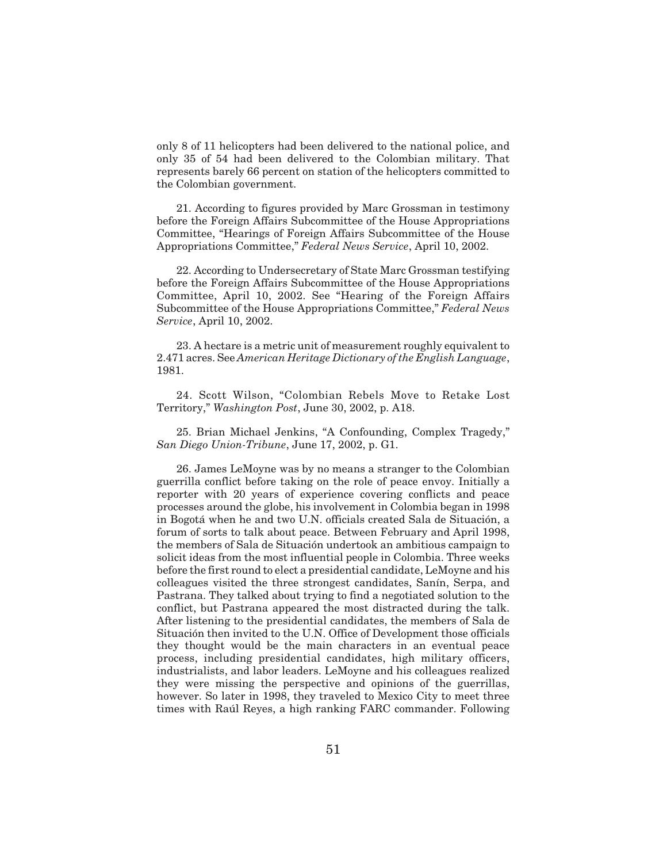only 8 of 11 helicopters had been delivered to the national police, and only 35 of 54 had been delivered to the Colombian military. That represents barely 66 percent on station of the helicopters committed to the Colombian government.

21. According to figures provided by Marc Grossman in testimony before the Foreign Affairs Subcommittee of the House Appropriations Committee, "Hearings of Foreign Affairs Subcommittee of the House Appropriations Committee," *Federal News Service*, April 10, 2002.

22. According to Undersecretary of State Marc Grossman testifying before the Foreign Affairs Subcommittee of the House Appropriations Committee, April 10, 2002. See "Hearing of the Foreign Affairs Subcommittee of the House Appropriations Committee," *Federal News Service*, April 10, 2002.

23. A hectare is a metric unit of measurement roughly equivalent to 2.471 acres. See *American Heritage Dictionary of the English Language*, 1981.

24. Scott Wilson, "Colombian Rebels Move to Retake Lost Territory," *Washington Post*, June 30, 2002, p. A18.

25. Brian Michael Jenkins, "A Confounding, Complex Tragedy," *San Diego Union-Tribune*, June 17, 2002, p. G1.

26. James LeMoyne was by no means a stranger to the Colombian guerrilla conflict before taking on the role of peace envoy. Initially a reporter with 20 years of experience covering conflicts and peace processes around the globe, his involvement in Colombia began in 1998 in Bogotá when he and two U.N. officials created Sala de Situación, a forum of sorts to talk about peace. Between February and April 1998, the members of Sala de Situación undertook an ambitious campaign to solicit ideas from the most influential people in Colombia. Three weeks before the first round to elect a presidential candidate, LeMoyne and his colleagues visited the three strongest candidates, Sanín, Serpa, and Pastrana. They talked about trying to find a negotiated solution to the conflict, but Pastrana appeared the most distracted during the talk. After listening to the presidential candidates, the members of Sala de Situación then invited to the U.N. Office of Development those officials they thought would be the main characters in an eventual peace process, including presidential candidates, high military officers, industrialists, and labor leaders. LeMoyne and his colleagues realized they were missing the perspective and opinions of the guerrillas, however. So later in 1998, they traveled to Mexico City to meet three times with Raúl Reyes, a high ranking FARC commander. Following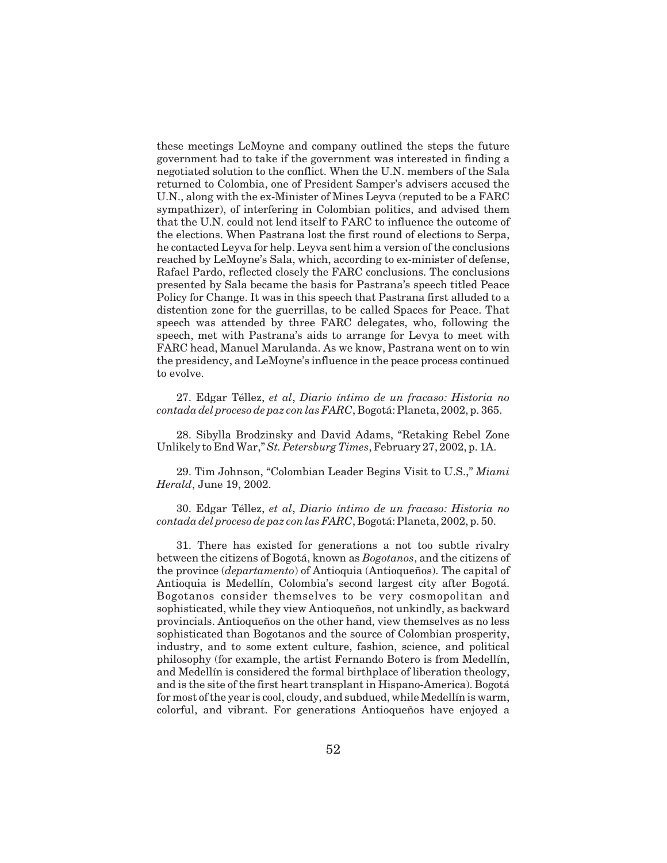these meetings LeMoyne and company outlined the steps the future government had to take if the government was interested in finding a negotiated solution to the conflict. When the U.N. members of the Sala returned to Colombia, one of President Samper's advisers accused the U.N., along with the ex-Minister of Mines Leyva (reputed to be a FARC sympathizer), of interfering in Colombian politics, and advised them that the U.N. could not lend itself to FARC to influence the outcome of the elections. When Pastrana lost the first round of elections to Serpa, he contacted Leyva for help. Leyva sent him a version of the conclusions reached by LeMoyne's Sala, which, according to ex-minister of defense, Rafael Pardo, reflected closely the FARC conclusions. The conclusions presented by Sala became the basis for Pastrana's speech titled Peace Policy for Change. It was in this speech that Pastrana first alluded to a distention zone for the guerrillas, to be called Spaces for Peace. That speech was attended by three FARC delegates, who, following the speech, met with Pastrana's aids to arrange for Levya to meet with FARC head, Manuel Marulanda. As we know, Pastrana went on to win the presidency, and LeMoyne's influence in the peace process continued to evolve.

27. Edgar Téllez, *et al*, *Diario íntimo de un fracaso: Historia no contada del proceso de paz con las FARC*, Bogotá: Planeta, 2002, p. 365.

28. Sibylla Brodzinsky and David Adams, "Retaking Rebel Zone Unlikely to End War,"*St. Petersburg Times*, February 27, 2002, p. 1A.

29. Tim Johnson, "Colombian Leader Begins Visit to U.S.," *Miami Herald*, June 19, 2002.

30. Edgar Téllez, *et al*, *Diario íntimo de un fracaso: Historia no contada del proceso de paz con las FARC*, Bogotá: Planeta, 2002, p. 50.

31. There has existed for generations a not too subtle rivalry between the citizens of Bogotá, known as *Bogotanos*, and the citizens of the province (*departamento*) of Antioquia (Antioqueños). The capital of Antioquia is Medellín, Colombia's second largest city after Bogotá. Bogotanos consider themselves to be very cosmopolitan and sophisticated, while they view Antioqueños, not unkindly, as backward provincials. Antioqueños on the other hand, view themselves as no less sophisticated than Bogotanos and the source of Colombian prosperity, industry, and to some extent culture, fashion, science, and political philosophy (for example, the artist Fernando Botero is from Medellín, and Medellín is considered the formal birthplace of liberation theology, and is the site of the first heart transplant in Hispano-America). Bogotá for most of the year is cool, cloudy, and subdued, while Medellín is warm, colorful, and vibrant. For generations Antioqueños have enjoyed a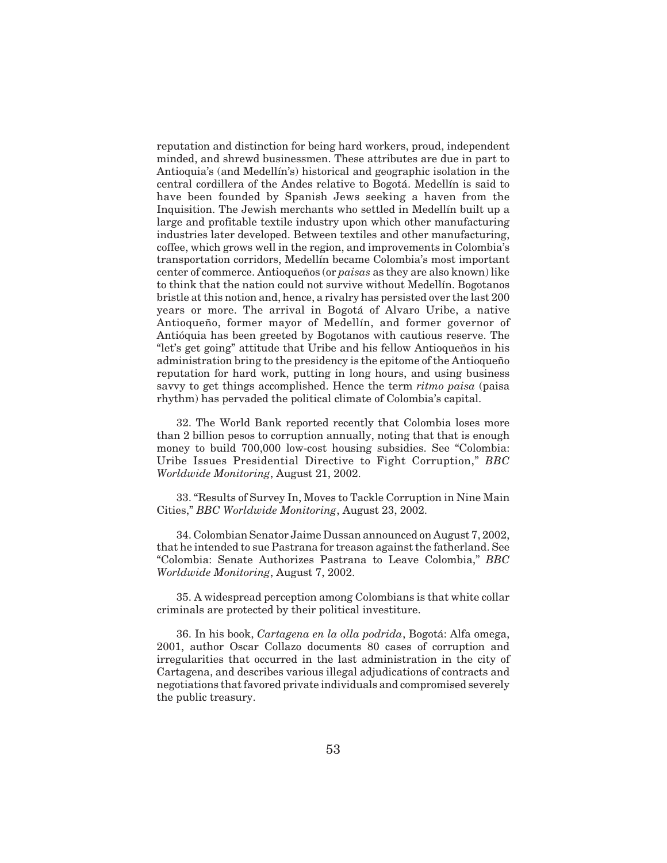reputation and distinction for being hard workers, proud, independent minded, and shrewd businessmen. These attributes are due in part to Antioquia's (and Medellín's) historical and geographic isolation in the central cordillera of the Andes relative to Bogotá. Medellín is said to have been founded by Spanish Jews seeking a haven from the Inquisition. The Jewish merchants who settled in Medellín built up a large and profitable textile industry upon which other manufacturing industries later developed. Between textiles and other manufacturing, coffee, which grows well in the region, and improvements in Colombia's transportation corridors, Medellín became Colombia's most important center of commerce. Antioqueños (or *paisas* as they are also known) like to think that the nation could not survive without Medellín. Bogotanos bristle at this notion and, hence, a rivalry has persisted over the last 200 years or more. The arrival in Bogotá of Alvaro Uribe, a native Antioqueño, former mayor of Medellín, and former governor of Antióquia has been greeted by Bogotanos with cautious reserve. The "let's get going" attitude that Uribe and his fellow Antioqueños in his administration bring to the presidency is the epitome of the Antioqueño reputation for hard work, putting in long hours, and using business savvy to get things accomplished. Hence the term *ritmo paisa* (paisa rhythm) has pervaded the political climate of Colombia's capital.

32. The World Bank reported recently that Colombia loses more than 2 billion pesos to corruption annually, noting that that is enough money to build 700,000 low-cost housing subsidies. See "Colombia: Uribe Issues Presidential Directive to Fight Corruption," *BBC Worldwide Monitoring*, August 21, 2002.

33. "Results of Survey In, Moves to Tackle Corruption in Nine Main Cities," *BBC Worldwide Monitoring*, August 23, 2002.

34. Colombian Senator Jaime Dussan announced on August 7, 2002, that he intended to sue Pastrana for treason against the fatherland. See "Colombia: Senate Authorizes Pastrana to Leave Colombia," *BBC Worldwide Monitoring*, August 7, 2002.

35. A widespread perception among Colombians is that white collar criminals are protected by their political investiture.

36. In his book, *Cartagena en la olla podrida*, Bogotá: Alfa omega, 2001, author Oscar Collazo documents 80 cases of corruption and irregularities that occurred in the last administration in the city of Cartagena, and describes various illegal adjudications of contracts and negotiations that favored private individuals and compromised severely the public treasury.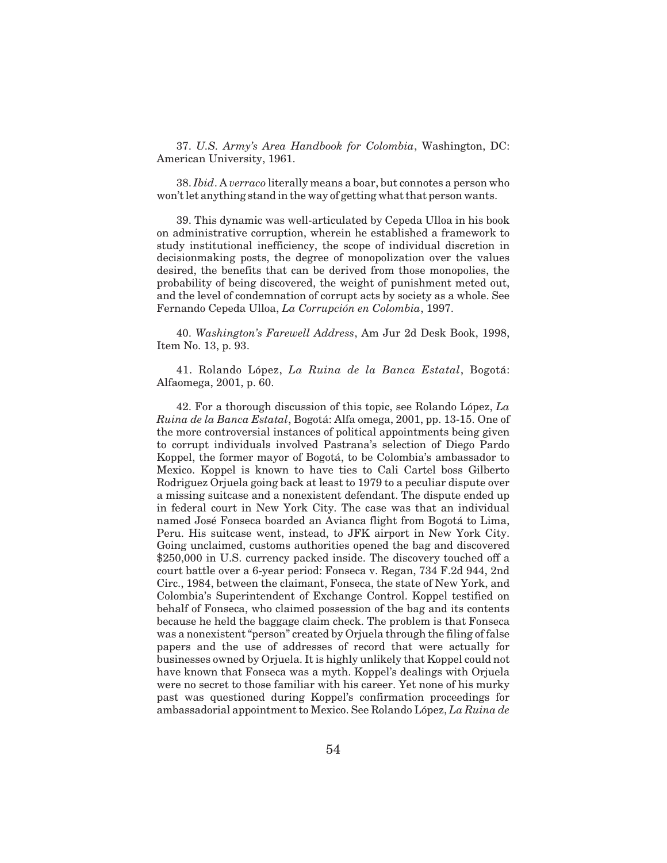37. *U.S. Army's Area Handbook for Colombia*, Washington, DC: American University, 1961.

38. *Ibid*. A *verraco* literally means a boar, but connotes a person who won't let anything stand in the way of getting what that person wants.

39. This dynamic was well-articulated by Cepeda Ulloa in his book on administrative corruption, wherein he established a framework to study institutional inefficiency, the scope of individual discretion in decisionmaking posts, the degree of monopolization over the values desired, the benefits that can be derived from those monopolies, the probability of being discovered, the weight of punishment meted out, and the level of condemnation of corrupt acts by society as a whole. See Fernando Cepeda Ulloa, *La Corrupción en Colombia*, 1997.

40. *Washington's Farewell Address*, Am Jur 2d Desk Book, 1998, Item No. 13, p. 93.

41. Rolando López, *La Ruina de la Banca Estatal*, Bogotá: Alfaomega, 2001, p. 60.

42. For a thorough discussion of this topic, see Rolando López, *La Ruina de la Banca Estatal*, Bogotá: Alfa omega, 2001, pp. 13-15. One of the more controversial instances of political appointments being given to corrupt individuals involved Pastrana's selection of Diego Pardo Koppel, the former mayor of Bogotá, to be Colombia's ambassador to Mexico. Koppel is known to have ties to Cali Cartel boss Gilberto Rodriguez Orjuela going back at least to 1979 to a peculiar dispute over a missing suitcase and a nonexistent defendant. The dispute ended up in federal court in New York City. The case was that an individual named José Fonseca boarded an Avianca flight from Bogotá to Lima, Peru. His suitcase went, instead, to JFK airport in New York City. Going unclaimed, customs authorities opened the bag and discovered \$250,000 in U.S. currency packed inside. The discovery touched off a court battle over a 6-year period: Fonseca v. Regan, 734 F.2d 944, 2nd Circ., 1984, between the claimant, Fonseca, the state of New York, and Colombia's Superintendent of Exchange Control. Koppel testified on behalf of Fonseca, who claimed possession of the bag and its contents because he held the baggage claim check. The problem is that Fonseca was a nonexistent "person" created by Orjuela through the filing of false papers and the use of addresses of record that were actually for businesses owned by Orjuela. It is highly unlikely that Koppel could not have known that Fonseca was a myth. Koppel's dealings with Orjuela were no secret to those familiar with his career. Yet none of his murky past was questioned during Koppel's confirmation proceedings for ambassadorial appointment to Mexico. See Rolando López, *La Ruina de*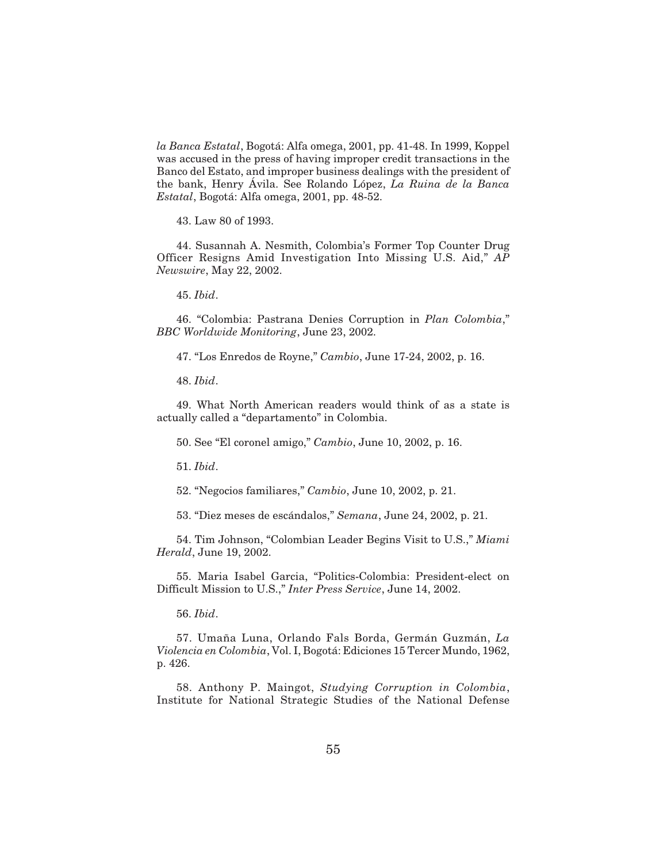*la Banca Estatal*, Bogotá: Alfa omega, 2001, pp. 41-48. In 1999, Koppel was accused in the press of having improper credit transactions in the Banco del Estato, and improper business dealings with the president of the bank, Henry Ávila. See Rolando López, *La Ruina de la Banca Estatal*, Bogotá: Alfa omega, 2001, pp. 48-52.

43. Law 80 of 1993.

44. Susannah A. Nesmith, Colombia's Former Top Counter Drug Officer Resigns Amid Investigation Into Missing U.S. Aid," *AP Newswire*, May 22, 2002.

45. *Ibid*.

46. "Colombia: Pastrana Denies Corruption in *Plan Colombia*," *BBC Worldwide Monitoring*, June 23, 2002.

47. "Los Enredos de Royne," *Cambio*, June 17-24, 2002, p. 16.

48. *Ibid*.

49. What North American readers would think of as a state is actually called a "departamento" in Colombia.

50. See "El coronel amigo," *Cambio*, June 10, 2002, p. 16.

51. *Ibid*.

52. "Negocios familiares," *Cambio*, June 10, 2002, p. 21.

53. "Diez meses de escándalos," *Semana*, June 24, 2002, p. 21.

54. Tim Johnson, "Colombian Leader Begins Visit to U.S.," *Miami Herald*, June 19, 2002.

55. Maria Isabel Garcia, "Politics-Colombia: President-elect on Difficult Mission to U.S.," *Inter Press Service*, June 14, 2002.

56. *Ibid*.

57. Umaña Luna, Orlando Fals Borda, Germán Guzmán, *La Violencia en Colombia*, Vol. I, Bogotá: Ediciones 15 Tercer Mundo, 1962, p. 426.

58. Anthony P. Maingot, *Studying Corruption in Colombia*, Institute for National Strategic Studies of the National Defense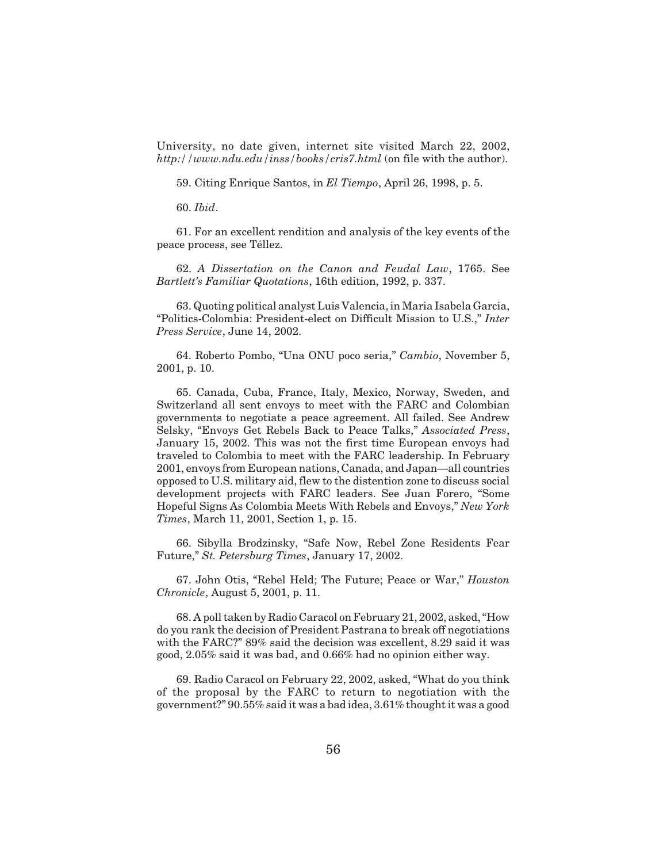University, no date given, internet site visited March 22, 2002, *http://www.ndu.edu/inss/books/cris7.html* (on file with the author).

59. Citing Enrique Santos, in *El Tiempo*, April 26, 1998, p. 5.

60. *Ibid*.

61. For an excellent rendition and analysis of the key events of the peace process, see Téllez.

62. *A Dissertation on the Canon and Feudal Law*, 1765. See *Bartlett's Familiar Quotations*, 16th edition, 1992, p. 337.

63. Quoting political analyst Luis Valencia, in Maria Isabela Garcia, "Politics-Colombia: President-elect on Difficult Mission to U.S.," *Inter Press Service*, June 14, 2002.

64. Roberto Pombo, "Una ONU poco seria," *Cambio*, November 5, 2001, p. 10.

65. Canada, Cuba, France, Italy, Mexico, Norway, Sweden, and Switzerland all sent envoys to meet with the FARC and Colombian governments to negotiate a peace agreement. All failed. See Andrew Selsky, "Envoys Get Rebels Back to Peace Talks," *Associated Press*, January 15, 2002. This was not the first time European envoys had traveled to Colombia to meet with the FARC leadership. In February 2001, envoys from European nations, Canada, and Japan—all countries opposed to U.S. military aid, flew to the distention zone to discuss social development projects with FARC leaders. See Juan Forero, "Some Hopeful Signs As Colombia Meets With Rebels and Envoys," *New York Times*, March 11, 2001, Section 1, p. 15.

66. Sibylla Brodzinsky, "Safe Now, Rebel Zone Residents Fear Future," *St. Petersburg Times*, January 17, 2002.

67. John Otis, "Rebel Held; The Future; Peace or War," *Houston Chronicle*, August 5, 2001, p. 11.

68. A poll taken by Radio Caracol on February 21, 2002, asked, "How do you rank the decision of President Pastrana to break off negotiations with the FARC?" 89% said the decision was excellent, 8.29 said it was good, 2.05% said it was bad, and 0.66% had no opinion either way.

69. Radio Caracol on February 22, 2002, asked, "What do you think of the proposal by the FARC to return to negotiation with the government?" 90.55% said it was a bad idea, 3.61% thought it was a good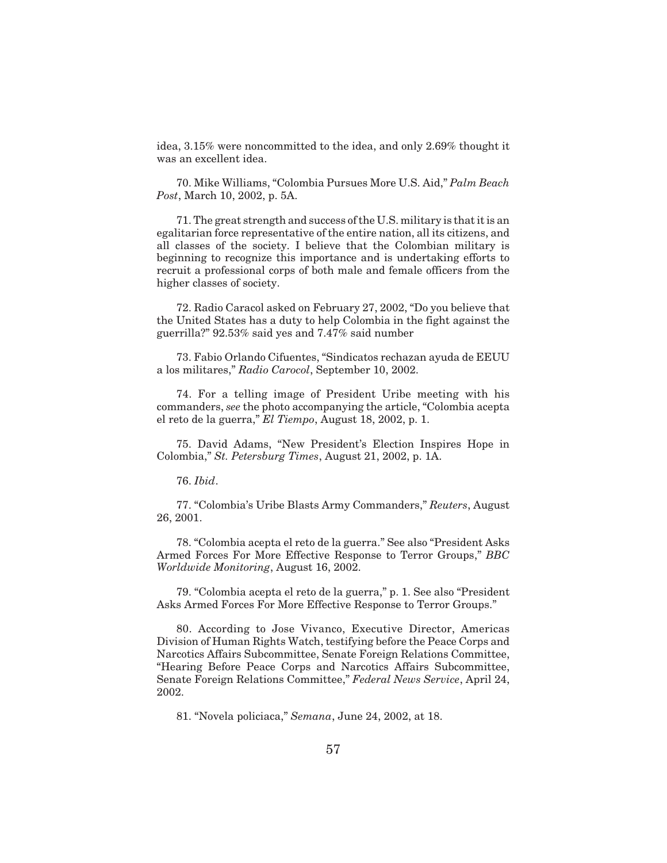idea, 3.15% were noncommitted to the idea, and only 2.69% thought it was an excellent idea.

70. Mike Williams, "Colombia Pursues More U.S. Aid," *Palm Beach Post*, March 10, 2002, p. 5A.

71. The great strength and success of the U.S. military is that it is an egalitarian force representative of the entire nation, all its citizens, and all classes of the society. I believe that the Colombian military is beginning to recognize this importance and is undertaking efforts to recruit a professional corps of both male and female officers from the higher classes of society.

72. Radio Caracol asked on February 27, 2002, "Do you believe that the United States has a duty to help Colombia in the fight against the guerrilla?" 92.53% said yes and 7.47% said number

73. Fabio Orlando Cifuentes, "Sindicatos rechazan ayuda de EEUU a los militares," *Radio Carocol*, September 10, 2002.

74. For a telling image of President Uribe meeting with his commanders, *see* the photo accompanying the article, "Colombia acepta el reto de la guerra," *El Tiempo*, August 18, 2002, p. 1.

75. David Adams, "New President's Election Inspires Hope in Colombia," *St. Petersburg Times*, August 21, 2002, p. 1A.

76. *Ibid*.

77. "Colombia's Uribe Blasts Army Commanders," *Reuters*, August 26, 2001.

78. "Colombia acepta el reto de la guerra." See also "President Asks Armed Forces For More Effective Response to Terror Groups," *BBC Worldwide Monitoring*, August 16, 2002.

79. "Colombia acepta el reto de la guerra," p. 1. See also "President Asks Armed Forces For More Effective Response to Terror Groups."

80. According to Jose Vivanco, Executive Director, Americas Division of Human Rights Watch, testifying before the Peace Corps and Narcotics Affairs Subcommittee, Senate Foreign Relations Committee, "Hearing Before Peace Corps and Narcotics Affairs Subcommittee, Senate Foreign Relations Committee," *Federal News Service*, April 24, 2002.

81. "Novela policiaca," *Semana*, June 24, 2002, at 18.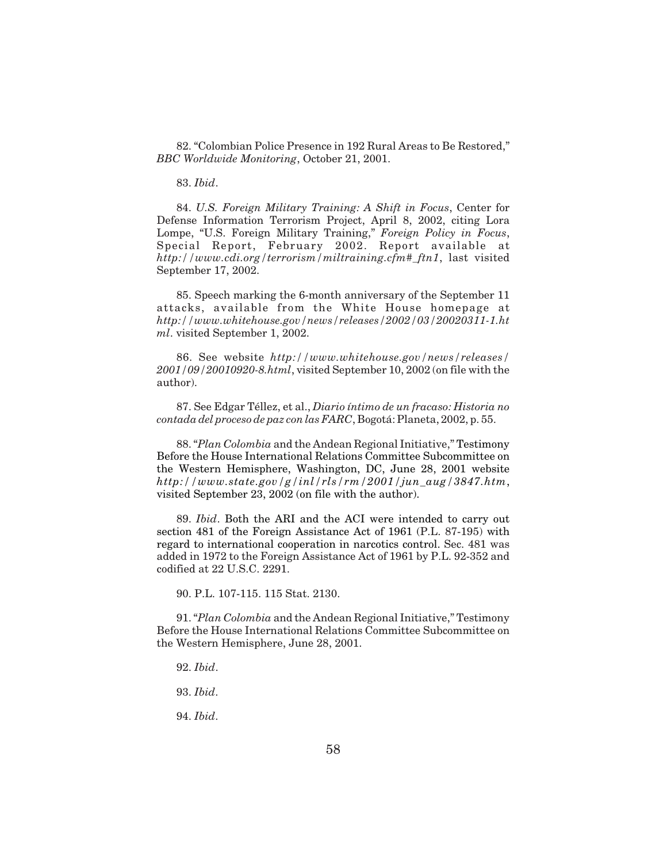82. "Colombian Police Presence in 192 Rural Areas to Be Restored," *BBC Worldwide Monitoring*, October 21, 2001.

83. *Ibid*.

84. *U.S. Foreign Military Training: A Shift in Focus*, Center for Defense Information Terrorism Project, April 8, 2002, citing Lora Lompe, "U.S. Foreign Military Training," *Foreign Policy in Focus*, Special Report, February 2002. Report available at *http://www.cdi.org/terrorism/miltraining.cfm#\_ftn1*, last visited September 17, 2002.

85. Speech marking the 6-month anniversary of the September 11 attacks, available from the White House homepage at *http://www.whitehouse.gov/news/releases/2002/03/20020311-1.ht ml*. visited September 1, 2002.

86. See website *http://www.whitehouse.gov/news/releases/ 2001/09/20010920-8.html*, visited September 10, 2002 (on file with the author).

87. See Edgar Téllez, et al., *Diario íntimo de un fracaso: Historia no contada del proceso de paz con las FARC*, Bogotá: Planeta, 2002, p. 55.

88. "*Plan Colombia* and the Andean Regional Initiative," Testimony Before the House International Relations Committee Subcommittee on the Western Hemisphere, Washington, DC, June 28, 2001 website *http://www.state.gov/g/inl/rls/rm/2001/jun\_aug/3847.htm*, visited September 23, 2002 (on file with the author).

89. *Ibid*. Both the ARI and the ACI were intended to carry out section 481 of the Foreign Assistance Act of 1961 (P.L. 87-195) with regard to international cooperation in narcotics control. Sec. 481 was added in 1972 to the Foreign Assistance Act of 1961 by P.L. 92-352 and codified at 22 U.S.C. 2291.

90. P.L. 107-115. 115 Stat. 2130.

91. "*Plan Colombia* and the Andean Regional Initiative," Testimony Before the House International Relations Committee Subcommittee on the Western Hemisphere, June 28, 2001.

- 92. *Ibid*.
- 93. *Ibid*.
- 94. *Ibid*.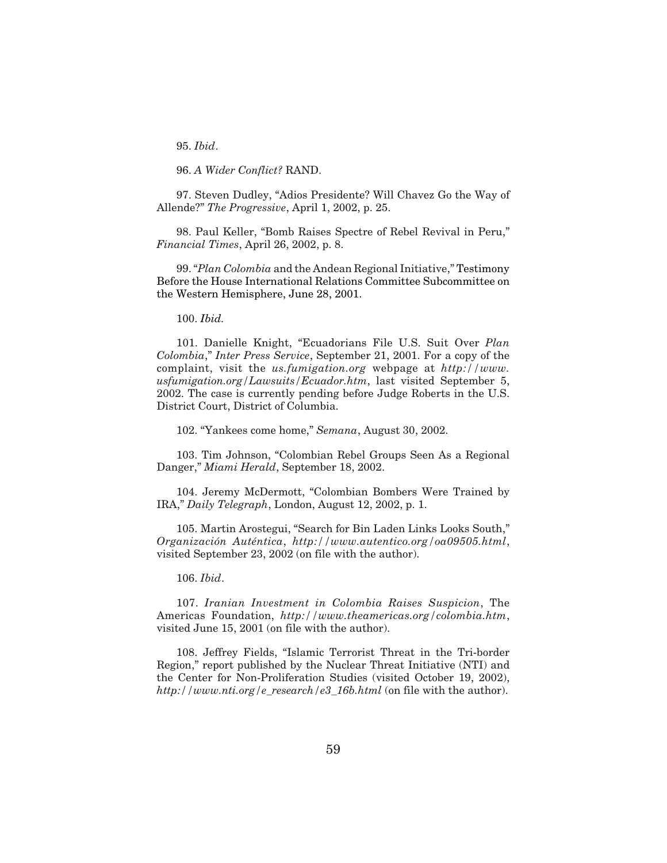95. *Ibid*.

96. *A Wider Conflict?* RAND.

97. Steven Dudley, "Adios Presidente? Will Chavez Go the Way of Allende?" *The Progressive*, April 1, 2002, p. 25.

98. Paul Keller, "Bomb Raises Spectre of Rebel Revival in Peru," *Financial Times*, April 26, 2002, p. 8.

99. "*Plan Colombia* and the Andean Regional Initiative," Testimony Before the House International Relations Committee Subcommittee on the Western Hemisphere, June 28, 2001.

100. *Ibid.*

101. Danielle Knight, "Ecuadorians File U.S. Suit Over *Plan Colombia*," *Inter Press Service*, September 21, 2001. For a copy of the complaint, visit the *us.fumigation.org* webpage at *http://www. usfumigation.org/Lawsuits/Ecuador.htm*, last visited September 5, 2002. The case is currently pending before Judge Roberts in the U.S. District Court, District of Columbia.

102. "Yankees come home," *Semana*, August 30, 2002.

103. Tim Johnson, "Colombian Rebel Groups Seen As a Regional Danger," *Miami Herald*, September 18, 2002.

104. Jeremy McDermott, "Colombian Bombers Were Trained by IRA," *Daily Telegraph*, London, August 12, 2002, p. 1.

105. Martin Arostegui, "Search for Bin Laden Links Looks South," *Organización Auténtica*, *http://www.autentico.org/oa09505.html*, visited September 23, 2002 (on file with the author).

106. *Ibid*.

107. *Iranian Investment in Colombia Raises Suspicion*, The Americas Foundation, *http://www.theamericas.org/colombia.htm*, visited June 15, 2001 (on file with the author).

108. Jeffrey Fields, "Islamic Terrorist Threat in the Tri-border Region," report published by the Nuclear Threat Initiative (NTI) and the Center for Non-Proliferation Studies (visited October 19, 2002), *http://www.nti.org/e\_research/e3\_16b.html* (on file with the author).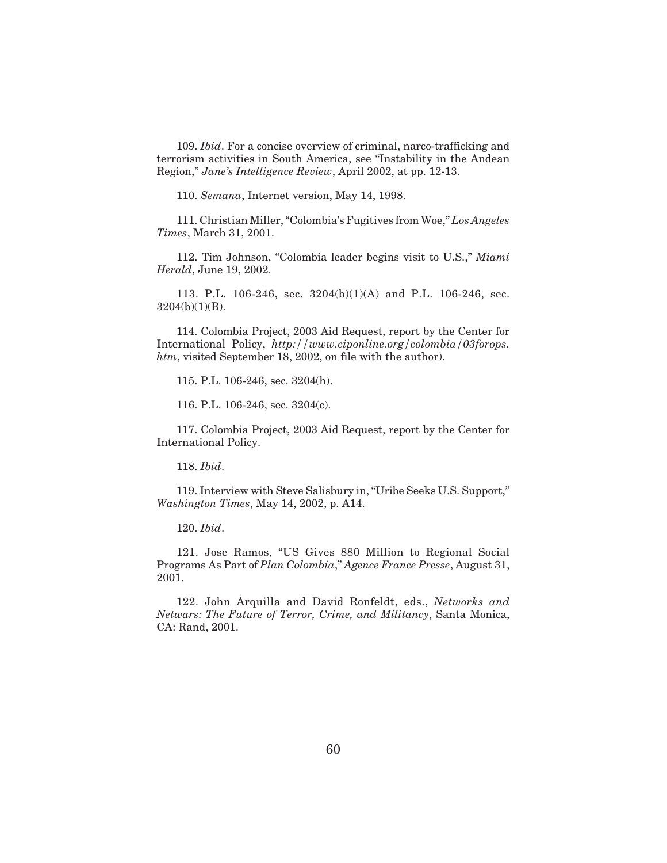109. *Ibid*. For a concise overview of criminal, narco-trafficking and terrorism activities in South America, see "Instability in the Andean Region," *Jane's Intelligence Review*, April 2002, at pp. 12-13.

110. *Semana*, Internet version, May 14, 1998.

111. Christian Miller, "Colombia's Fugitives from Woe," *Los Angeles Times*, March 31, 2001.

112. Tim Johnson, "Colombia leader begins visit to U.S.," *Miami Herald*, June 19, 2002.

113. P.L. 106-246, sec. 3204(b)(1)(A) and P.L. 106-246, sec. 3204(b)(1)(B).

114. Colombia Project, 2003 Aid Request, report by the Center for International Policy, *http://www.ciponline.org/colombia/03forops. htm*, visited September 18, 2002, on file with the author).

115. P.L. 106-246, sec. 3204(h).

116. P.L. 106-246, sec. 3204(c).

117. Colombia Project, 2003 Aid Request, report by the Center for International Policy.

118. *Ibid*.

119. Interview with Steve Salisbury in, "Uribe Seeks U.S. Support," *Washington Times*, May 14, 2002, p. A14.

120. *Ibid*.

121. Jose Ramos, "US Gives 880 Million to Regional Social Programs As Part of *Plan Colombia*," *Agence France Presse*, August 31, 2001.

122. John Arquilla and David Ronfeldt, eds., *Networks and Netwars: The Future of Terror, Crime, and Militancy*, Santa Monica, CA: Rand, 2001.